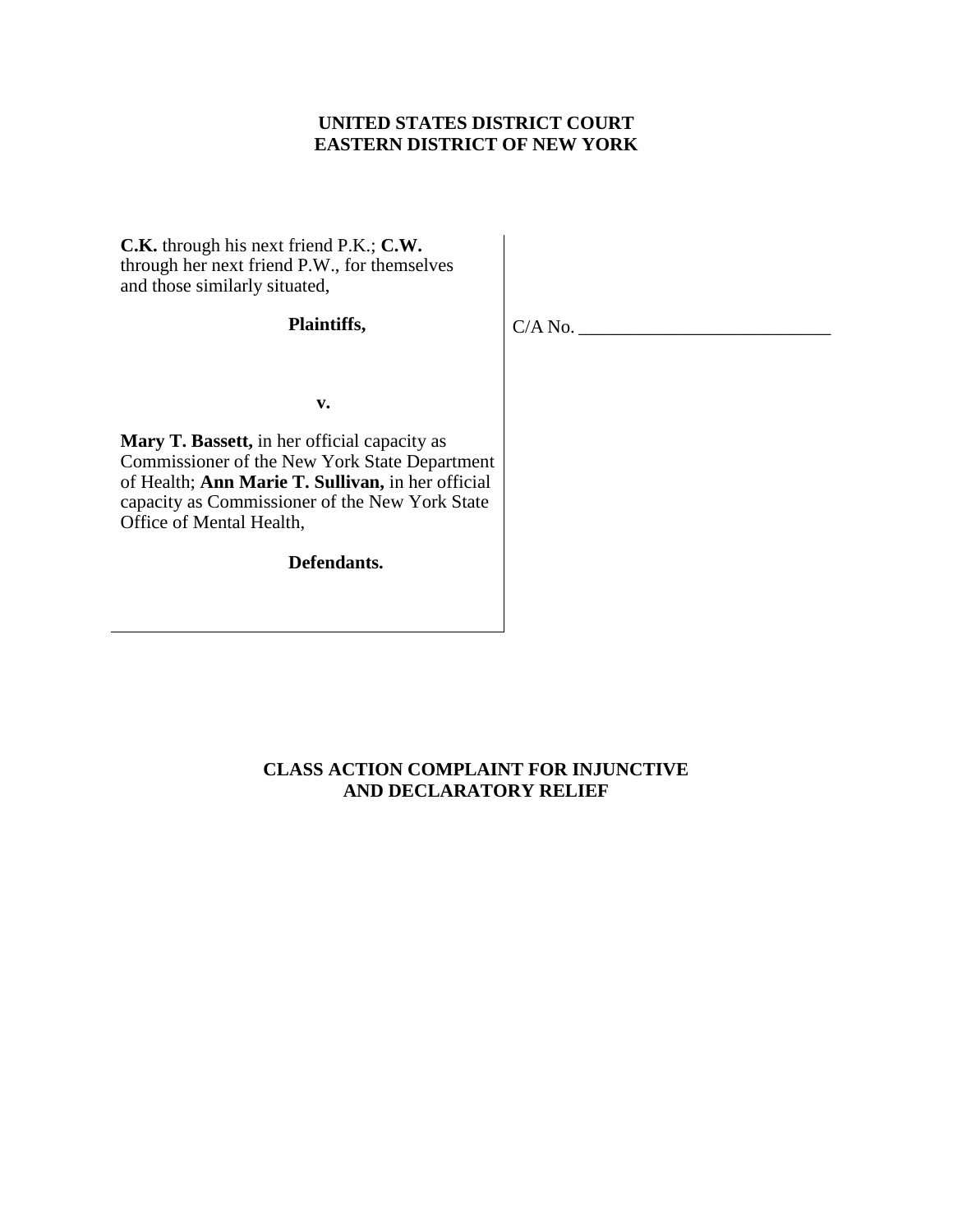## **UNITED STATES DISTRICT COURT EASTERN DISTRICT OF NEW YORK**

**C.K.** through his next friend P.K.; **C.W.**  through her next friend P.W., for themselves and those similarly situated,

### **Plaintiffs,**

 $C/A$  No.

**v. v. v.** 

**Mary T. Bassett,** in her official capacity as Commissioner of the New York State Department of Health; **Ann Marie T. Sullivan,** in her official capacity as Commissioner of the New York State Office of Mental Health,

**Defendants.**

## **CLASS ACTION COMPLAINT FOR INJUNCTIVE AND DECLARATORY RELIEF**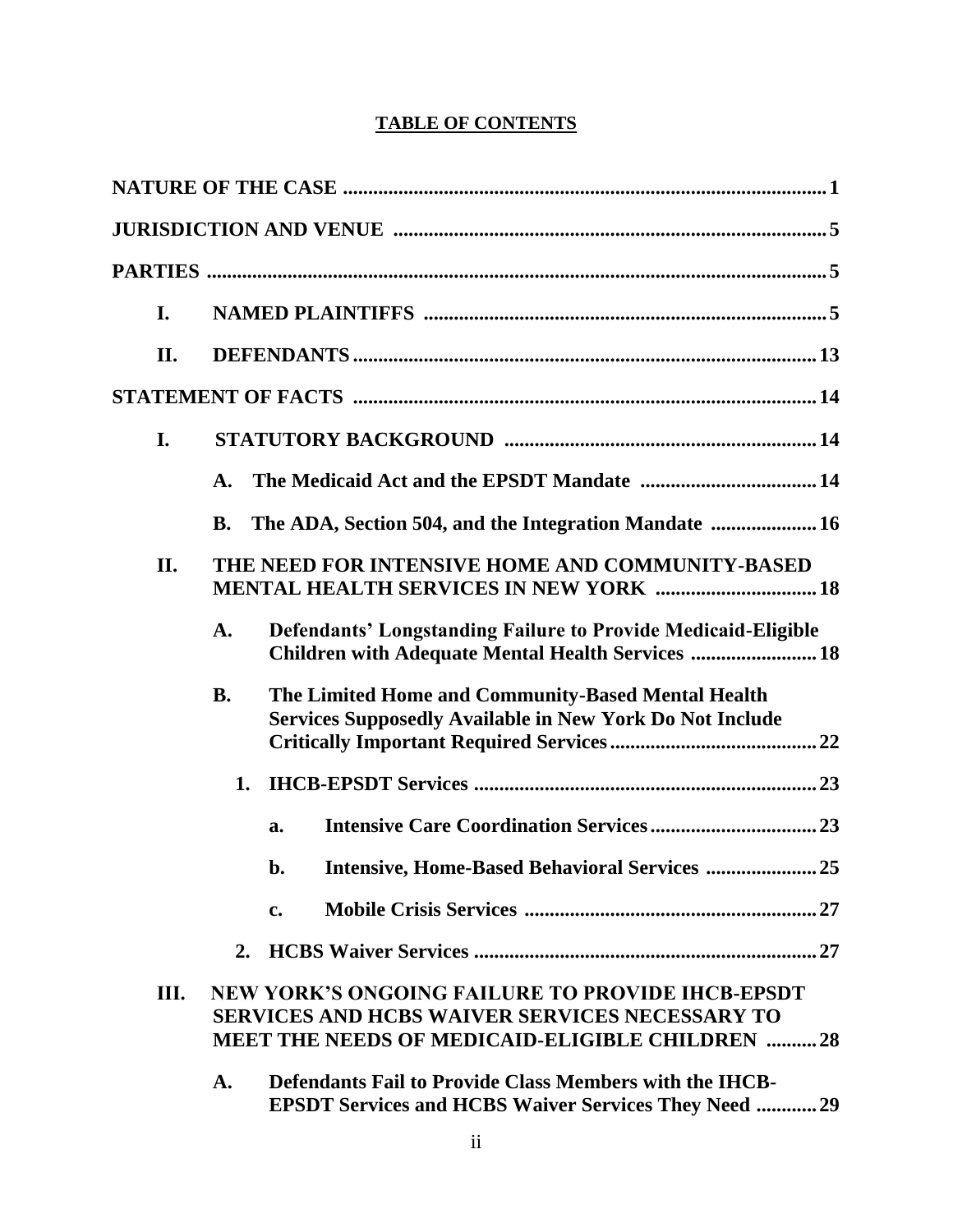# **TABLE OF CONTENTS**

| I.   |                                                                                                  |                                                                                                                                                                            |  |
|------|--------------------------------------------------------------------------------------------------|----------------------------------------------------------------------------------------------------------------------------------------------------------------------------|--|
| II.  |                                                                                                  |                                                                                                                                                                            |  |
|      |                                                                                                  |                                                                                                                                                                            |  |
| I.   |                                                                                                  |                                                                                                                                                                            |  |
|      | A.                                                                                               |                                                                                                                                                                            |  |
|      | <b>B.</b>                                                                                        | The ADA, Section 504, and the Integration Mandate  16                                                                                                                      |  |
| II.  | THE NEED FOR INTENSIVE HOME AND COMMUNITY-BASED<br><b>MENTAL HEALTH SERVICES IN NEW YORK  18</b> |                                                                                                                                                                            |  |
|      | A.                                                                                               | <b>Defendants' Longstanding Failure to Provide Medicaid-Eligible</b><br>Children with Adequate Mental Health Services  18                                                  |  |
|      | <b>B.</b>                                                                                        | The Limited Home and Community-Based Mental Health<br><b>Services Supposedly Available in New York Do Not Include</b>                                                      |  |
|      | 1.                                                                                               |                                                                                                                                                                            |  |
|      |                                                                                                  | a.                                                                                                                                                                         |  |
|      |                                                                                                  | <b>Intensive, Home-Based Behavioral Services  25</b><br>$\mathbf{b}$ .                                                                                                     |  |
|      |                                                                                                  | c.                                                                                                                                                                         |  |
|      | 2.                                                                                               |                                                                                                                                                                            |  |
| III. |                                                                                                  | <b>NEW YORK'S ONGOING FAILURE TO PROVIDE IHCB-EPSDT</b><br><b>SERVICES AND HCBS WAIVER SERVICES NECESSARY TO</b><br><b>MEET THE NEEDS OF MEDICAID-ELIGIBLE CHILDREN 28</b> |  |
|      | A.                                                                                               | <b>Defendants Fail to Provide Class Members with the IHCB-</b><br><b>EPSDT Services and HCBS Waiver Services They Need  29</b>                                             |  |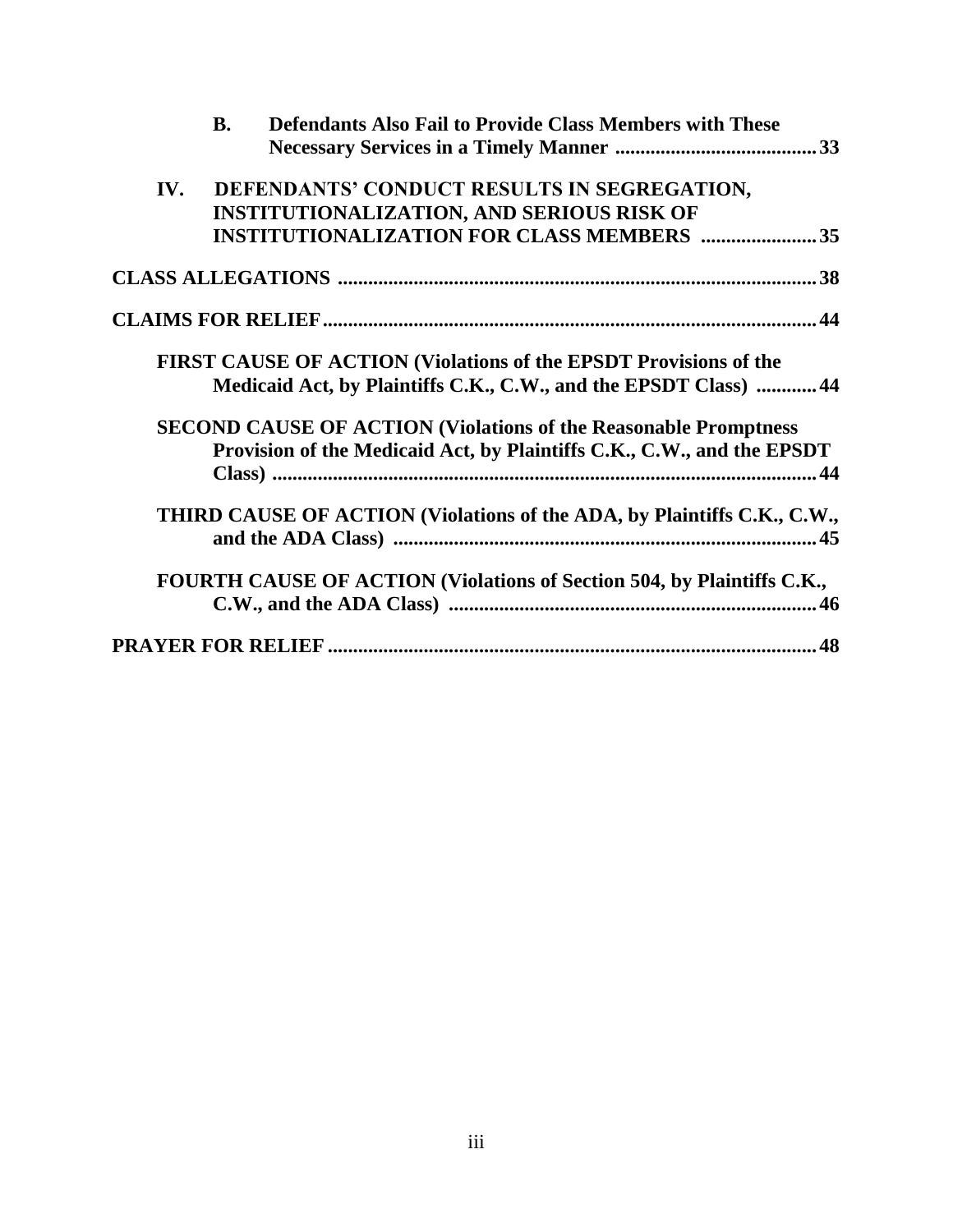|     | <b>Defendants Also Fail to Provide Class Members with These</b><br><b>B.</b>                                                                      |  |
|-----|---------------------------------------------------------------------------------------------------------------------------------------------------|--|
|     |                                                                                                                                                   |  |
| IV. | DEFENDANTS' CONDUCT RESULTS IN SEGREGATION,                                                                                                       |  |
|     | <b>INSTITUTIONALIZATION, AND SERIOUS RISK OF</b>                                                                                                  |  |
|     | <b>INSTITUTIONALIZATION FOR CLASS MEMBERS  35</b>                                                                                                 |  |
|     |                                                                                                                                                   |  |
|     |                                                                                                                                                   |  |
|     | FIRST CAUSE OF ACTION (Violations of the EPSDT Provisions of the<br>Medicaid Act, by Plaintiffs C.K., C.W., and the EPSDT Class)  44              |  |
|     | <b>SECOND CAUSE OF ACTION (Violations of the Reasonable Promptness)</b><br>Provision of the Medicaid Act, by Plaintiffs C.K., C.W., and the EPSDT |  |
|     | THIRD CAUSE OF ACTION (Violations of the ADA, by Plaintiffs C.K., C.W.,                                                                           |  |
|     | FOURTH CAUSE OF ACTION (Violations of Section 504, by Plaintiffs C.K.,                                                                            |  |
|     |                                                                                                                                                   |  |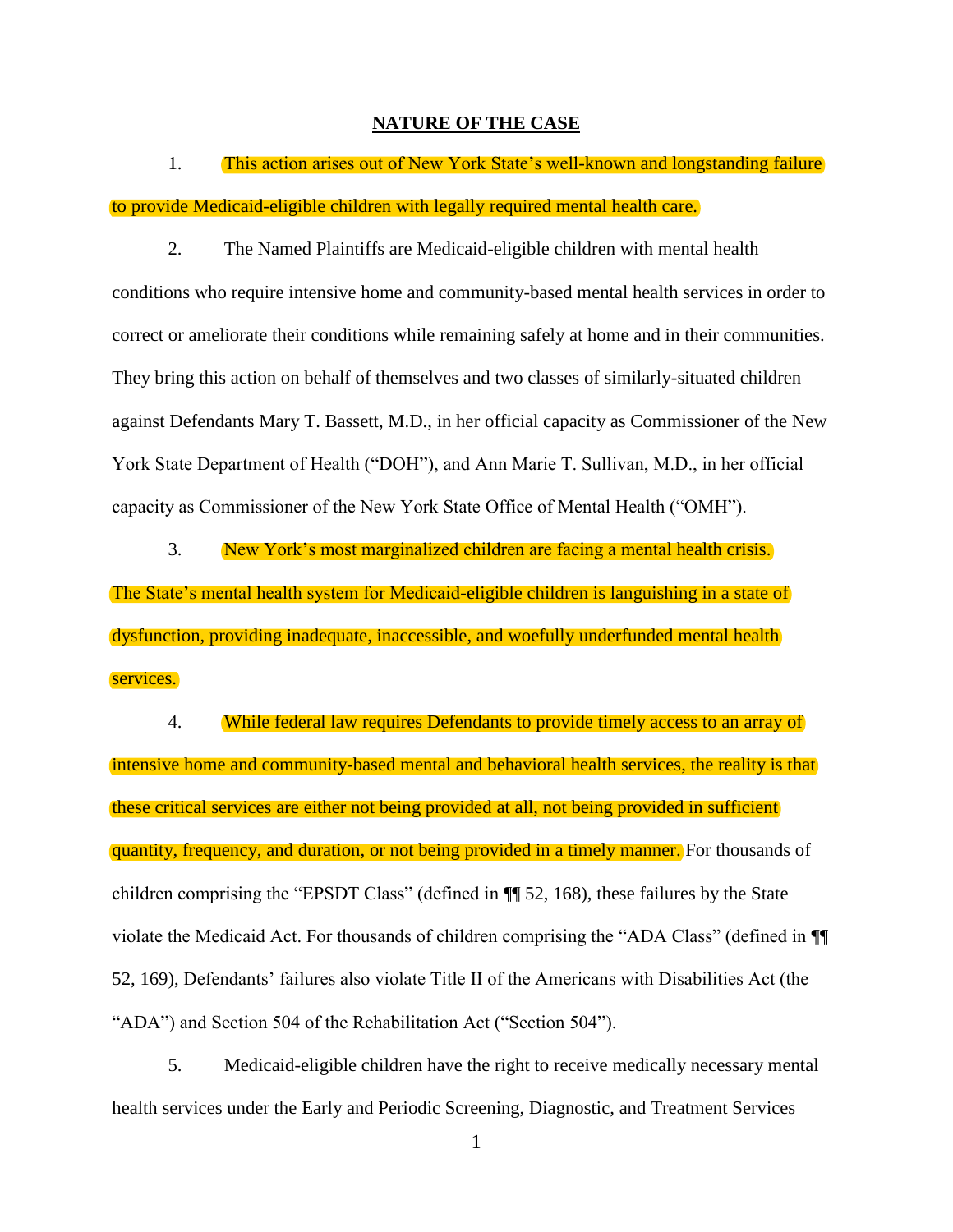#### **NATURE OF THE CASE**

<span id="page-3-0"></span>1. This action arises out of New York State's well-known and longstanding failure to provide Medicaid-eligible children with legally required mental health care.

2. The Named Plaintiffs are Medicaid-eligible children with mental health conditions who require intensive home and community-based mental health services in order to correct or ameliorate their conditions while remaining safely at home and in their communities. They bring this action on behalf of themselves and two classes of similarly-situated children against Defendants Mary T. Bassett, M.D., in her official capacity as Commissioner of the New York State Department of Health ("DOH"), and Ann Marie T. Sullivan, M.D., in her official capacity as Commissioner of the New York State Office of Mental Health ("OMH").

3. New York's most marginalized children are facing a mental health crisis. The State's mental health system for Medicaid-eligible children is languishing in a state of dysfunction, providing inadequate, inaccessible, and woefully underfunded mental health services.

4. While federal law requires Defendants to provide timely access to an array of intensive home and community-based mental and behavioral health services, the reality is that these critical services are either not being provided at all, not being provided in sufficient quantity, frequency, and duration, or not being provided in a timely manner. For thousands of children comprising the "EPSDT Class" (defined in ¶¶ 52, 168), these failures by the State violate the Medicaid Act. For thousands of children comprising the "ADA Class" (defined in ¶¶ 52, 169), Defendants' failures also violate Title II of the Americans with Disabilities Act (the "ADA") and Section 504 of the Rehabilitation Act ("Section 504").

5. Medicaid-eligible children have the right to receive medically necessary mental health services under the Early and Periodic Screening, Diagnostic, and Treatment Services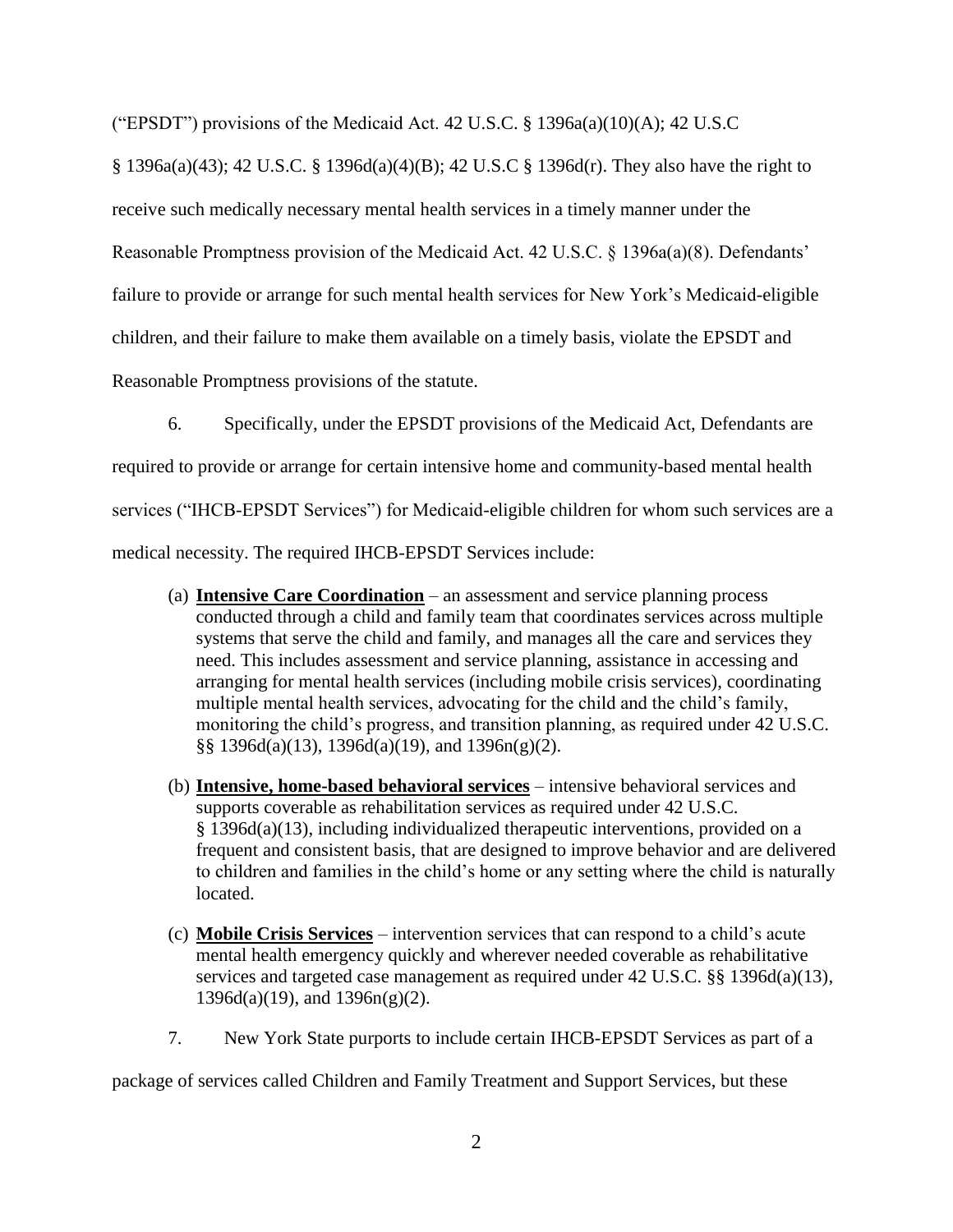("EPSDT") provisions of the Medicaid Act. 42 U.S.C.  $\S$  1396a(a)(10)(A); 42 U.S.C

§ 1396a(a)(43); 42 U.S.C. § 1396d(a)(4)(B); 42 U.S.C § 1396d(r). They also have the right to receive such medically necessary mental health services in a timely manner under the Reasonable Promptness provision of the Medicaid Act. 42 U.S.C. § 1396a(a)(8). Defendants' failure to provide or arrange for such mental health services for New York's Medicaid-eligible children, and their failure to make them available on a timely basis, violate the EPSDT and Reasonable Promptness provisions of the statute.

6. Specifically, under the EPSDT provisions of the Medicaid Act, Defendants are required to provide or arrange for certain intensive home and community-based mental health services ("IHCB-EPSDT Services") for Medicaid-eligible children for whom such services are a medical necessity. The required IHCB-EPSDT Services include:

- (a) **Intensive Care Coordination** an assessment and service planning process conducted through a child and family team that coordinates services across multiple systems that serve the child and family, and manages all the care and services they need. This includes assessment and service planning, assistance in accessing and arranging for mental health services (including mobile crisis services), coordinating multiple mental health services, advocating for the child and the child's family, monitoring the child's progress, and transition planning, as required under 42 U.S.C.  $\S$ § 1396d(a)(13), 1396d(a)(19), and 1396n(g)(2).
- (b) **Intensive, home-based behavioral services** intensive behavioral services and supports coverable as rehabilitation services as required under 42 U.S.C. § 1396d(a)(13), including individualized therapeutic interventions, provided on a frequent and consistent basis, that are designed to improve behavior and are delivered to children and families in the child's home or any setting where the child is naturally located.
- (c) **Mobile Crisis Services** intervention services that can respond to a child's acute mental health emergency quickly and wherever needed coverable as rehabilitative services and targeted case management as required under 42 U.S.C. §§ 1396d(a)(13),  $1396d(a)(19)$ , and  $1396n(g)(2)$ .
- 7. New York State purports to include certain IHCB-EPSDT Services as part of a

package of services called Children and Family Treatment and Support Services, but these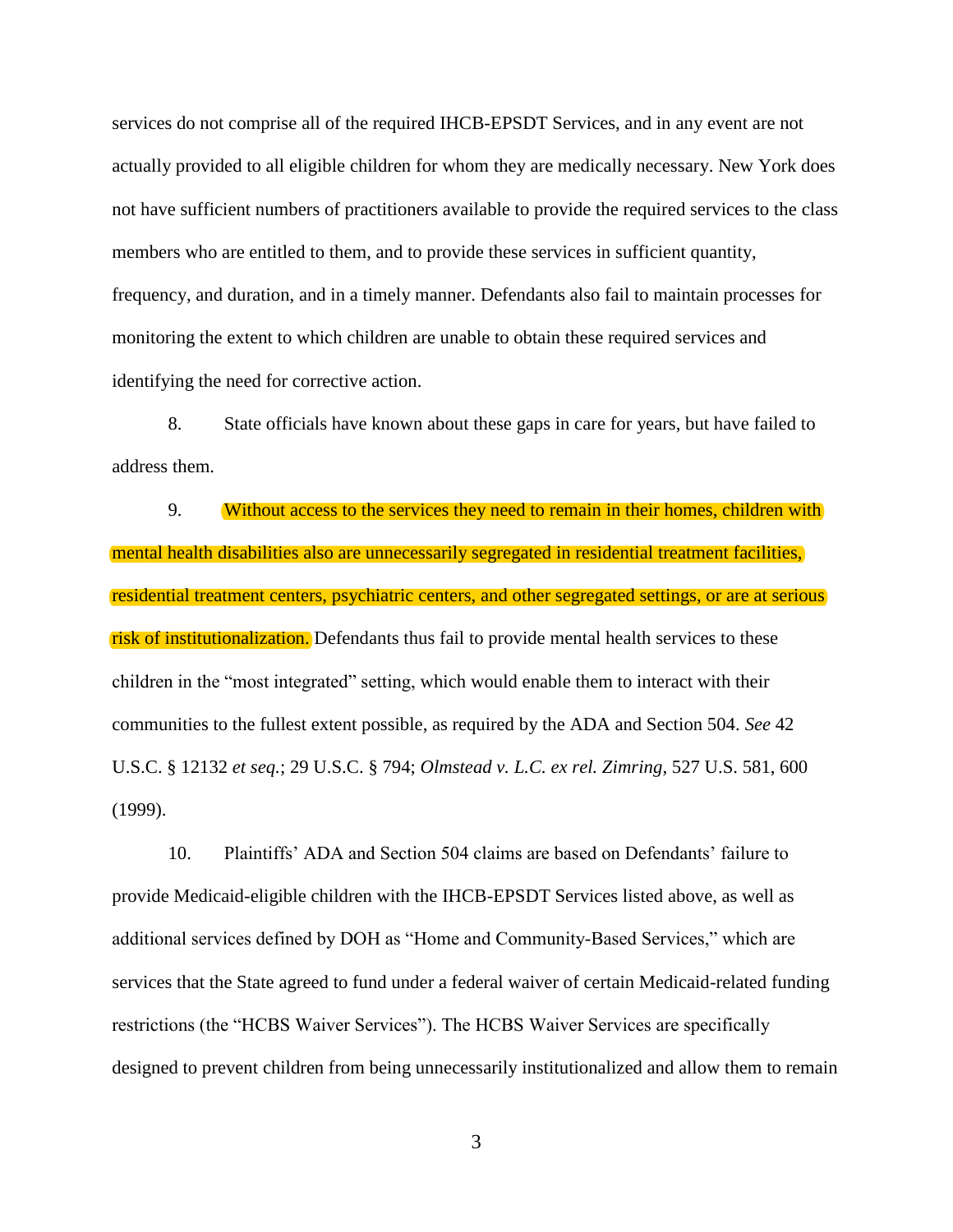services do not comprise all of the required IHCB-EPSDT Services, and in any event are not actually provided to all eligible children for whom they are medically necessary. New York does not have sufficient numbers of practitioners available to provide the required services to the class members who are entitled to them, and to provide these services in sufficient quantity, frequency, and duration, and in a timely manner. Defendants also fail to maintain processes for monitoring the extent to which children are unable to obtain these required services and identifying the need for corrective action.

8. State officials have known about these gaps in care for years, but have failed to address them.

9. Without access to the services they need to remain in their homes, children with mental health disabilities also are unnecessarily segregated in residential treatment facilities, residential treatment centers, psychiatric centers, and other segregated settings, or are at serious risk of institutionalization. Defendants thus fail to provide mental health services to these children in the "most integrated" setting, which would enable them to interact with their communities to the fullest extent possible, as required by the ADA and Section 504. *See* 42 U.S.C. § 12132 *et seq.*; 29 U.S.C. § 794; *Olmstead v. L.C. ex rel. Zimring*, 527 U.S. 581, 600 (1999).

10. Plaintiffs' ADA and Section 504 claims are based on Defendants' failure to provide Medicaid-eligible children with the IHCB-EPSDT Services listed above, as well as additional services defined by DOH as "Home and Community-Based Services," which are services that the State agreed to fund under a federal waiver of certain Medicaid-related funding restrictions (the "HCBS Waiver Services"). The HCBS Waiver Services are specifically designed to prevent children from being unnecessarily institutionalized and allow them to remain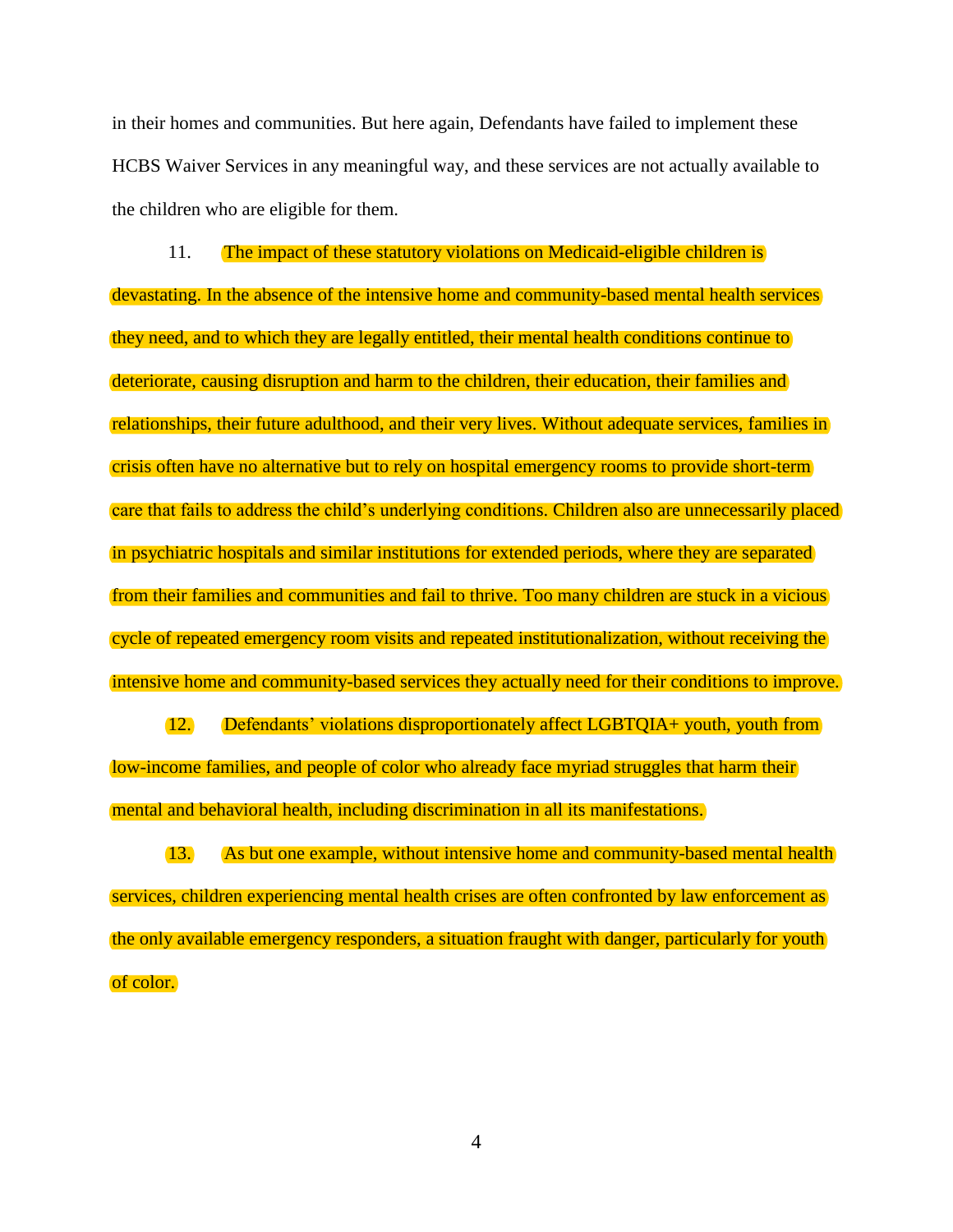in their homes and communities. But here again, Defendants have failed to implement these HCBS Waiver Services in any meaningful way, and these services are not actually available to the children who are eligible for them.

11. The impact of these statutory violations on Medicaid-eligible children is devastating. In the absence of the intensive home and community-based mental health services they need, and to which they are legally entitled, their mental health conditions continue to deteriorate, causing disruption and harm to the children, their education, their families and relationships, their future adulthood, and their very lives. Without adequate services, families in crisis often have no alternative but to rely on hospital emergency rooms to provide short-term care that fails to address the child's underlying conditions. Children also are unnecessarily placed in psychiatric hospitals and similar institutions for extended periods, where they are separated from their families and communities and fail to thrive. Too many children are stuck in a vicious cycle of repeated emergency room visits and repeated institutionalization, without receiving the intensive home and community-based services they actually need for their conditions to improve.

12. Defendants' violations disproportionately affect LGBTQIA+ youth, youth from low-income families, and people of color who already face myriad struggles that harm their mental and behavioral health, including discrimination in all its manifestations.

13. As but one example, without intensive home and community-based mental health services, children experiencing mental health crises are often confronted by law enforcement as the only available emergency responders, a situation fraught with danger, particularly for youth of color.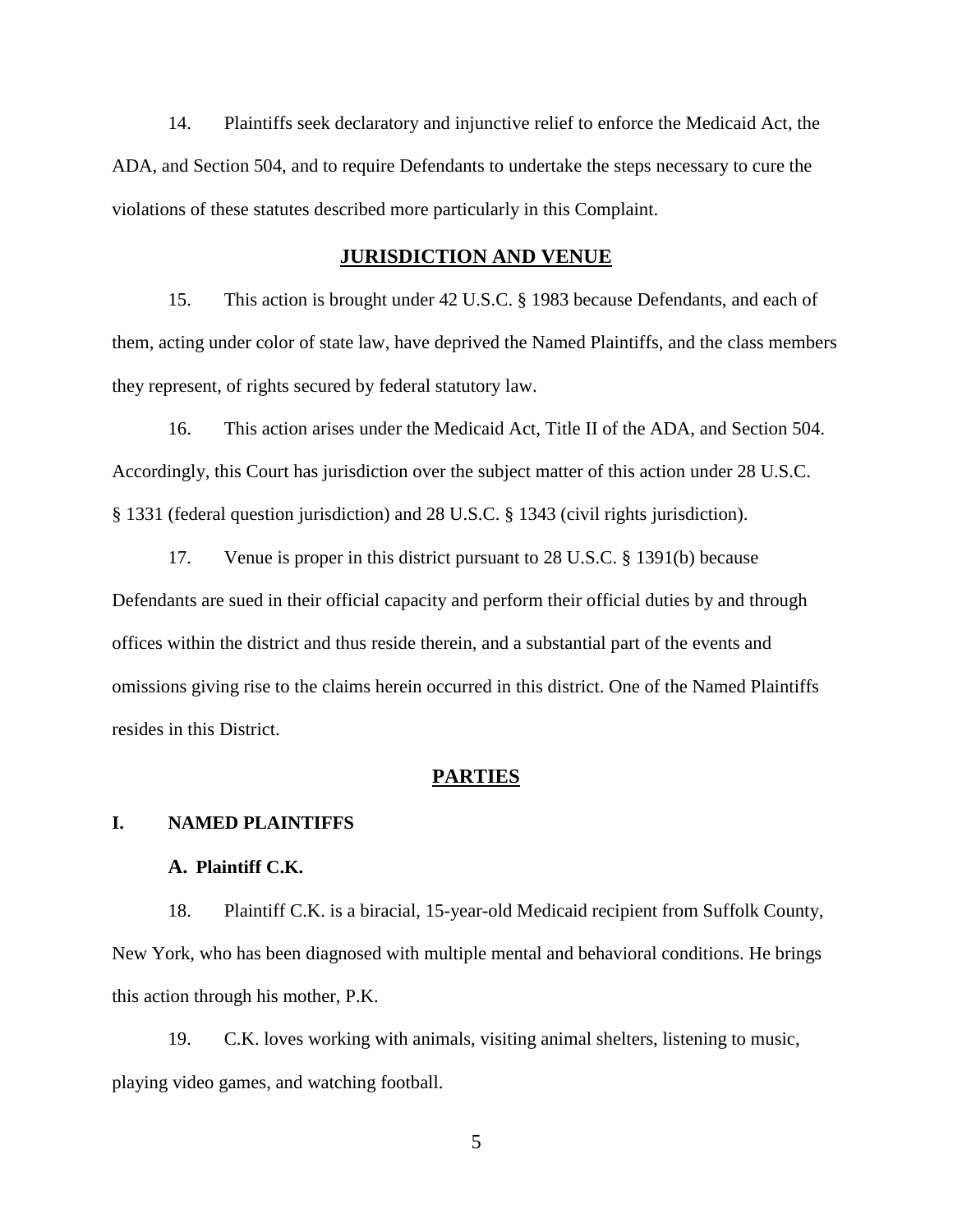14. Plaintiffs seek declaratory and injunctive relief to enforce the Medicaid Act, the ADA, and Section 504, and to require Defendants to undertake the steps necessary to cure the violations of these statutes described more particularly in this Complaint.

### **JURISDICTION AND VENUE**

<span id="page-7-0"></span>15. This action is brought under 42 U.S.C. § 1983 because Defendants, and each of them, acting under color of state law, have deprived the Named Plaintiffs, and the class members they represent, of rights secured by federal statutory law.

16. This action arises under the Medicaid Act, Title II of the ADA, and Section 504. Accordingly, this Court has jurisdiction over the subject matter of this action under 28 U.S.C. § 1331 (federal question jurisdiction) and 28 U.S.C. § 1343 (civil rights jurisdiction).

17. Venue is proper in this district pursuant to 28 U.S.C. § 1391(b) because Defendants are sued in their official capacity and perform their official duties by and through offices within the district and thus reside therein, and a substantial part of the events and omissions giving rise to the claims herein occurred in this district. One of the Named Plaintiffs resides in this District.

#### **PARTIES**

### <span id="page-7-2"></span><span id="page-7-1"></span>**I. NAMED PLAINTIFFS**

#### **A. Plaintiff C.K.**

18. Plaintiff C.K. is a biracial, 15-year-old Medicaid recipient from Suffolk County, New York, who has been diagnosed with multiple mental and behavioral conditions. He brings this action through his mother, P.K.

19. C.K. loves working with animals, visiting animal shelters, listening to music, playing video games, and watching football.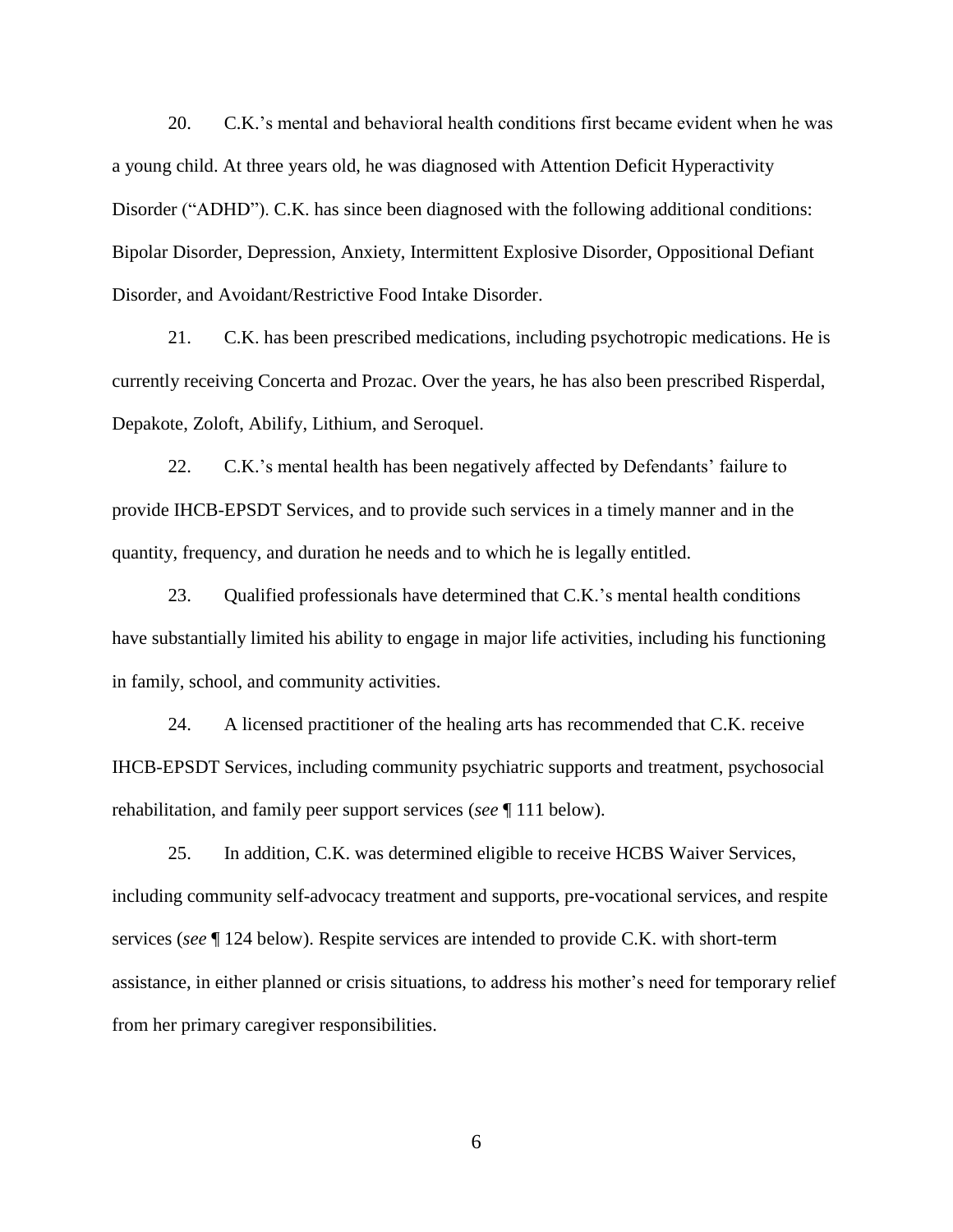20. C.K.'s mental and behavioral health conditions first became evident when he was a young child. At three years old, he was diagnosed with Attention Deficit Hyperactivity Disorder ("ADHD"). C.K. has since been diagnosed with the following additional conditions: Bipolar Disorder, Depression, Anxiety, Intermittent Explosive Disorder, Oppositional Defiant Disorder, and Avoidant/Restrictive Food Intake Disorder.

21. C.K. has been prescribed medications, including psychotropic medications. He is currently receiving Concerta and Prozac. Over the years, he has also been prescribed Risperdal, Depakote, Zoloft, Abilify, Lithium, and Seroquel.

22. C.K.'s mental health has been negatively affected by Defendants' failure to provide IHCB-EPSDT Services, and to provide such services in a timely manner and in the quantity, frequency, and duration he needs and to which he is legally entitled.

23. Qualified professionals have determined that C.K.'s mental health conditions have substantially limited his ability to engage in major life activities, including his functioning in family, school, and community activities.

24. A licensed practitioner of the healing arts has recommended that C.K. receive IHCB-EPSDT Services, including community psychiatric supports and treatment, psychosocial rehabilitation, and family peer support services (*see* ¶ 111 below).

25. In addition, C.K. was determined eligible to receive HCBS Waiver Services, including community self-advocacy treatment and supports, pre-vocational services, and respite services (*see* ¶ 124 below). Respite services are intended to provide C.K. with short-term assistance, in either planned or crisis situations, to address his mother's need for temporary relief from her primary caregiver responsibilities.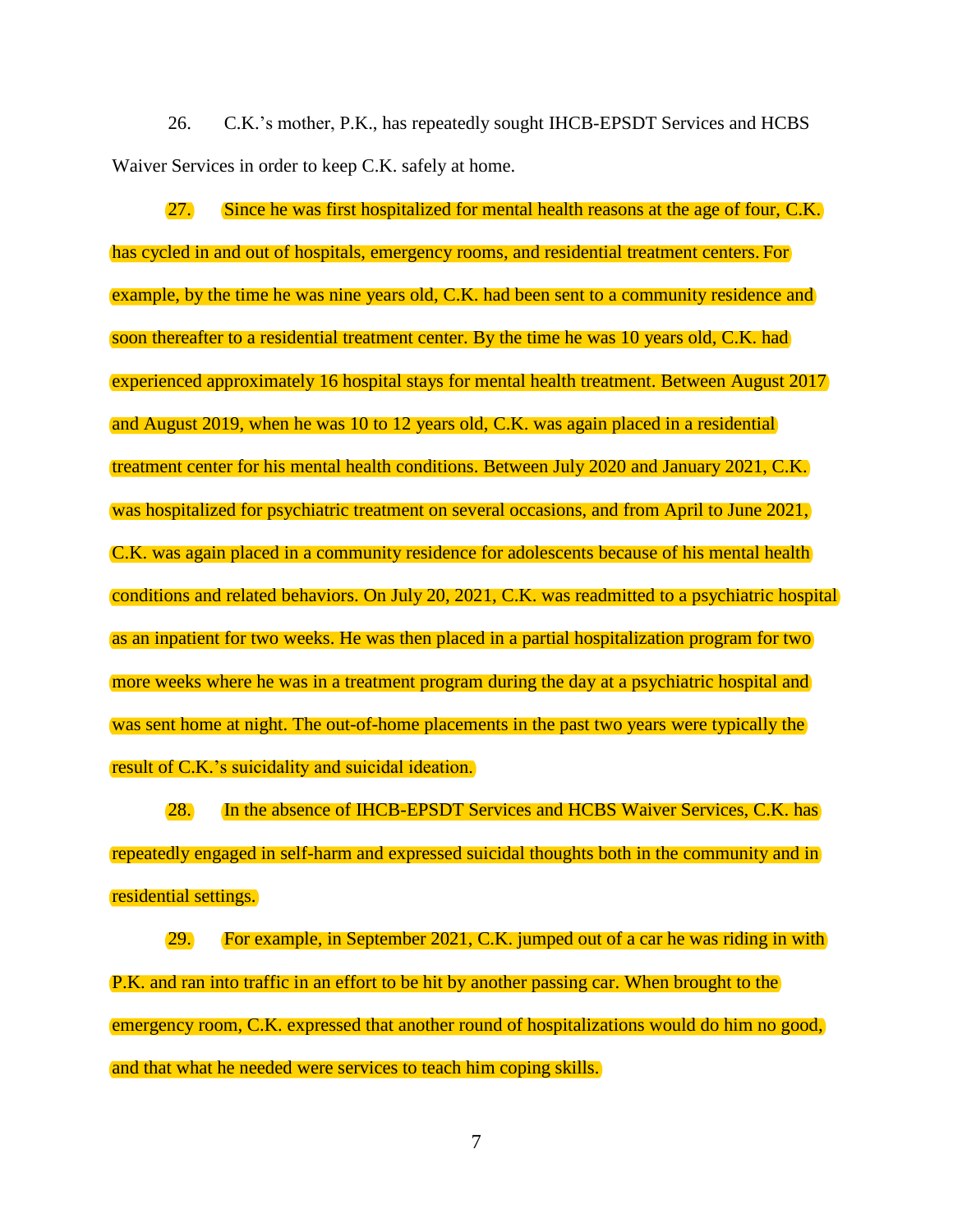26. C.K.'s mother, P.K., has repeatedly sought IHCB-EPSDT Services and HCBS Waiver Services in order to keep C.K. safely at home.

27. Since he was first hospitalized for mental health reasons at the age of four, C.K. has cycled in and out of hospitals, emergency rooms, and residential treatment centers. For example, by the time he was nine years old, C.K. had been sent to a community residence and soon thereafter to a residential treatment center. By the time he was 10 years old, C.K. had experienced approximately 16 hospital stays for mental health treatment. Between August 2017 and August 2019, when he was 10 to 12 years old, C.K. was again placed in a residential treatment center for his mental health conditions. Between July 2020 and January 2021, C.K. was hospitalized for psychiatric treatment on several occasions, and from April to June 2021, C.K. was again placed in a community residence for adolescents because of his mental health conditions and related behaviors. On July 20, 2021, C.K. was readmitted to a psychiatric hospital as an inpatient for two weeks. He was then placed in a partial hospitalization program for two more weeks where he was in a treatment program during the day at a psychiatric hospital and was sent home at night. The out-of-home placements in the past two years were typically the result of C.K.'s suicidality and suicidal ideation.

28. In the absence of IHCB-EPSDT Services and HCBS Waiver Services, C.K. has repeatedly engaged in self-harm and expressed suicidal thoughts both in the community and in residential settings.

29. For example, in September 2021, C.K. jumped out of a car he was riding in with P.K. and ran into traffic in an effort to be hit by another passing car. When brought to the emergency room, C.K. expressed that another round of hospitalizations would do him no good, and that what he needed were services to teach him coping skills.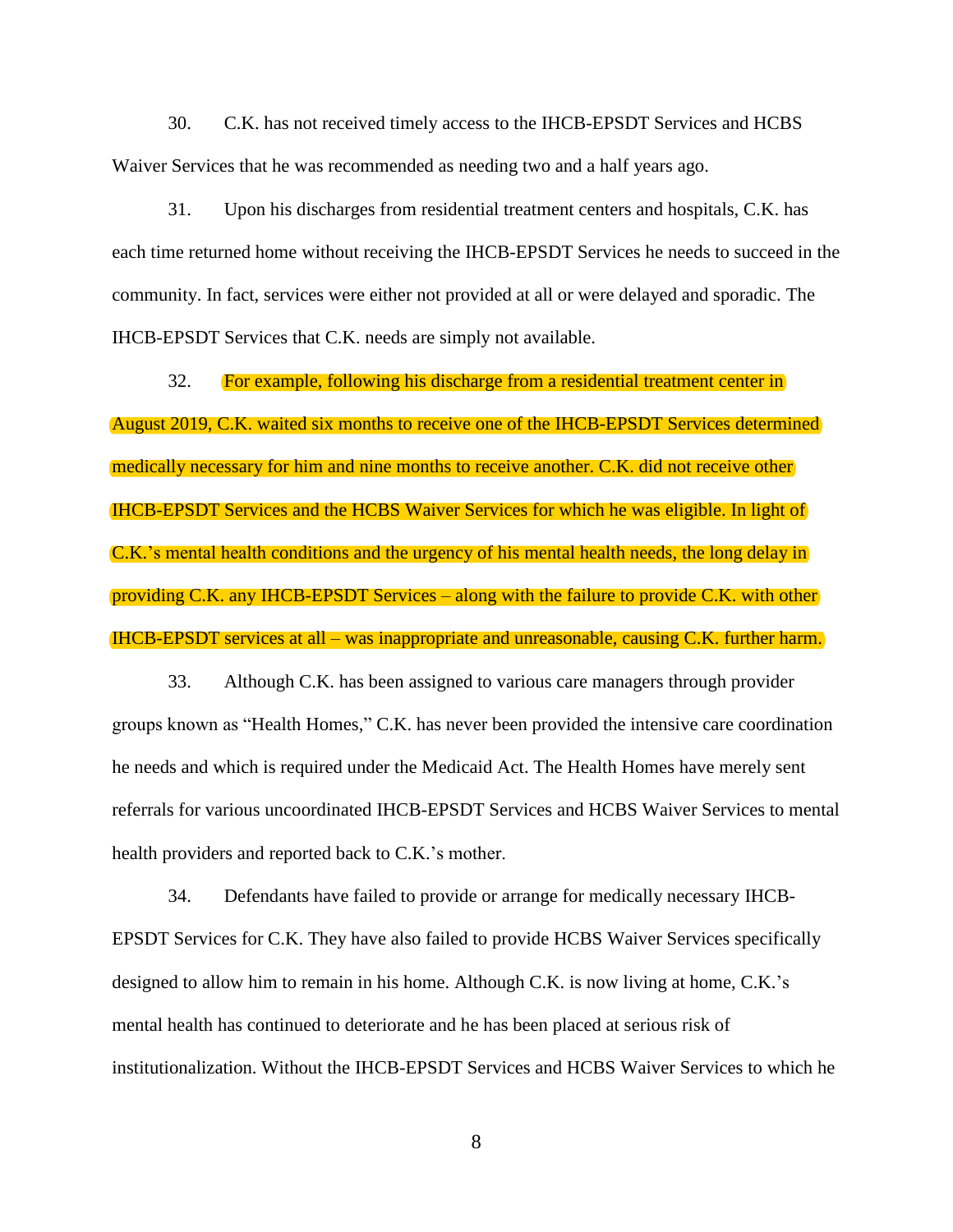30. C.K. has not received timely access to the IHCB-EPSDT Services and HCBS Waiver Services that he was recommended as needing two and a half years ago.

31. Upon his discharges from residential treatment centers and hospitals, C.K. has each time returned home without receiving the IHCB-EPSDT Services he needs to succeed in the community. In fact, services were either not provided at all or were delayed and sporadic. The IHCB-EPSDT Services that C.K. needs are simply not available.

32. For example, following his discharge from a residential treatment center in August 2019, C.K. waited six months to receive one of the IHCB-EPSDT Services determined medically necessary for him and nine months to receive another. C.K. did not receive other IHCB-EPSDT Services and the HCBS Waiver Services for which he was eligible. In light of C.K.'s mental health conditions and the urgency of his mental health needs, the long delay in providing C.K. any IHCB-EPSDT Services – along with the failure to provide C.K. with other IHCB-EPSDT services at all – was inappropriate and unreasonable, causing C.K. further harm.

33. Although C.K. has been assigned to various care managers through provider groups known as "Health Homes," C.K. has never been provided the intensive care coordination he needs and which is required under the Medicaid Act. The Health Homes have merely sent referrals for various uncoordinated IHCB-EPSDT Services and HCBS Waiver Services to mental health providers and reported back to C.K.'s mother.

34. Defendants have failed to provide or arrange for medically necessary IHCB-EPSDT Services for C.K. They have also failed to provide HCBS Waiver Services specifically designed to allow him to remain in his home. Although C.K. is now living at home, C.K.'s mental health has continued to deteriorate and he has been placed at serious risk of institutionalization. Without the IHCB-EPSDT Services and HCBS Waiver Services to which he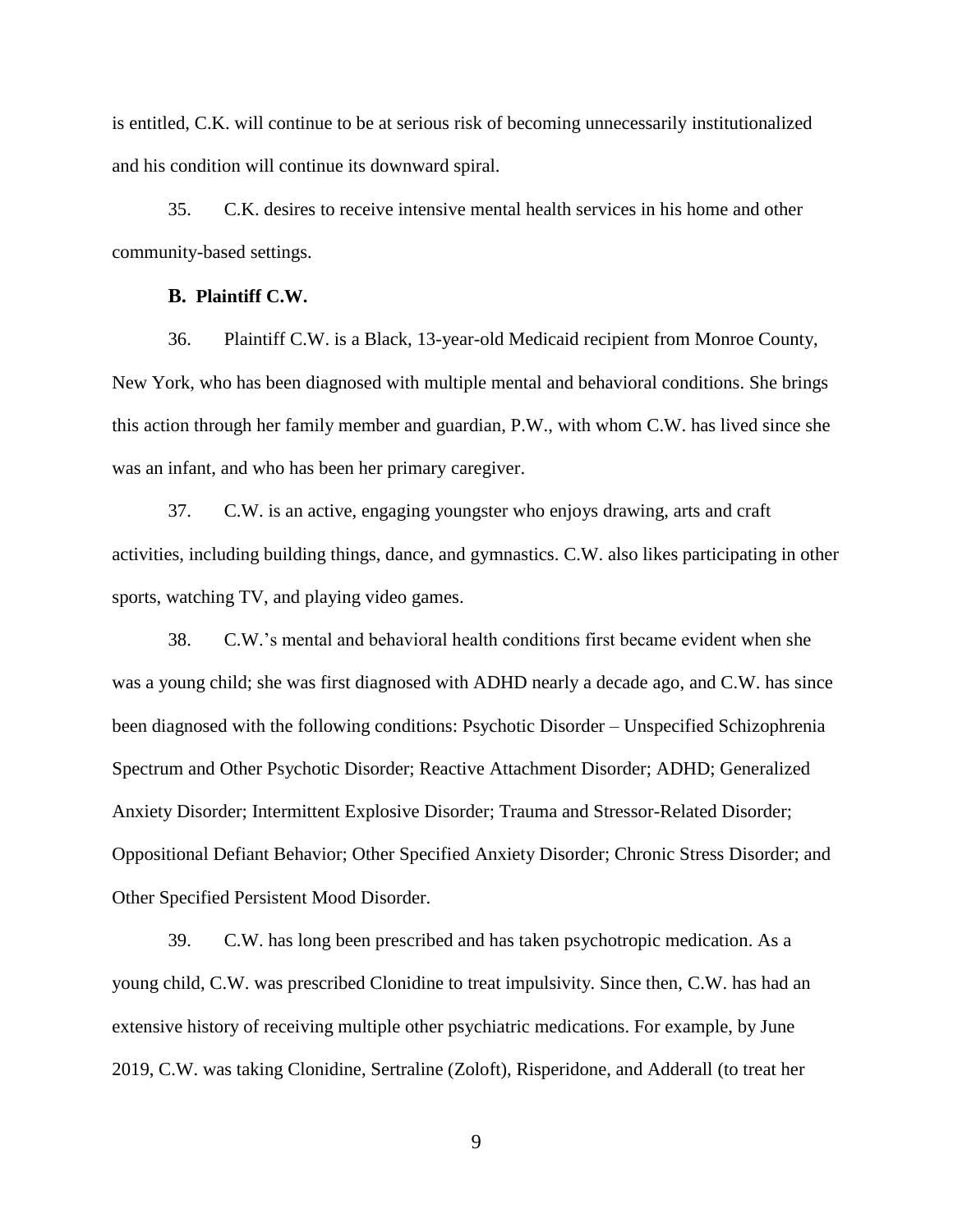is entitled, C.K. will continue to be at serious risk of becoming unnecessarily institutionalized and his condition will continue its downward spiral.

35. C.K. desires to receive intensive mental health services in his home and other community-based settings.

#### **B. Plaintiff C.W.**

36. Plaintiff C.W. is a Black, 13-year-old Medicaid recipient from Monroe County, New York, who has been diagnosed with multiple mental and behavioral conditions. She brings this action through her family member and guardian, P.W., with whom C.W. has lived since she was an infant, and who has been her primary caregiver.

37. C.W. is an active, engaging youngster who enjoys drawing, arts and craft activities, including building things, dance, and gymnastics. C.W. also likes participating in other sports, watching TV, and playing video games.

38. C.W.'s mental and behavioral health conditions first became evident when she was a young child; she was first diagnosed with ADHD nearly a decade ago, and C.W. has since been diagnosed with the following conditions: Psychotic Disorder – Unspecified Schizophrenia Spectrum and Other Psychotic Disorder; Reactive Attachment Disorder; ADHD; Generalized Anxiety Disorder; Intermittent Explosive Disorder; Trauma and Stressor-Related Disorder; Oppositional Defiant Behavior; Other Specified Anxiety Disorder; Chronic Stress Disorder; and Other Specified Persistent Mood Disorder.

39. C.W. has long been prescribed and has taken psychotropic medication. As a young child, C.W. was prescribed Clonidine to treat impulsivity. Since then, C.W. has had an extensive history of receiving multiple other psychiatric medications. For example, by June 2019, C.W. was taking Clonidine, Sertraline (Zoloft), Risperidone, and Adderall (to treat her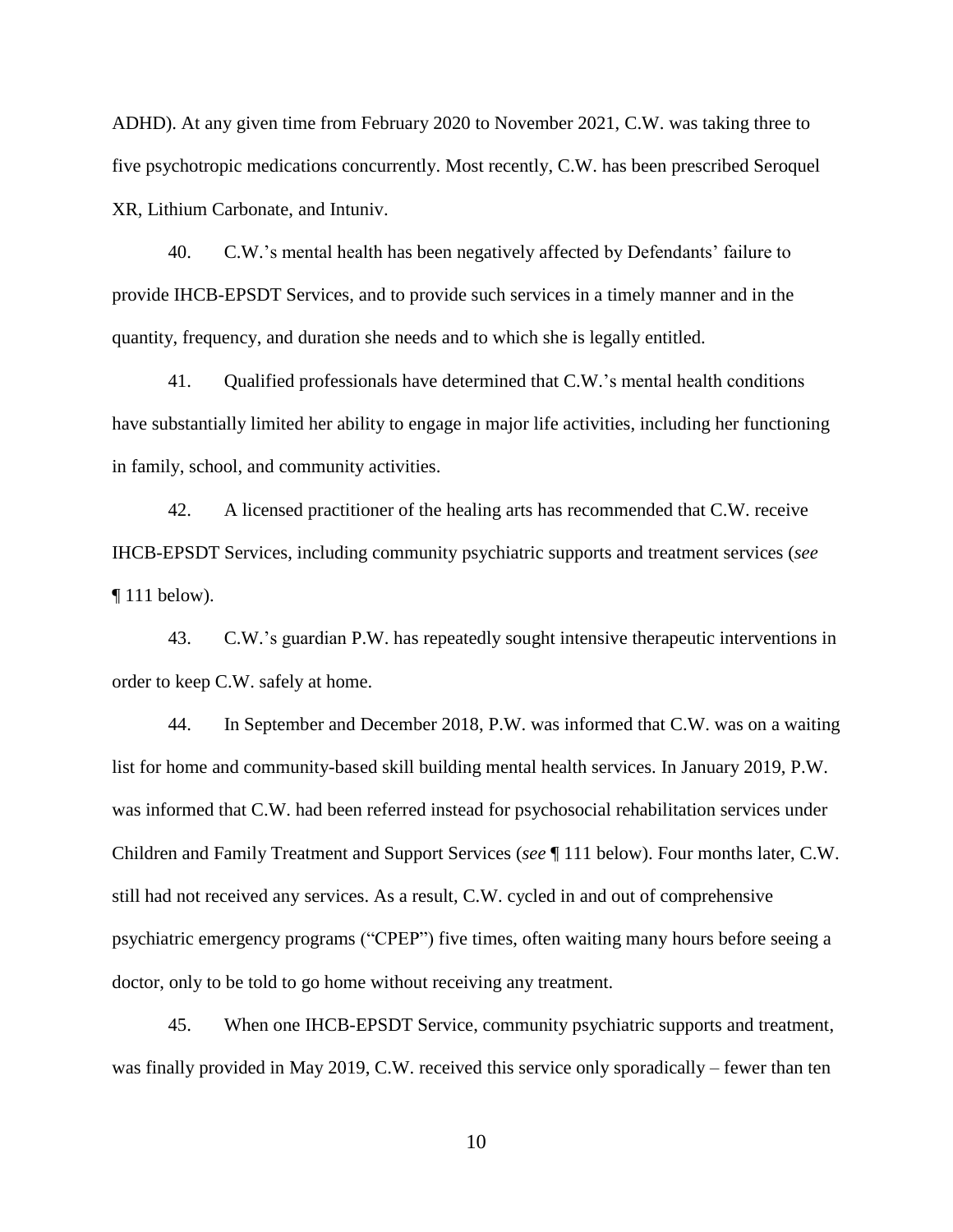ADHD). At any given time from February 2020 to November 2021, C.W. was taking three to five psychotropic medications concurrently. Most recently, C.W. has been prescribed Seroquel XR, Lithium Carbonate, and Intuniv.

40. C.W.'s mental health has been negatively affected by Defendants' failure to provide IHCB-EPSDT Services, and to provide such services in a timely manner and in the quantity, frequency, and duration she needs and to which she is legally entitled.

41. Qualified professionals have determined that C.W.'s mental health conditions have substantially limited her ability to engage in major life activities, including her functioning in family, school, and community activities.

42. A licensed practitioner of the healing arts has recommended that C.W. receive IHCB-EPSDT Services, including community psychiatric supports and treatment services (*see*  $\P$  111 below).

43. C.W.'s guardian P.W. has repeatedly sought intensive therapeutic interventions in order to keep C.W. safely at home.

44. In September and December 2018, P.W. was informed that C.W. was on a waiting list for home and community-based skill building mental health services. In January 2019, P.W. was informed that C.W. had been referred instead for psychosocial rehabilitation services under Children and Family Treatment and Support Services (*see* ¶ 111 below). Four months later, C.W. still had not received any services. As a result, C.W. cycled in and out of comprehensive psychiatric emergency programs ("CPEP") five times, often waiting many hours before seeing a doctor, only to be told to go home without receiving any treatment.

45. When one IHCB-EPSDT Service, community psychiatric supports and treatment, was finally provided in May 2019, C.W. received this service only sporadically – fewer than ten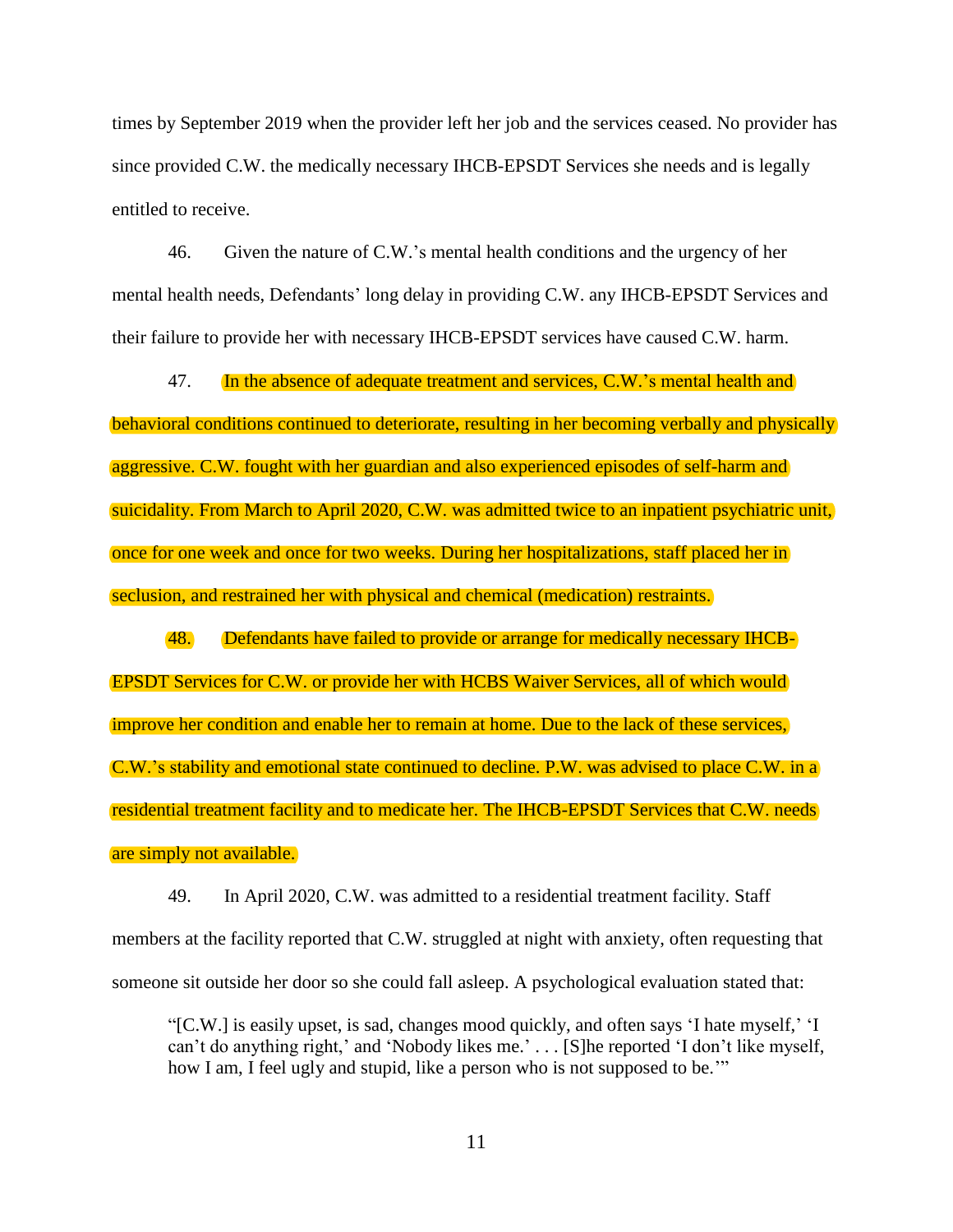times by September 2019 when the provider left her job and the services ceased. No provider has since provided C.W. the medically necessary IHCB-EPSDT Services she needs and is legally entitled to receive.

46. Given the nature of C.W.'s mental health conditions and the urgency of her mental health needs, Defendants' long delay in providing C.W. any IHCB-EPSDT Services and their failure to provide her with necessary IHCB-EPSDT services have caused C.W. harm.

47. In the absence of adequate treatment and services, C.W.'s mental health and behavioral conditions continued to deteriorate, resulting in her becoming verbally and physically aggressive. C.W. fought with her guardian and also experienced episodes of self-harm and suicidality. From March to April 2020, C.W. was admitted twice to an inpatient psychiatric unit, once for one week and once for two weeks. During her hospitalizations, staff placed her in seclusion, and restrained her with physical and chemical (medication) restraints.

48. Defendants have failed to provide or arrange for medically necessary IHCB-EPSDT Services for C.W. or provide her with HCBS Waiver Services, all of which would improve her condition and enable her to remain at home. Due to the lack of these services, C.W.'s stability and emotional state continued to decline. P.W. was advised to place C.W. in a residential treatment facility and to medicate her. The IHCB-EPSDT Services that C.W. needs are simply not available.

49. In April 2020, C.W. was admitted to a residential treatment facility. Staff members at the facility reported that C.W. struggled at night with anxiety, often requesting that someone sit outside her door so she could fall asleep. A psychological evaluation stated that:

"[C.W.] is easily upset, is sad, changes mood quickly, and often says 'I hate myself,' 'I can't do anything right,' and 'Nobody likes me.' . . . [S]he reported 'I don't like myself, how I am, I feel ugly and stupid, like a person who is not supposed to be."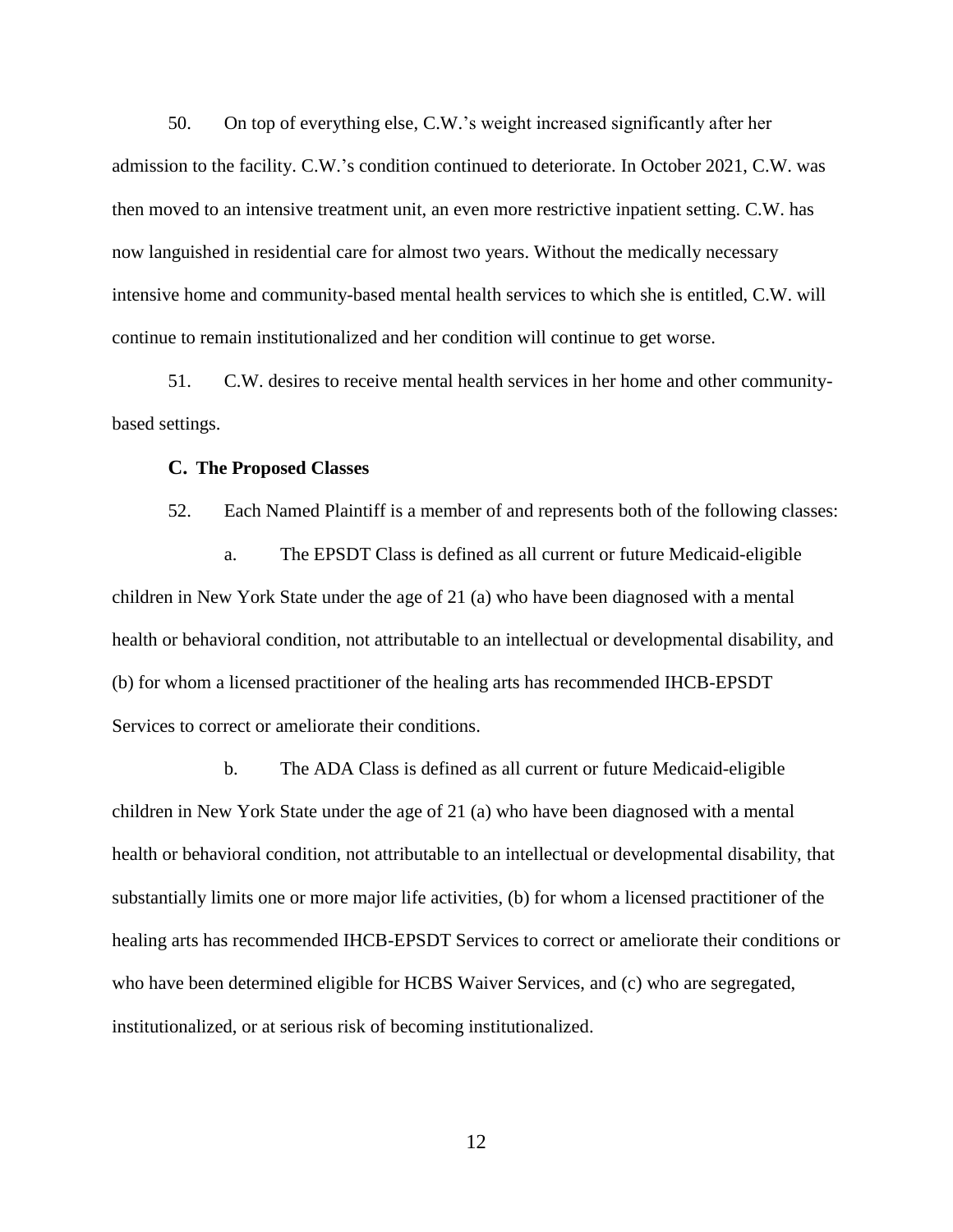50. On top of everything else, C.W.'s weight increased significantly after her admission to the facility. C.W.'s condition continued to deteriorate. In October 2021, C.W. was then moved to an intensive treatment unit, an even more restrictive inpatient setting. C.W. has now languished in residential care for almost two years. Without the medically necessary intensive home and community-based mental health services to which she is entitled, C.W. will continue to remain institutionalized and her condition will continue to get worse.

51. C.W. desires to receive mental health services in her home and other communitybased settings.

#### **C. The Proposed Classes**

52. Each Named Plaintiff is a member of and represents both of the following classes:

a. The EPSDT Class is defined as all current or future Medicaid-eligible children in New York State under the age of 21 (a) who have been diagnosed with a mental health or behavioral condition, not attributable to an intellectual or developmental disability, and (b) for whom a licensed practitioner of the healing arts has recommended IHCB-EPSDT Services to correct or ameliorate their conditions.

b. The ADA Class is defined as all current or future Medicaid-eligible children in New York State under the age of 21 (a) who have been diagnosed with a mental health or behavioral condition, not attributable to an intellectual or developmental disability, that substantially limits one or more major life activities, (b) for whom a licensed practitioner of the healing arts has recommended IHCB-EPSDT Services to correct or ameliorate their conditions or who have been determined eligible for HCBS Waiver Services, and (c) who are segregated, institutionalized, or at serious risk of becoming institutionalized.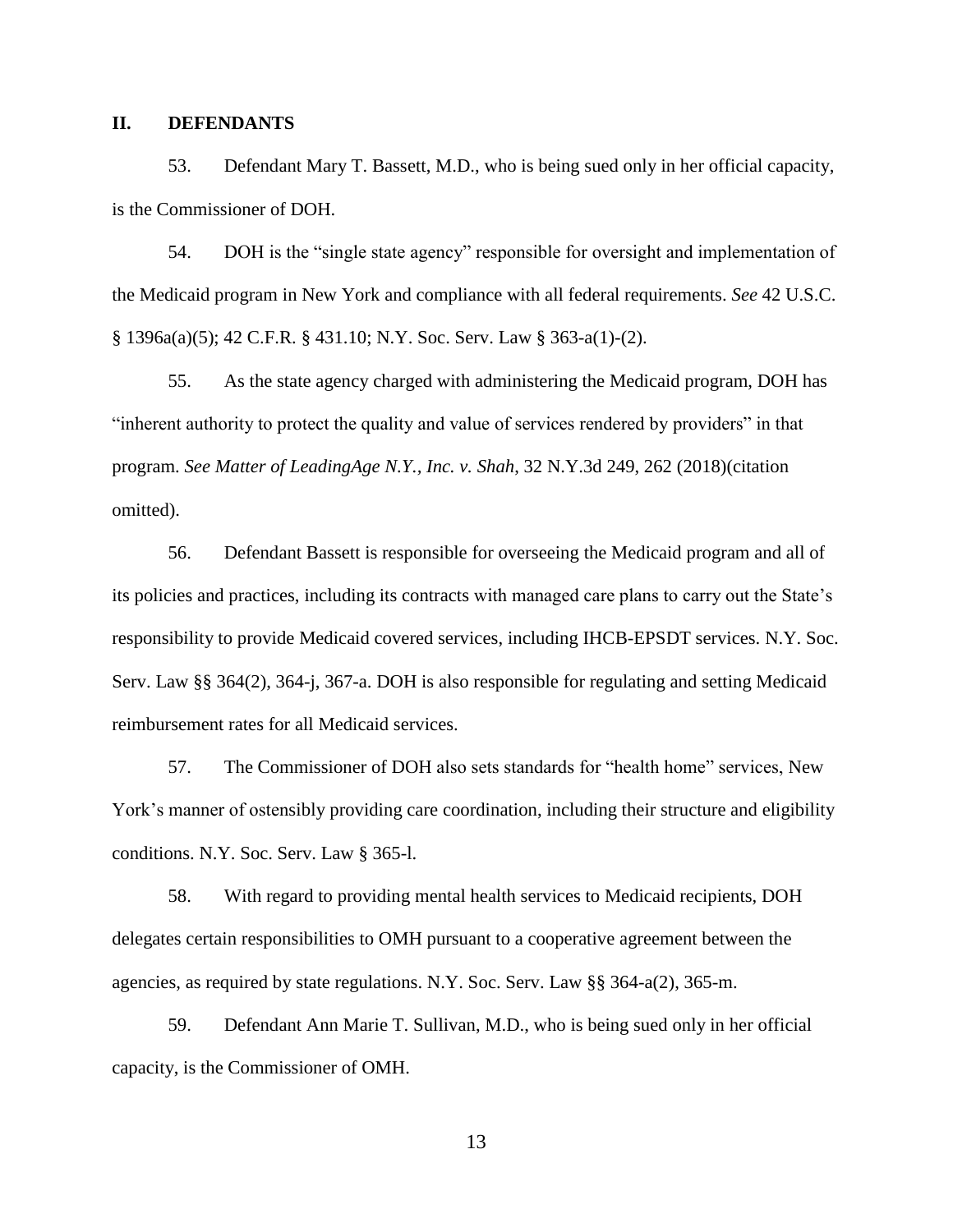### <span id="page-15-0"></span>**II. DEFENDANTS**

53. Defendant Mary T. Bassett, M.D., who is being sued only in her official capacity, is the Commissioner of DOH.

54. DOH is the "single state agency" responsible for oversight and implementation of the Medicaid program in New York and compliance with all federal requirements. *See* 42 U.S.C. § 1396a(a)(5); 42 C.F.R. § 431.10; N.Y. Soc. Serv. Law § 363-a(1)-(2).

55. As the state agency charged with administering the Medicaid program, DOH has "inherent authority to protect the quality and value of services rendered by providers" in that program. *See Matter of LeadingAge N.Y., Inc. v. Shah*, 32 N.Y.3d 249, 262 (2018)(citation omitted).

56. Defendant Bassett is responsible for overseeing the Medicaid program and all of its policies and practices, including its contracts with managed care plans to carry out the State's responsibility to provide Medicaid covered services, including IHCB-EPSDT services. N.Y. Soc. Serv. Law §§ 364(2), 364-j, 367-a. DOH is also responsible for regulating and setting Medicaid reimbursement rates for all Medicaid services.

57. The Commissioner of DOH also sets standards for "health home" services, New York's manner of ostensibly providing care coordination, including their structure and eligibility conditions. N.Y. Soc. Serv. Law § 365-l.

58. With regard to providing mental health services to Medicaid recipients, DOH delegates certain responsibilities to OMH pursuant to a cooperative agreement between the agencies, as required by state regulations. N.Y. Soc. Serv. Law §§ 364-a(2), 365-m.

59. Defendant Ann Marie T. Sullivan, M.D., who is being sued only in her official capacity, is the Commissioner of OMH.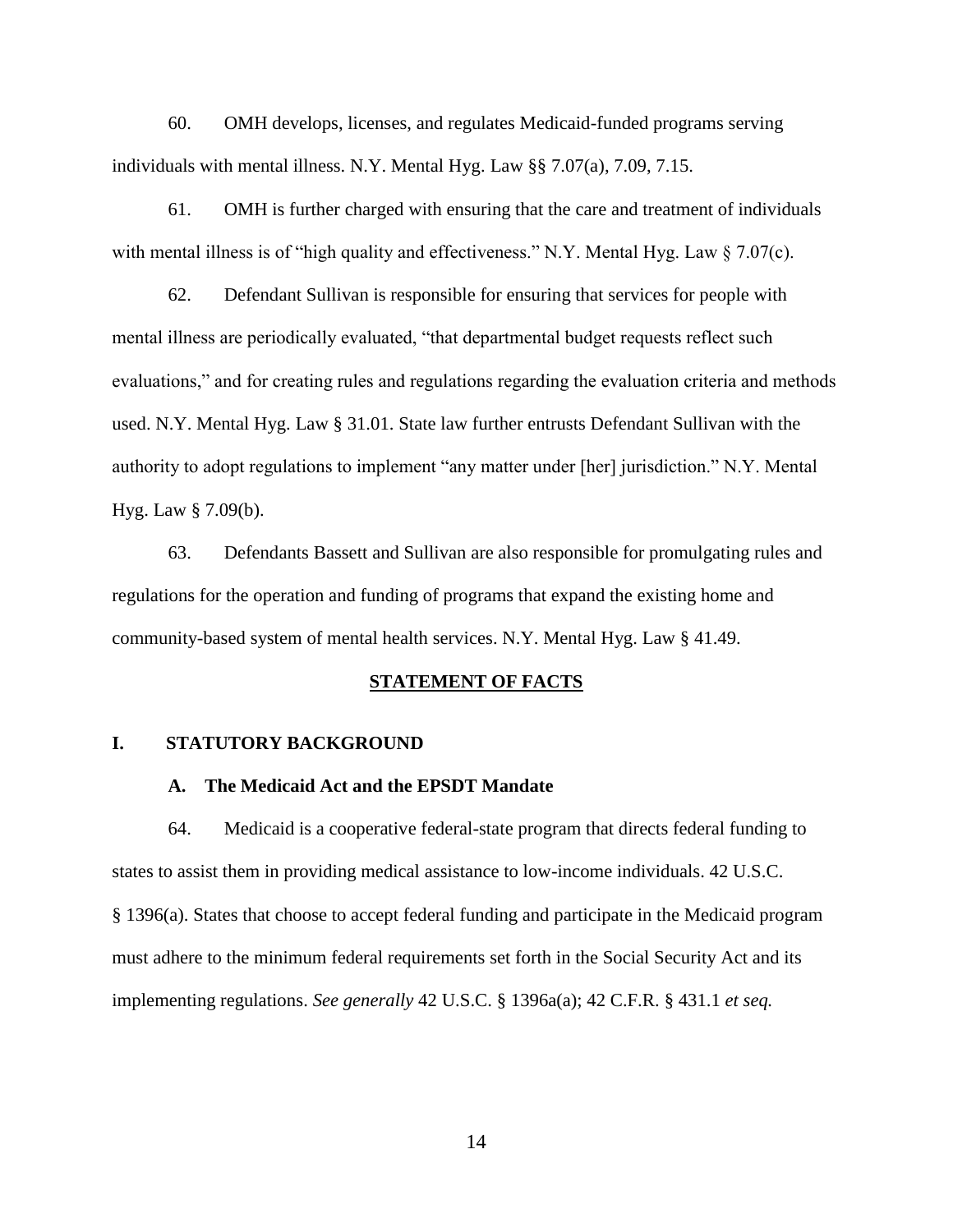60. OMH develops, licenses, and regulates Medicaid-funded programs serving individuals with mental illness. N.Y. Mental Hyg. Law §§ 7.07(a), 7.09, 7.15.

61. OMH is further charged with ensuring that the care and treatment of individuals with mental illness is of "high quality and effectiveness." N.Y. Mental Hyg. Law § 7.07(c).

62. Defendant Sullivan is responsible for ensuring that services for people with mental illness are periodically evaluated, "that departmental budget requests reflect such evaluations," and for creating rules and regulations regarding the evaluation criteria and methods used. N.Y. Mental Hyg. Law § 31.01. State law further entrusts Defendant Sullivan with the authority to adopt regulations to implement "any matter under [her] jurisdiction." N.Y. Mental Hyg. Law § 7.09(b).

63. Defendants Bassett and Sullivan are also responsible for promulgating rules and regulations for the operation and funding of programs that expand the existing home and community-based system of mental health services. N.Y. Mental Hyg. Law § 41.49.

#### **STATEMENT OF FACTS**

#### <span id="page-16-2"></span><span id="page-16-1"></span><span id="page-16-0"></span>**I. STATUTORY BACKGROUND**

#### **A. The Medicaid Act and the EPSDT Mandate**

64. Medicaid is a cooperative federal-state program that directs federal funding to states to assist them in providing medical assistance to low-income individuals. 42 U.S.C. § 1396(a). States that choose to accept federal funding and participate in the Medicaid program must adhere to the minimum federal requirements set forth in the Social Security Act and its implementing regulations. *See generally* 42 U.S.C. § 1396a(a); 42 C.F.R. § 431.1 *et seq.*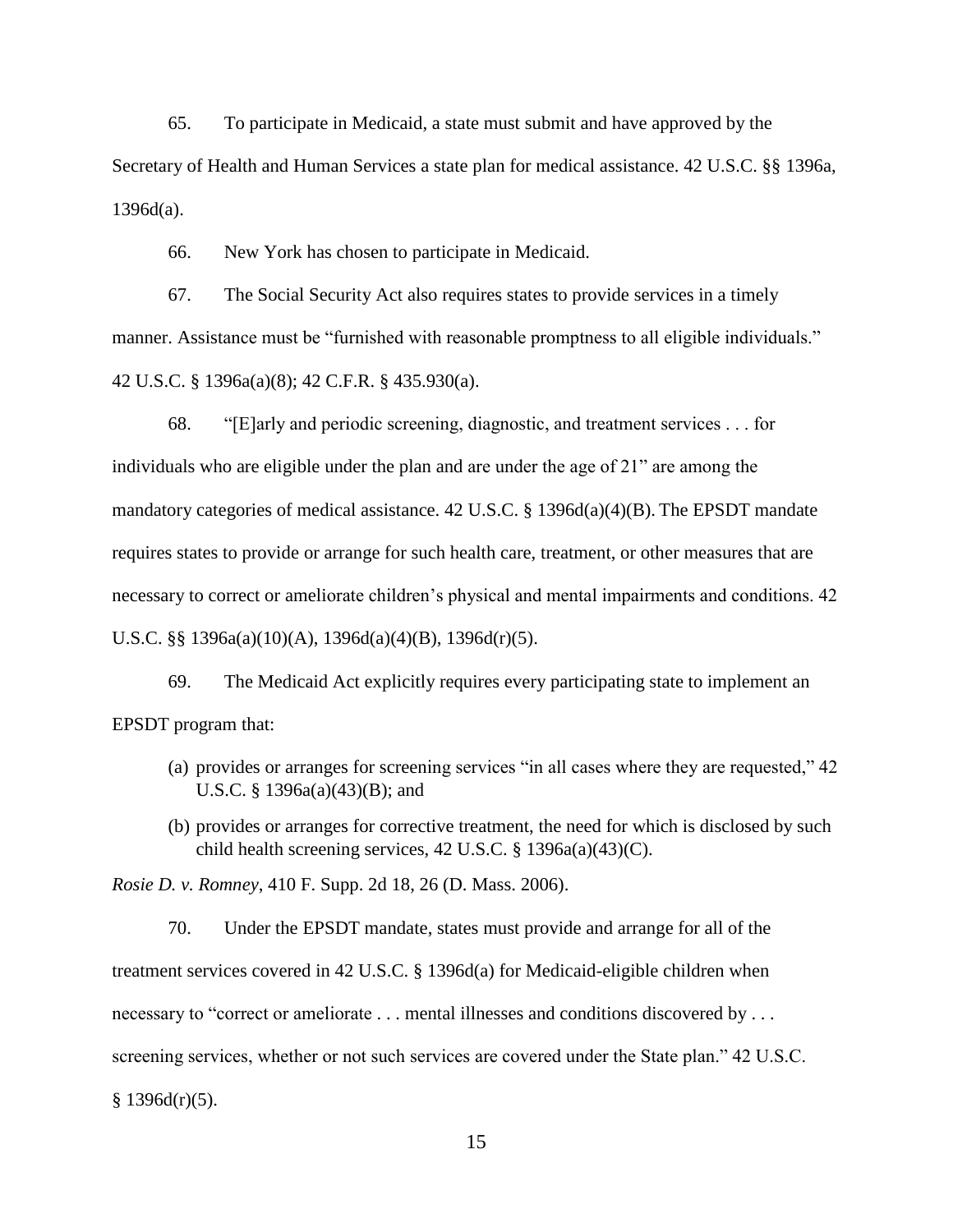65. To participate in Medicaid, a state must submit and have approved by the Secretary of Health and Human Services a state plan for medical assistance. 42 U.S.C. §§ 1396a,  $1396d(a)$ .

66. New York has chosen to participate in Medicaid.

67. The Social Security Act also requires states to provide services in a timely manner. Assistance must be "furnished with reasonable promptness to all eligible individuals." 42 U.S.C. § 1396a(a)(8); 42 C.F.R. § 435.930(a).

68. "[E]arly and periodic screening, diagnostic, and treatment services . . . for individuals who are eligible under the plan and are under the age of 21" are among the mandatory categories of medical assistance. 42 U.S.C. § 1396d(a)(4)(B). The EPSDT mandate requires states to provide or arrange for such health care, treatment, or other measures that are necessary to correct or ameliorate children's physical and mental impairments and conditions. 42 U.S.C. §§ 1396a(a)(10)(A), 1396d(a)(4)(B), 1396d(r)(5).

69. The Medicaid Act explicitly requires every participating state to implement an EPSDT program that:

- (a) provides or arranges for screening services "in all cases where they are requested," 42 U.S.C. § 1396a(a)(43)(B); and
- (b) provides or arranges for corrective treatment, the need for which is disclosed by such child health screening services, 42 U.S.C. § 1396a(a)(43)(C).

*Rosie D. v. Romney*, 410 F. Supp. 2d 18, 26 (D. Mass. 2006).

70. Under the EPSDT mandate, states must provide and arrange for all of the treatment services covered in 42 U.S.C. § 1396d(a) for Medicaid-eligible children when necessary to "correct or ameliorate . . . mental illnesses and conditions discovered by . . . screening services, whether or not such services are covered under the State plan." 42 U.S.C.  $§$  1396d(r)(5).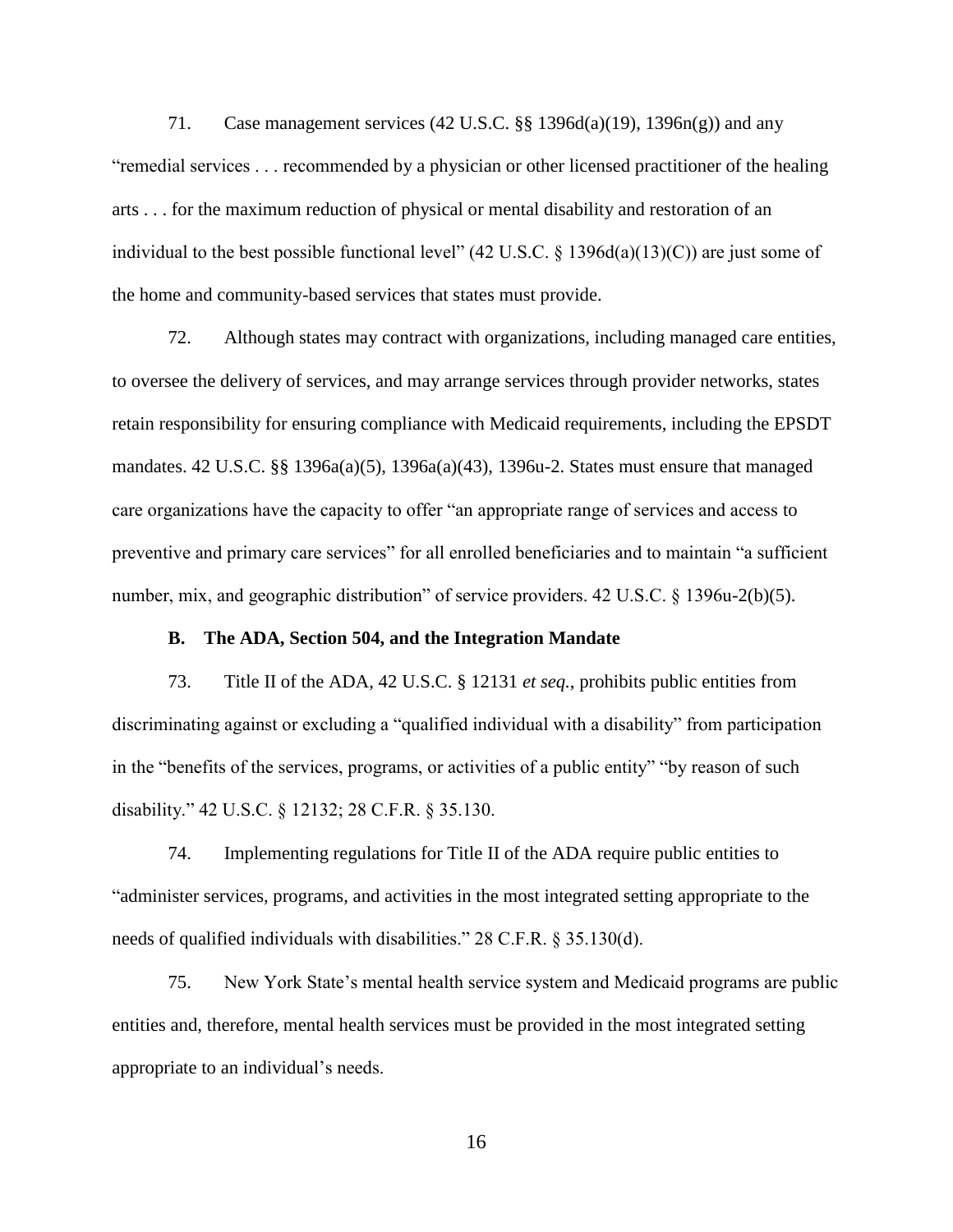71. Case management services (42 U.S.C. §§ 1396d(a)(19), 1396n(g)) and any "remedial services . . . recommended by a physician or other licensed practitioner of the healing arts . . . for the maximum reduction of physical or mental disability and restoration of an individual to the best possible functional level" (42 U.S.C. § 1396d(a)(13)(C)) are just some of the home and community-based services that states must provide.

72. Although states may contract with organizations, including managed care entities, to oversee the delivery of services, and may arrange services through provider networks, states retain responsibility for ensuring compliance with Medicaid requirements, including the EPSDT mandates. 42 U.S.C. §§ 1396a(a)(5), 1396a(a)(43), 1396u-2. States must ensure that managed care organizations have the capacity to offer "an appropriate range of services and access to preventive and primary care services" for all enrolled beneficiaries and to maintain "a sufficient number, mix, and geographic distribution" of service providers. 42 U.S.C. § 1396u-2(b)(5).

#### **B. The ADA, Section 504, and the Integration Mandate**

<span id="page-18-0"></span>73. Title II of the ADA, 42 U.S.C. § 12131 *et seq.*, prohibits public entities from discriminating against or excluding a "qualified individual with a disability" from participation in the "benefits of the services, programs, or activities of a public entity" "by reason of such disability." 42 U.S.C. § 12132; 28 C.F.R. § 35.130.

74. Implementing regulations for Title II of the ADA require public entities to "administer services, programs, and activities in the most integrated setting appropriate to the needs of qualified individuals with disabilities." 28 C.F.R. § 35.130(d).

75. New York State's mental health service system and Medicaid programs are public entities and, therefore, mental health services must be provided in the most integrated setting appropriate to an individual's needs.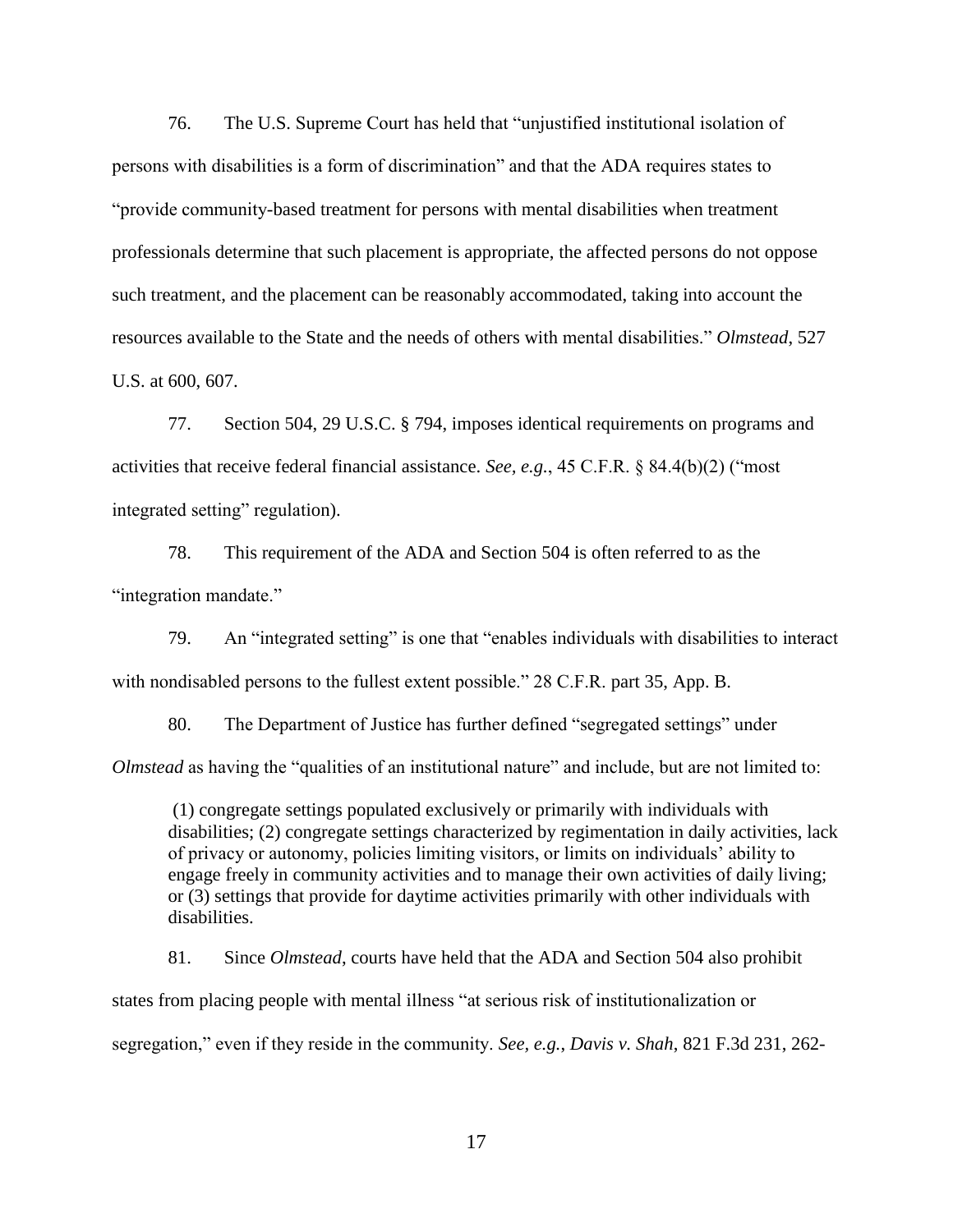76. The U.S. Supreme Court has held that "unjustified institutional isolation of persons with disabilities is a form of discrimination" and that the ADA requires states to "provide community-based treatment for persons with mental disabilities when treatment professionals determine that such placement is appropriate, the affected persons do not oppose such treatment, and the placement can be reasonably accommodated, taking into account the resources available to the State and the needs of others with mental disabilities." *Olmstead*, 527 U.S. at 600, 607.

77. Section 504, 29 U.S.C. § 794, imposes identical requirements on programs and activities that receive federal financial assistance. *See, e.g.*, 45 C.F.R. § 84.4(b)(2) ("most integrated setting" regulation).

78. This requirement of the ADA and Section 504 is often referred to as the "integration mandate."

79. An "integrated setting" is one that "enables individuals with disabilities to interact with nondisabled persons to the fullest extent possible." 28 C.F.R. part 35, App. B.

80. The Department of Justice has further defined "segregated settings" under *Olmstead* as having the "qualities of an institutional nature" and include, but are not limited to:

(1) congregate settings populated exclusively or primarily with individuals with disabilities; (2) congregate settings characterized by regimentation in daily activities, lack of privacy or autonomy, policies limiting visitors, or limits on individuals' ability to engage freely in community activities and to manage their own activities of daily living; or (3) settings that provide for daytime activities primarily with other individuals with disabilities.

81. Since *Olmstead*, courts have held that the ADA and Section 504 also prohibit states from placing people with mental illness "at serious risk of institutionalization or segregation," even if they reside in the community. *See, e.g.*, *Davis v. Shah*, 821 F.3d 231, 262-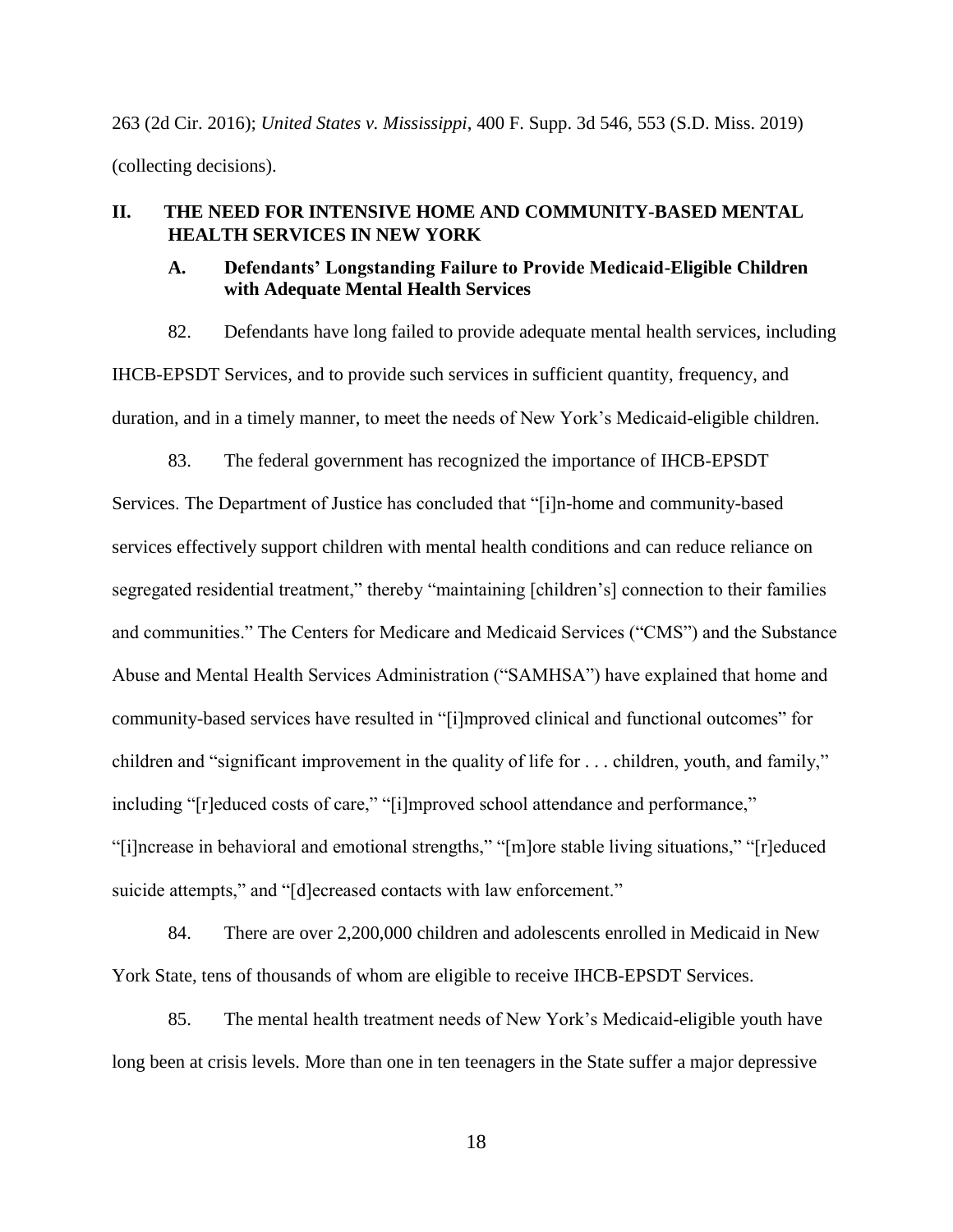263 (2d Cir. 2016); *United States v. Mississippi*, 400 F. Supp. 3d 546, 553 (S.D. Miss. 2019) (collecting decisions).

## <span id="page-20-1"></span><span id="page-20-0"></span>**II. THE NEED FOR INTENSIVE HOME AND COMMUNITY-BASED MENTAL HEALTH SERVICES IN NEW YORK**

### **A. Defendants' Longstanding Failure to Provide Medicaid-Eligible Children with Adequate Mental Health Services**

82. Defendants have long failed to provide adequate mental health services, including IHCB-EPSDT Services, and to provide such services in sufficient quantity, frequency, and duration, and in a timely manner, to meet the needs of New York's Medicaid-eligible children.

83. The federal government has recognized the importance of IHCB-EPSDT

Services. The Department of Justice has concluded that "[i]n-home and community-based services effectively support children with mental health conditions and can reduce reliance on segregated residential treatment," thereby "maintaining [children's] connection to their families and communities." The Centers for Medicare and Medicaid Services ("CMS") and the Substance Abuse and Mental Health Services Administration ("SAMHSA") have explained that home and community-based services have resulted in "[i]mproved clinical and functional outcomes" for children and "significant improvement in the quality of life for . . . children, youth, and family," including "[r]educed costs of care," "[i]mproved school attendance and performance," "[i]ncrease in behavioral and emotional strengths," "[m]ore stable living situations," "[r]educed suicide attempts," and "[d]ecreased contacts with law enforcement."

84. There are over 2,200,000 children and adolescents enrolled in Medicaid in New York State, tens of thousands of whom are eligible to receive IHCB-EPSDT Services.

85. The mental health treatment needs of New York's Medicaid-eligible youth have long been at crisis levels. More than one in ten teenagers in the State suffer a major depressive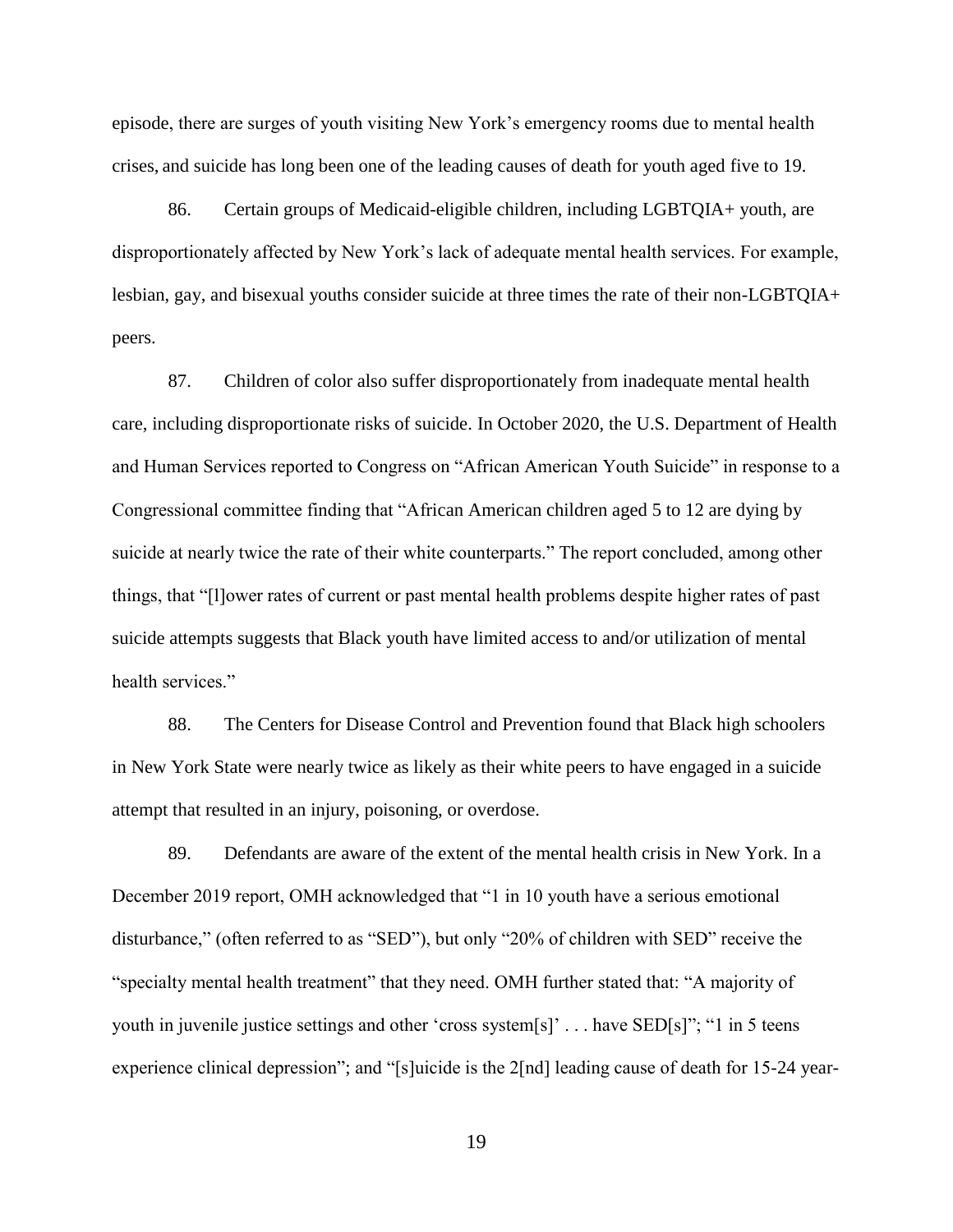episode, there are surges of youth visiting New York's emergency rooms due to mental health crises, and suicide has long been one of the leading causes of death for youth aged five to 19.

86. Certain groups of Medicaid-eligible children, including LGBTQIA+ youth, are disproportionately affected by New York's lack of adequate mental health services. For example, lesbian, gay, and bisexual youths consider suicide at three times the rate of their non-LGBTQIA+ peers.

87. Children of color also suffer disproportionately from inadequate mental health care, including disproportionate risks of suicide. In October 2020, the U.S. Department of Health and Human Services reported to Congress on "African American Youth Suicide" in response to a Congressional committee finding that "African American children aged 5 to 12 are dying by suicide at nearly twice the rate of their white counterparts." The report concluded, among other things, that "[l]ower rates of current or past mental health problems despite higher rates of past suicide attempts suggests that Black youth have limited access to and/or utilization of mental health services."

88. The Centers for Disease Control and Prevention found that Black high schoolers in New York State were nearly twice as likely as their white peers to have engaged in a suicide attempt that resulted in an injury, poisoning, or overdose.

89. Defendants are aware of the extent of the mental health crisis in New York. In a December 2019 report, OMH acknowledged that "1 in 10 youth have a serious emotional disturbance," (often referred to as "SED"), but only "20% of children with SED" receive the "specialty mental health treatment" that they need. OMH further stated that: "A majority of youth in juvenile justice settings and other 'cross system[s]' . . . have SED[s]"; "1 in 5 teens experience clinical depression"; and "[s]uicide is the 2[nd] leading cause of death for 15-24 year-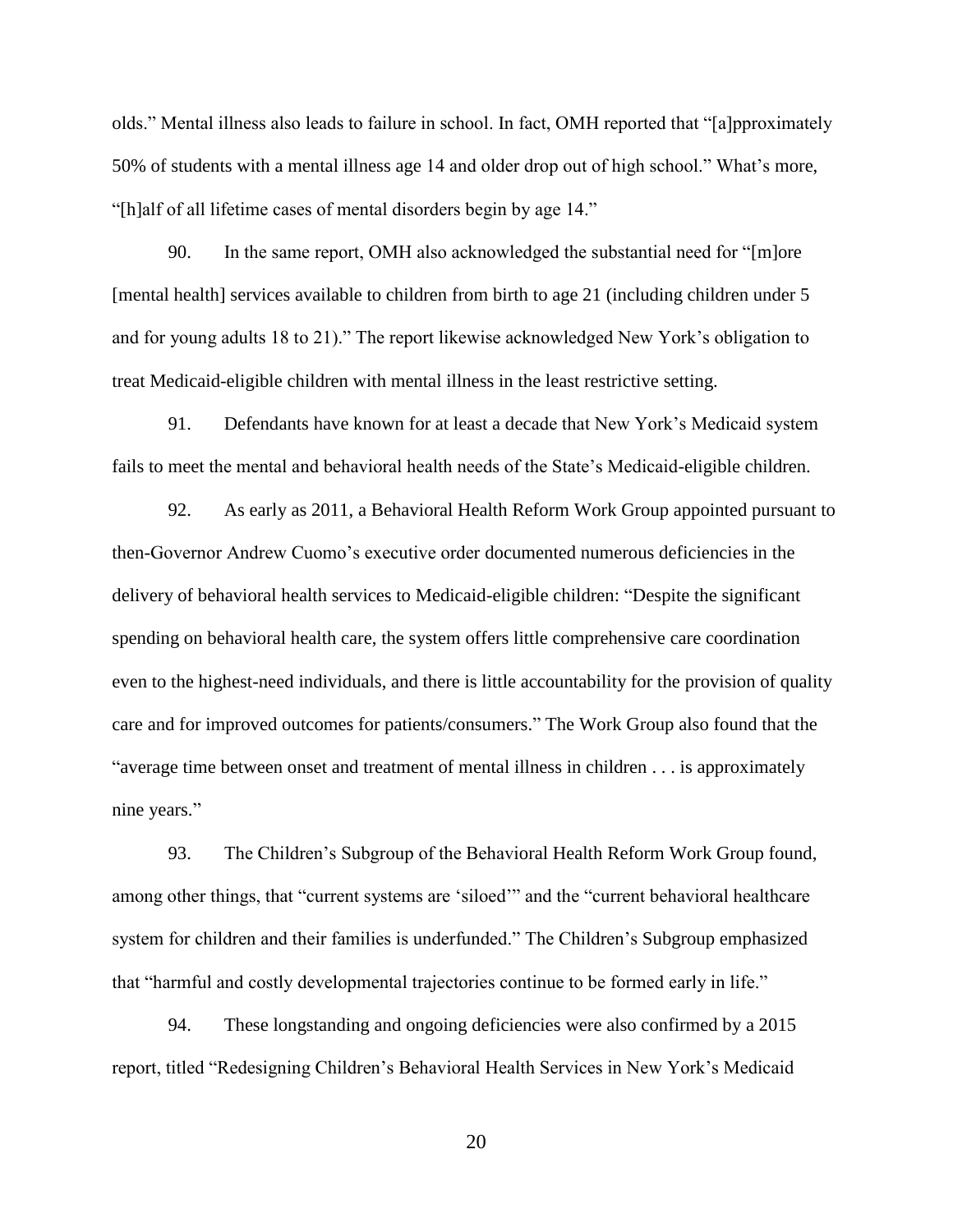olds." Mental illness also leads to failure in school. In fact, OMH reported that "[a]pproximately 50% of students with a mental illness age 14 and older drop out of high school." What's more, "[h]alf of all lifetime cases of mental disorders begin by age 14."

90. In the same report, OMH also acknowledged the substantial need for "[m]ore [mental health] services available to children from birth to age 21 (including children under 5 and for young adults 18 to 21)." The report likewise acknowledged New York's obligation to treat Medicaid-eligible children with mental illness in the least restrictive setting.

91. Defendants have known for at least a decade that New York's Medicaid system fails to meet the mental and behavioral health needs of the State's Medicaid-eligible children.

92. As early as 2011, a Behavioral Health Reform Work Group appointed pursuant to then-Governor Andrew Cuomo's executive order documented numerous deficiencies in the delivery of behavioral health services to Medicaid-eligible children: "Despite the significant spending on behavioral health care, the system offers little comprehensive care coordination even to the highest-need individuals, and there is little accountability for the provision of quality care and for improved outcomes for patients/consumers." The Work Group also found that the "average time between onset and treatment of mental illness in children . . . is approximately nine years."

93. The Children's Subgroup of the Behavioral Health Reform Work Group found, among other things, that "current systems are 'siloed'" and the "current behavioral healthcare system for children and their families is underfunded." The Children's Subgroup emphasized that "harmful and costly developmental trajectories continue to be formed early in life."

94. These longstanding and ongoing deficiencies were also confirmed by a 2015 report, titled "Redesigning Children's Behavioral Health Services in New York's Medicaid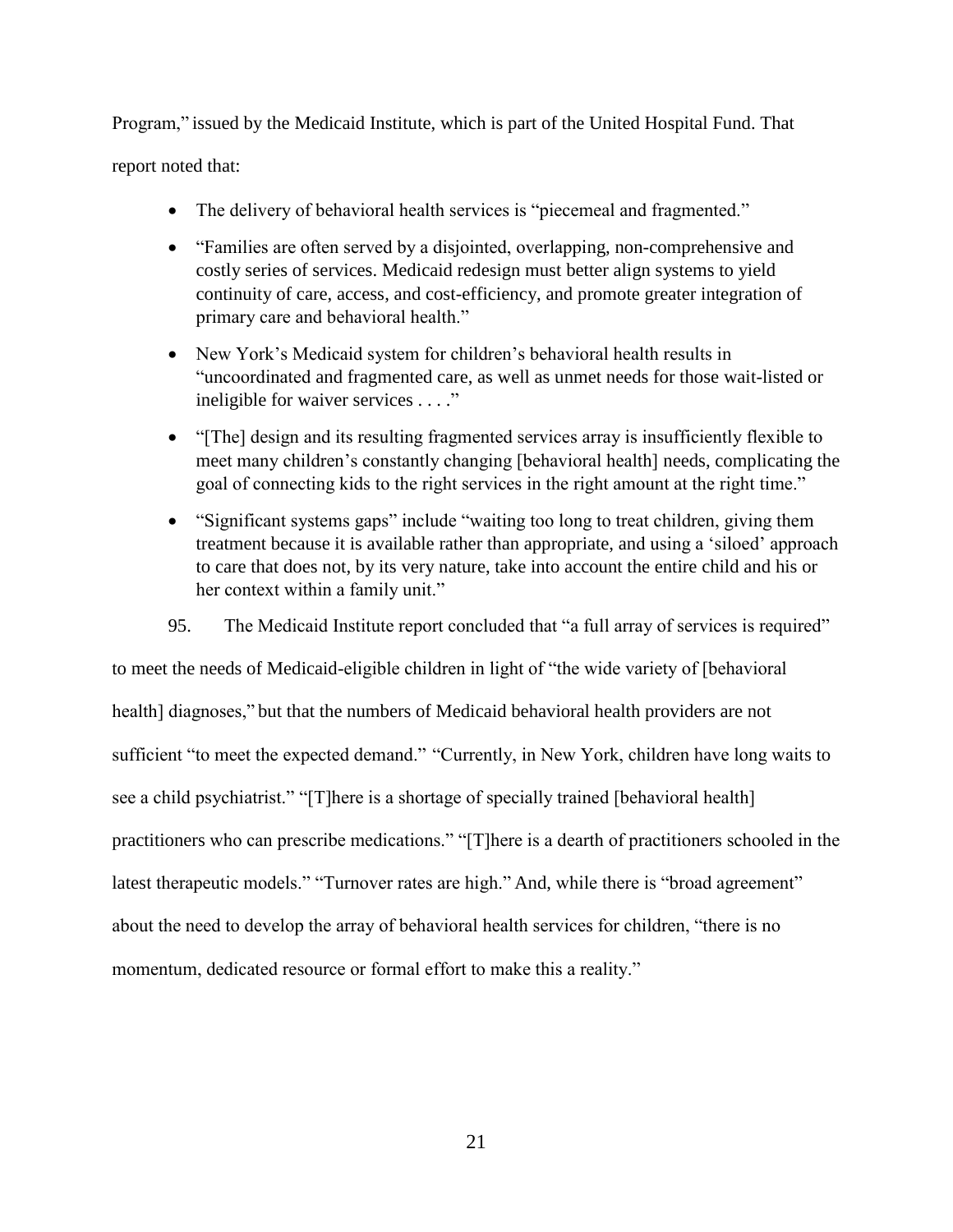Program," issued by the Medicaid Institute, which is part of the United Hospital Fund. That

## report noted that:

- The delivery of behavioral health services is "piecemeal and fragmented."
- "Families are often served by a disjointed, overlapping, non-comprehensive and costly series of services. Medicaid redesign must better align systems to yield continuity of care, access, and cost-efficiency, and promote greater integration of primary care and behavioral health."
- New York's Medicaid system for children's behavioral health results in "uncoordinated and fragmented care, as well as unmet needs for those wait-listed or ineligible for waiver services . . . ."
- "[The] design and its resulting fragmented services array is insufficiently flexible to meet many children's constantly changing [behavioral health] needs, complicating the goal of connecting kids to the right services in the right amount at the right time."
- "Significant systems gaps" include "waiting too long to treat children, giving them treatment because it is available rather than appropriate, and using a 'siloed' approach to care that does not, by its very nature, take into account the entire child and his or her context within a family unit."
- 95. The Medicaid Institute report concluded that "a full array of services is required"

to meet the needs of Medicaid-eligible children in light of "the wide variety of [behavioral health] diagnoses," but that the numbers of Medicaid behavioral health providers are not sufficient "to meet the expected demand." "Currently, in New York, children have long waits to see a child psychiatrist." "[T]here is a shortage of specially trained [behavioral health] practitioners who can prescribe medications." "[T]here is a dearth of practitioners schooled in the latest therapeutic models." "Turnover rates are high." And, while there is "broad agreement" about the need to develop the array of behavioral health services for children, "there is no momentum, dedicated resource or formal effort to make this a reality."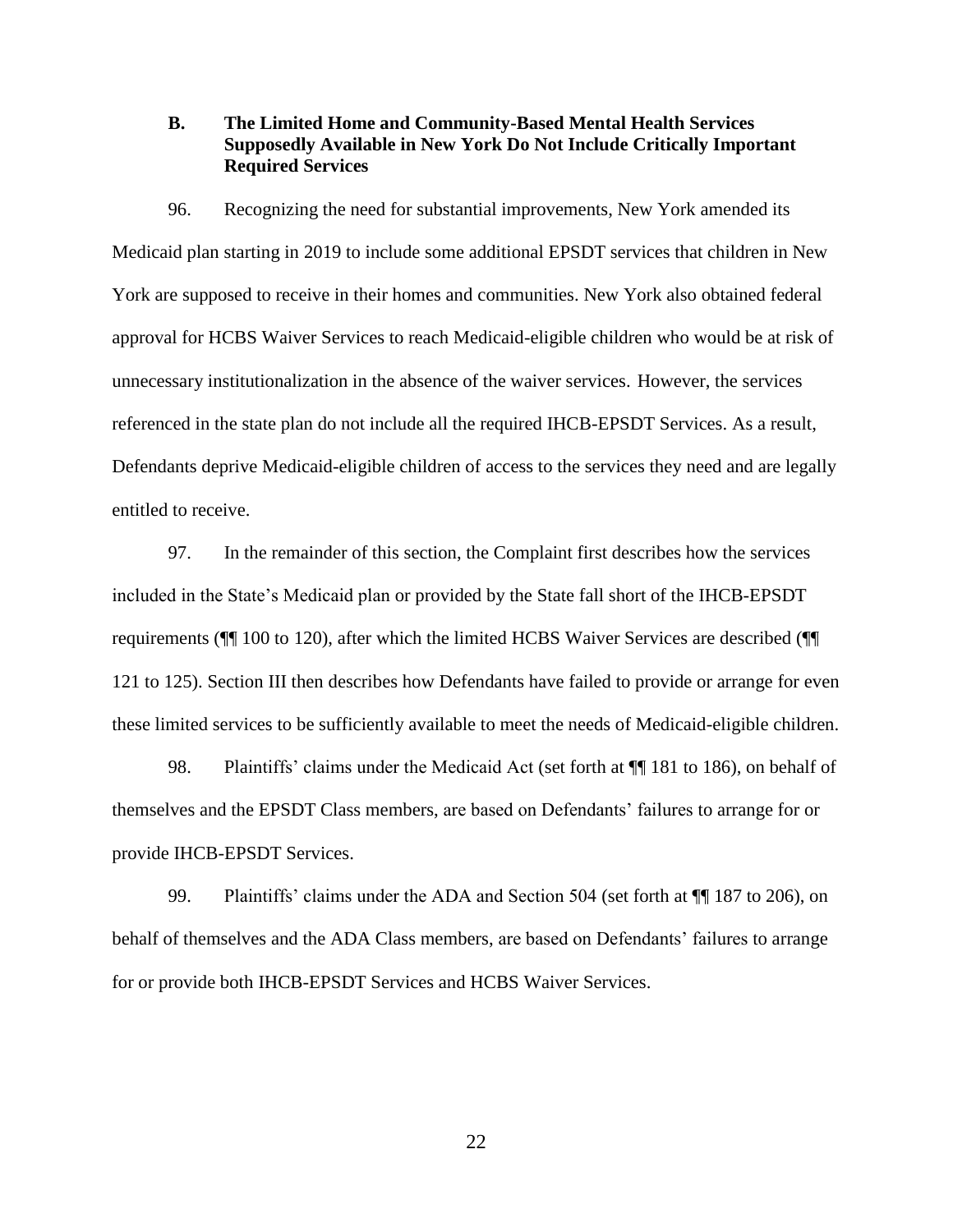<span id="page-24-0"></span>**B. The Limited Home and Community-Based Mental Health Services Supposedly Available in New York Do Not Include Critically Important Required Services** 

96. Recognizing the need for substantial improvements, New York amended its Medicaid plan starting in 2019 to include some additional EPSDT services that children in New York are supposed to receive in their homes and communities. New York also obtained federal approval for HCBS Waiver Services to reach Medicaid-eligible children who would be at risk of unnecessary institutionalization in the absence of the waiver services. However, the services referenced in the state plan do not include all the required IHCB-EPSDT Services. As a result, Defendants deprive Medicaid-eligible children of access to the services they need and are legally entitled to receive.

97. In the remainder of this section, the Complaint first describes how the services included in the State's Medicaid plan or provided by the State fall short of the IHCB-EPSDT requirements (¶¶ 100 to 120), after which the limited HCBS Waiver Services are described (¶¶ 121 to 125). Section III then describes how Defendants have failed to provide or arrange for even these limited services to be sufficiently available to meet the needs of Medicaid-eligible children.

98. Plaintiffs' claims under the Medicaid Act (set forth at  $\P$  181 to 186), on behalf of themselves and the EPSDT Class members, are based on Defendants' failures to arrange for or provide IHCB-EPSDT Services.

99. Plaintiffs' claims under the ADA and Section 504 (set forth at  $\P$  187 to 206), on behalf of themselves and the ADA Class members, are based on Defendants' failures to arrange for or provide both IHCB-EPSDT Services and HCBS Waiver Services.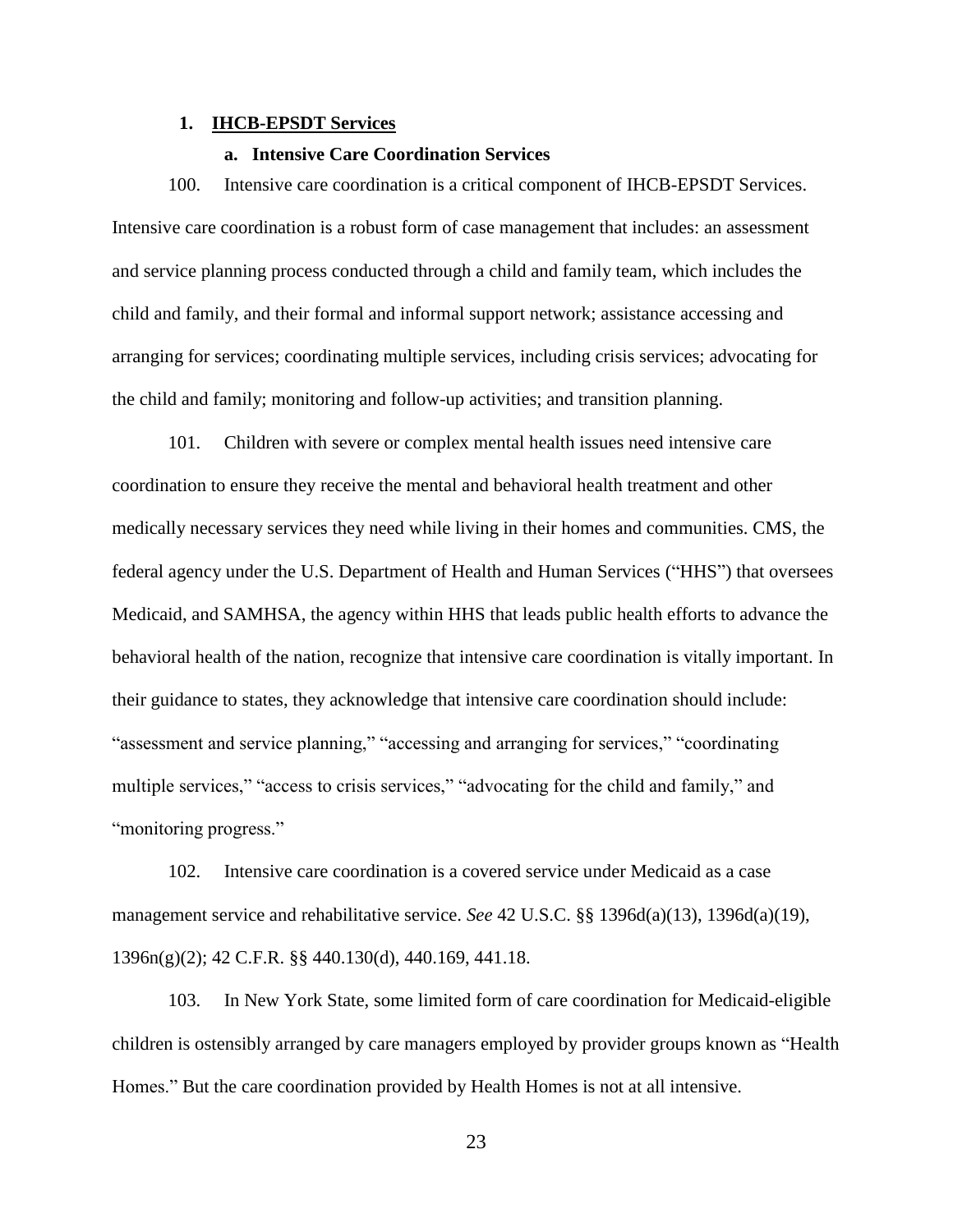#### <span id="page-25-0"></span>**1. IHCB-EPSDT Services**

#### **a. Intensive Care Coordination Services**

<span id="page-25-1"></span>100. Intensive care coordination is a critical component of IHCB-EPSDT Services. Intensive care coordination is a robust form of case management that includes: an assessment and service planning process conducted through a child and family team, which includes the child and family, and their formal and informal support network; assistance accessing and arranging for services; coordinating multiple services, including crisis services; advocating for the child and family; monitoring and follow-up activities; and transition planning.

101. Children with severe or complex mental health issues need intensive care coordination to ensure they receive the mental and behavioral health treatment and other medically necessary services they need while living in their homes and communities. CMS, the federal agency under the U.S. Department of Health and Human Services ("HHS") that oversees Medicaid, and SAMHSA, the agency within HHS that leads public health efforts to advance the behavioral health of the nation, recognize that intensive care coordination is vitally important. In their guidance to states, they acknowledge that intensive care coordination should include: "assessment and service planning," "accessing and arranging for services," "coordinating multiple services," "access to crisis services," "advocating for the child and family," and "monitoring progress."

102. Intensive care coordination is a covered service under Medicaid as a case management service and rehabilitative service. *See* 42 U.S.C. §§ 1396d(a)(13), 1396d(a)(19), 1396n(g)(2); 42 C.F.R. §§ 440.130(d), 440.169, 441.18.

103. In New York State, some limited form of care coordination for Medicaid-eligible children is ostensibly arranged by care managers employed by provider groups known as "Health Homes." But the care coordination provided by Health Homes is not at all intensive.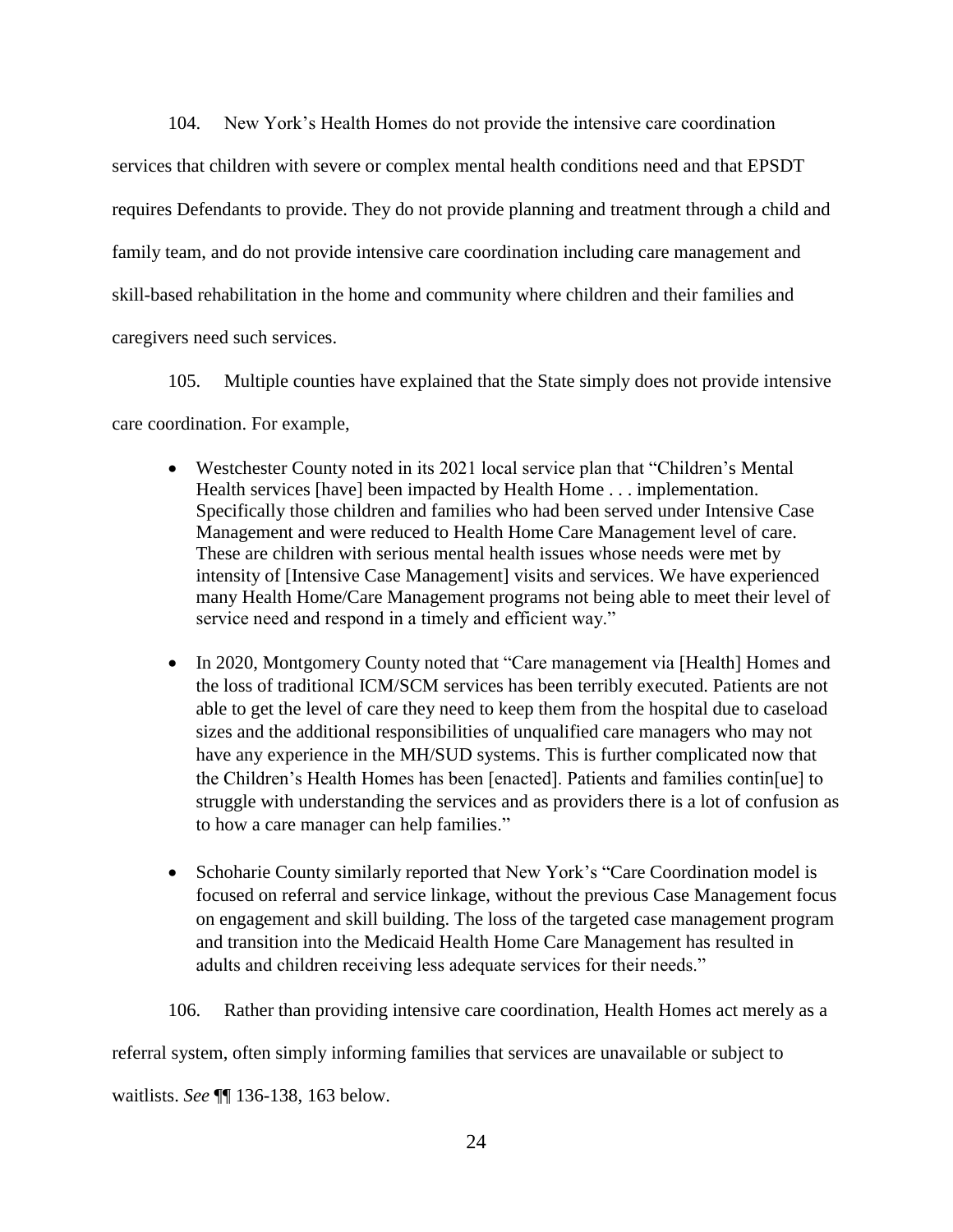104. New York's Health Homes do not provide the intensive care coordination services that children with severe or complex mental health conditions need and that EPSDT requires Defendants to provide. They do not provide planning and treatment through a child and family team, and do not provide intensive care coordination including care management and skill-based rehabilitation in the home and community where children and their families and caregivers need such services.

105. Multiple counties have explained that the State simply does not provide intensive care coordination. For example,

- Westchester County noted in its 2021 local service plan that "Children's Mental" Health services [have] been impacted by Health Home . . . implementation. Specifically those children and families who had been served under Intensive Case Management and were reduced to Health Home Care Management level of care. These are children with serious mental health issues whose needs were met by intensity of [Intensive Case Management] visits and services. We have experienced many Health Home/Care Management programs not being able to meet their level of service need and respond in a timely and efficient way."
- In 2020, Montgomery County noted that "Care management via [Health] Homes and the loss of traditional ICM/SCM services has been terribly executed. Patients are not able to get the level of care they need to keep them from the hospital due to caseload sizes and the additional responsibilities of unqualified care managers who may not have any experience in the MH/SUD systems. This is further complicated now that the Children's Health Homes has been [enacted]. Patients and families contin[ue] to struggle with understanding the services and as providers there is a lot of confusion as to how a care manager can help families."
- Schoharie County similarly reported that New York's "Care Coordination model is focused on referral and service linkage, without the previous Case Management focus on engagement and skill building. The loss of the targeted case management program and transition into the Medicaid Health Home Care Management has resulted in adults and children receiving less adequate services for their needs."

106. Rather than providing intensive care coordination, Health Homes act merely as a

referral system, often simply informing families that services are unavailable or subject to

waitlists. *See* ¶¶ 136-138, 163 below.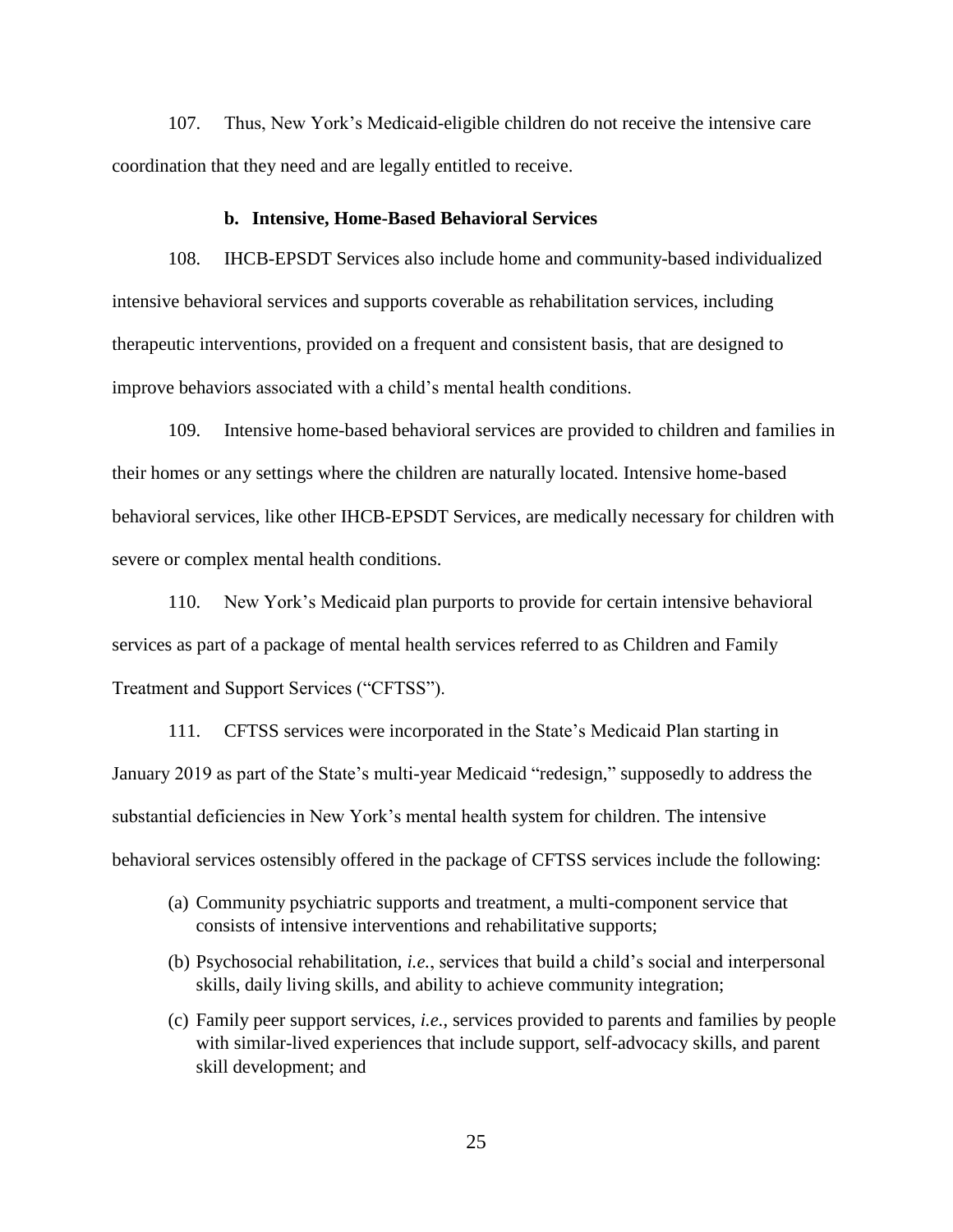107. Thus, New York's Medicaid-eligible children do not receive the intensive care coordination that they need and are legally entitled to receive.

#### **b. Intensive, Home-Based Behavioral Services**

<span id="page-27-0"></span>108. IHCB-EPSDT Services also include home and community-based individualized intensive behavioral services and supports coverable as rehabilitation services, including therapeutic interventions, provided on a frequent and consistent basis, that are designed to improve behaviors associated with a child's mental health conditions.

109. Intensive home-based behavioral services are provided to children and families in their homes or any settings where the children are naturally located. Intensive home-based behavioral services, like other IHCB-EPSDT Services, are medically necessary for children with severe or complex mental health conditions.

110. New York's Medicaid plan purports to provide for certain intensive behavioral services as part of a package of mental health services referred to as Children and Family Treatment and Support Services ("CFTSS").

111. CFTSS services were incorporated in the State's Medicaid Plan starting in January 2019 as part of the State's multi-year Medicaid "redesign," supposedly to address the substantial deficiencies in New York's mental health system for children. The intensive behavioral services ostensibly offered in the package of CFTSS services include the following:

- (a) Community psychiatric supports and treatment, a multi-component service that consists of intensive interventions and rehabilitative supports;
- (b) Psychosocial rehabilitation, *i.e.*, services that build a child's social and interpersonal skills, daily living skills, and ability to achieve community integration;
- (c) Family peer support services, *i.e.*, services provided to parents and families by people with similar-lived experiences that include support, self-advocacy skills, and parent skill development; and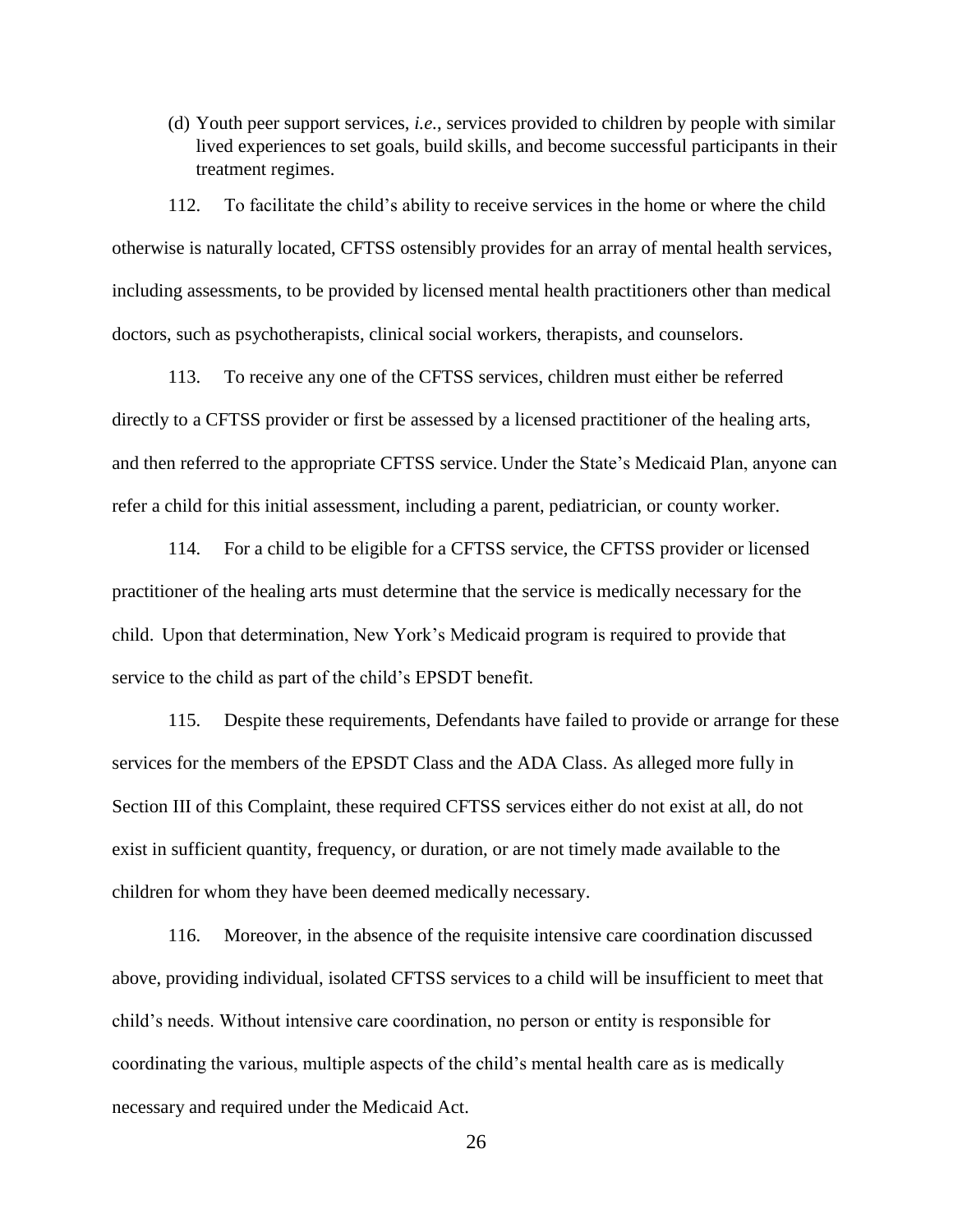(d) Youth peer support services, *i.e.*, services provided to children by people with similar lived experiences to set goals, build skills, and become successful participants in their treatment regimes.

112. To facilitate the child's ability to receive services in the home or where the child otherwise is naturally located, CFTSS ostensibly provides for an array of mental health services, including assessments, to be provided by licensed mental health practitioners other than medical doctors, such as psychotherapists, clinical social workers, therapists, and counselors.

113. To receive any one of the CFTSS services, children must either be referred directly to a CFTSS provider or first be assessed by a licensed practitioner of the healing arts, and then referred to the appropriate CFTSS service. Under the State's Medicaid Plan, anyone can refer a child for this initial assessment, including a parent, pediatrician, or county worker.

114. For a child to be eligible for a CFTSS service, the CFTSS provider or licensed practitioner of the healing arts must determine that the service is medically necessary for the child. Upon that determination, New York's Medicaid program is required to provide that service to the child as part of the child's EPSDT benefit.

115. Despite these requirements, Defendants have failed to provide or arrange for these services for the members of the EPSDT Class and the ADA Class. As alleged more fully in Section III of this Complaint, these required CFTSS services either do not exist at all, do not exist in sufficient quantity, frequency, or duration, or are not timely made available to the children for whom they have been deemed medically necessary.

116. Moreover, in the absence of the requisite intensive care coordination discussed above, providing individual, isolated CFTSS services to a child will be insufficient to meet that child's needs. Without intensive care coordination, no person or entity is responsible for coordinating the various, multiple aspects of the child's mental health care as is medically necessary and required under the Medicaid Act.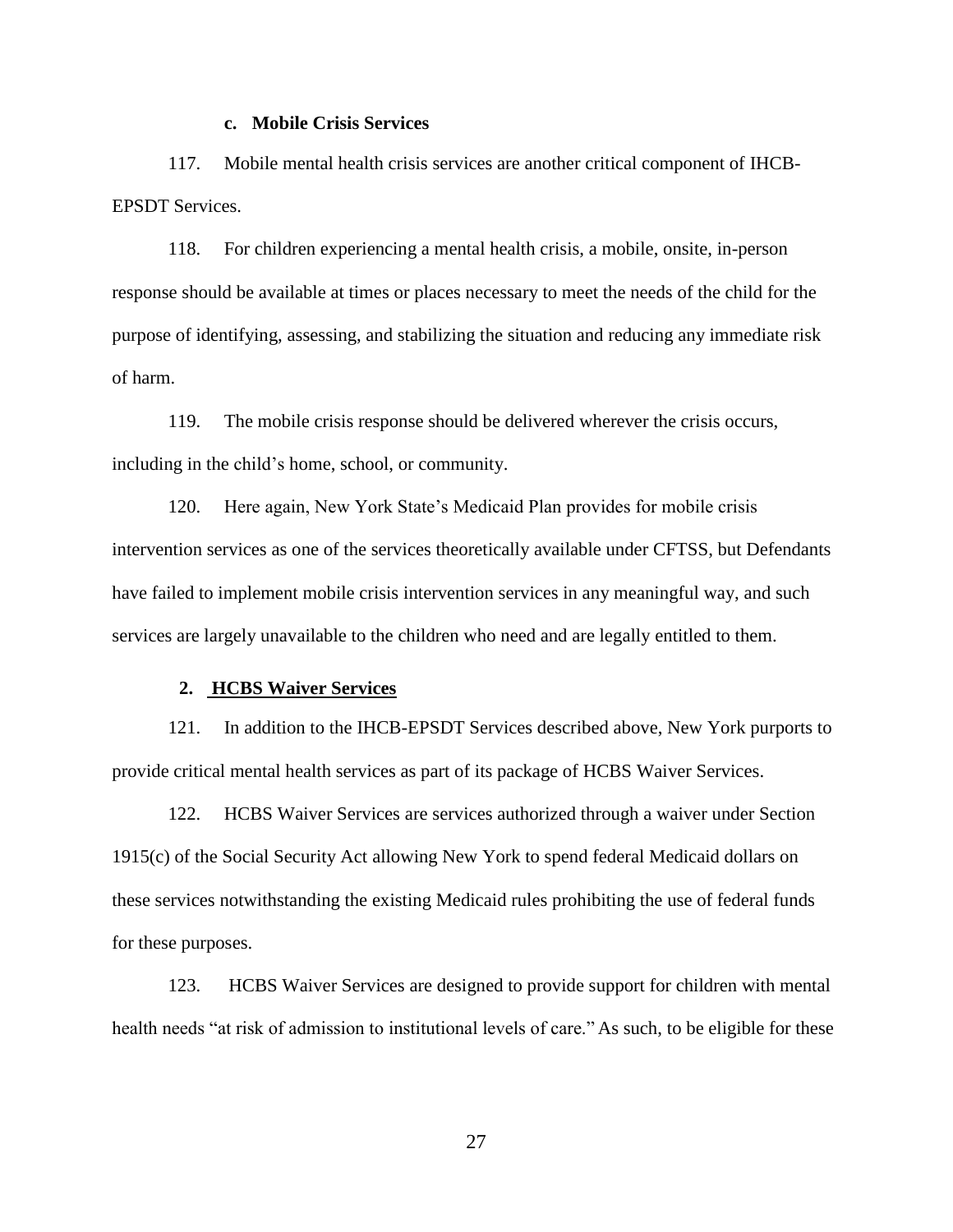#### **c. Mobile Crisis Services**

<span id="page-29-0"></span>117. Mobile mental health crisis services are another critical component of IHCB-EPSDT Services.

118. For children experiencing a mental health crisis, a mobile, onsite, in-person response should be available at times or places necessary to meet the needs of the child for the purpose of identifying, assessing, and stabilizing the situation and reducing any immediate risk of harm.

119. The mobile crisis response should be delivered wherever the crisis occurs, including in the child's home, school, or community.

120. Here again, New York State's Medicaid Plan provides for mobile crisis intervention services as one of the services theoretically available under CFTSS, but Defendants have failed to implement mobile crisis intervention services in any meaningful way, and such services are largely unavailable to the children who need and are legally entitled to them.

#### <span id="page-29-1"></span>**2. HCBS Waiver Services**

121. In addition to the IHCB-EPSDT Services described above, New York purports to provide critical mental health services as part of its package of HCBS Waiver Services.

122. HCBS Waiver Services are services authorized through a waiver under Section 1915(c) of the Social Security Act allowing New York to spend federal Medicaid dollars on these services notwithstanding the existing Medicaid rules prohibiting the use of federal funds for these purposes.

123. HCBS Waiver Services are designed to provide support for children with mental health needs "at risk of admission to institutional levels of care." As such, to be eligible for these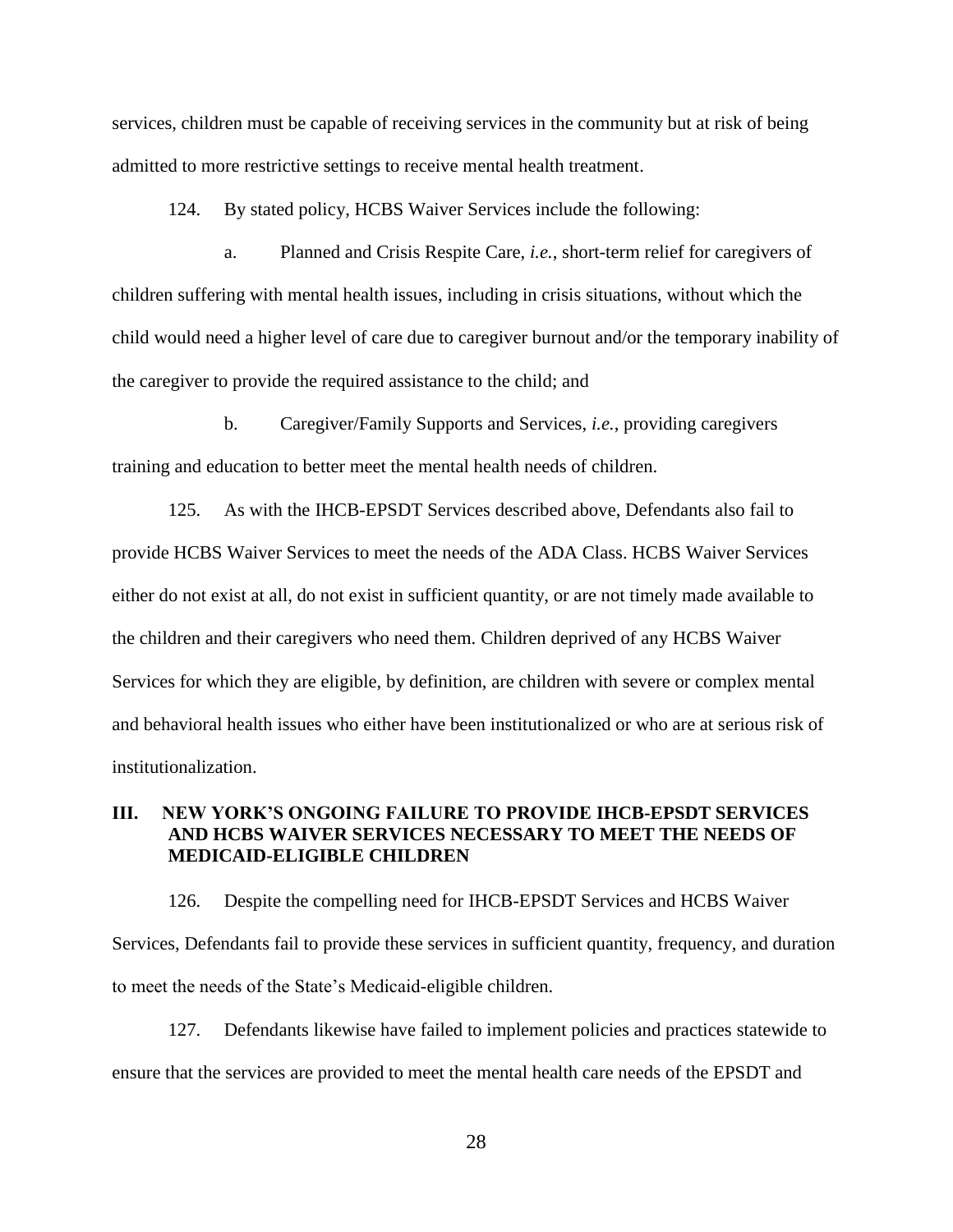services, children must be capable of receiving services in the community but at risk of being admitted to more restrictive settings to receive mental health treatment.

124. By stated policy, HCBS Waiver Services include the following:

a. Planned and Crisis Respite Care, *i.e.*, short-term relief for caregivers of children suffering with mental health issues, including in crisis situations, without which the child would need a higher level of care due to caregiver burnout and/or the temporary inability of the caregiver to provide the required assistance to the child; and

b. Caregiver/Family Supports and Services, *i.e.*, providing caregivers training and education to better meet the mental health needs of children.

125. As with the IHCB-EPSDT Services described above, Defendants also fail to provide HCBS Waiver Services to meet the needs of the ADA Class. HCBS Waiver Services either do not exist at all, do not exist in sufficient quantity, or are not timely made available to the children and their caregivers who need them. Children deprived of any HCBS Waiver Services for which they are eligible, by definition, are children with severe or complex mental and behavioral health issues who either have been institutionalized or who are at serious risk of institutionalization.

## <span id="page-30-0"></span>**III. NEW YORK'S ONGOING FAILURE TO PROVIDE IHCB-EPSDT SERVICES AND HCBS WAIVER SERVICES NECESSARY TO MEET THE NEEDS OF MEDICAID-ELIGIBLE CHILDREN**

126. Despite the compelling need for IHCB-EPSDT Services and HCBS Waiver Services, Defendants fail to provide these services in sufficient quantity, frequency, and duration to meet the needs of the State's Medicaid-eligible children.

127. Defendants likewise have failed to implement policies and practices statewide to ensure that the services are provided to meet the mental health care needs of the EPSDT and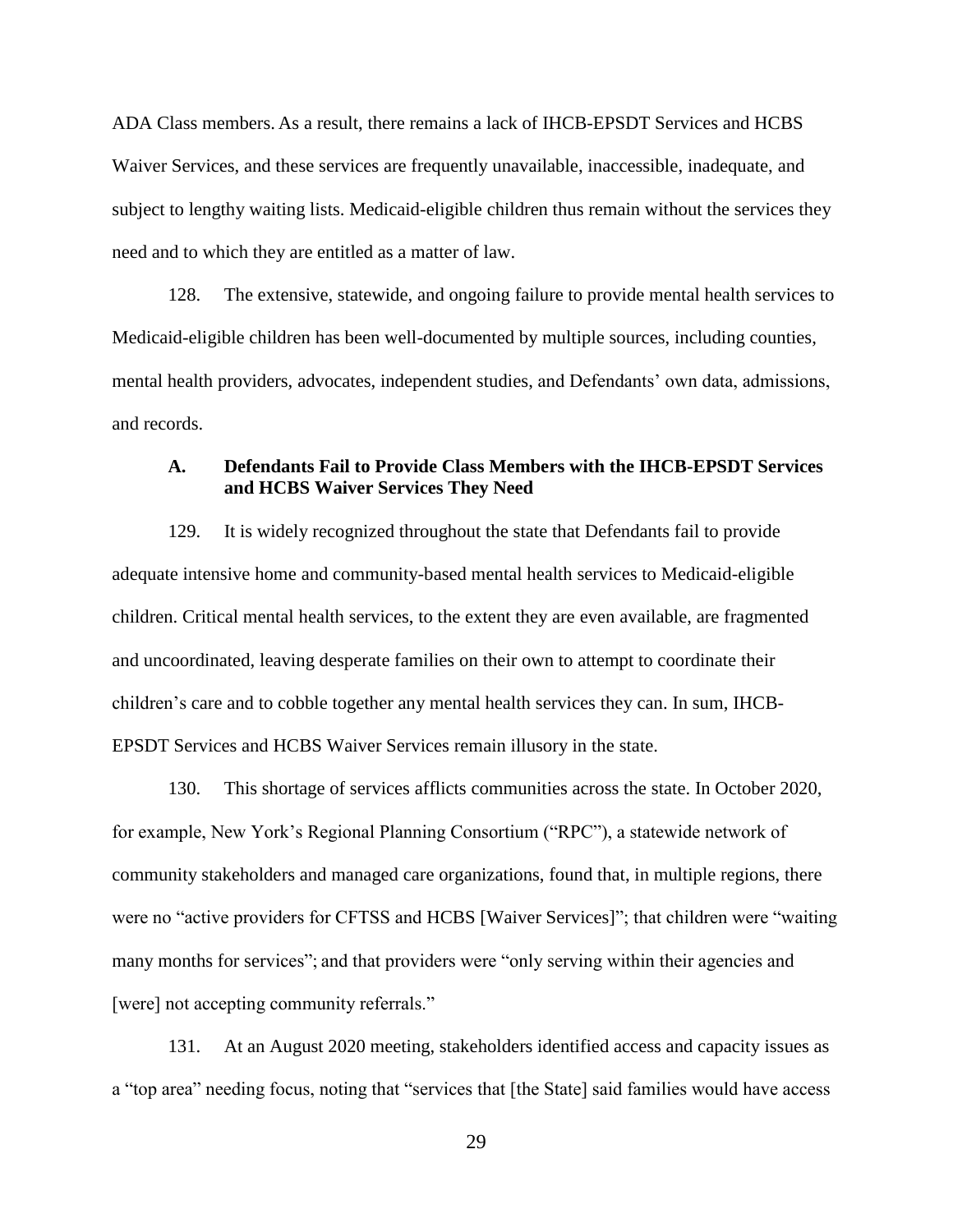ADA Class members. As a result, there remains a lack of IHCB-EPSDT Services and HCBS Waiver Services, and these services are frequently unavailable, inaccessible, inadequate, and subject to lengthy waiting lists. Medicaid-eligible children thus remain without the services they need and to which they are entitled as a matter of law.

128. The extensive, statewide, and ongoing failure to provide mental health services to Medicaid-eligible children has been well-documented by multiple sources, including counties, mental health providers, advocates, independent studies, and Defendants' own data, admissions, and records.

## <span id="page-31-0"></span>**A. Defendants Fail to Provide Class Members with the IHCB-EPSDT Services and HCBS Waiver Services They Need**

129. It is widely recognized throughout the state that Defendants fail to provide adequate intensive home and community-based mental health services to Medicaid-eligible children. Critical mental health services, to the extent they are even available, are fragmented and uncoordinated, leaving desperate families on their own to attempt to coordinate their children's care and to cobble together any mental health services they can. In sum, IHCB-EPSDT Services and HCBS Waiver Services remain illusory in the state.

130. This shortage of services afflicts communities across the state. In October 2020, for example, New York's Regional Planning Consortium ("RPC"), a statewide network of community stakeholders and managed care organizations, found that, in multiple regions, there were no "active providers for CFTSS and HCBS [Waiver Services]"; that children were "waiting many months for services"; and that providers were "only serving within their agencies and [were] not accepting community referrals."

131. At an August 2020 meeting, stakeholders identified access and capacity issues as a "top area" needing focus, noting that "services that [the State] said families would have access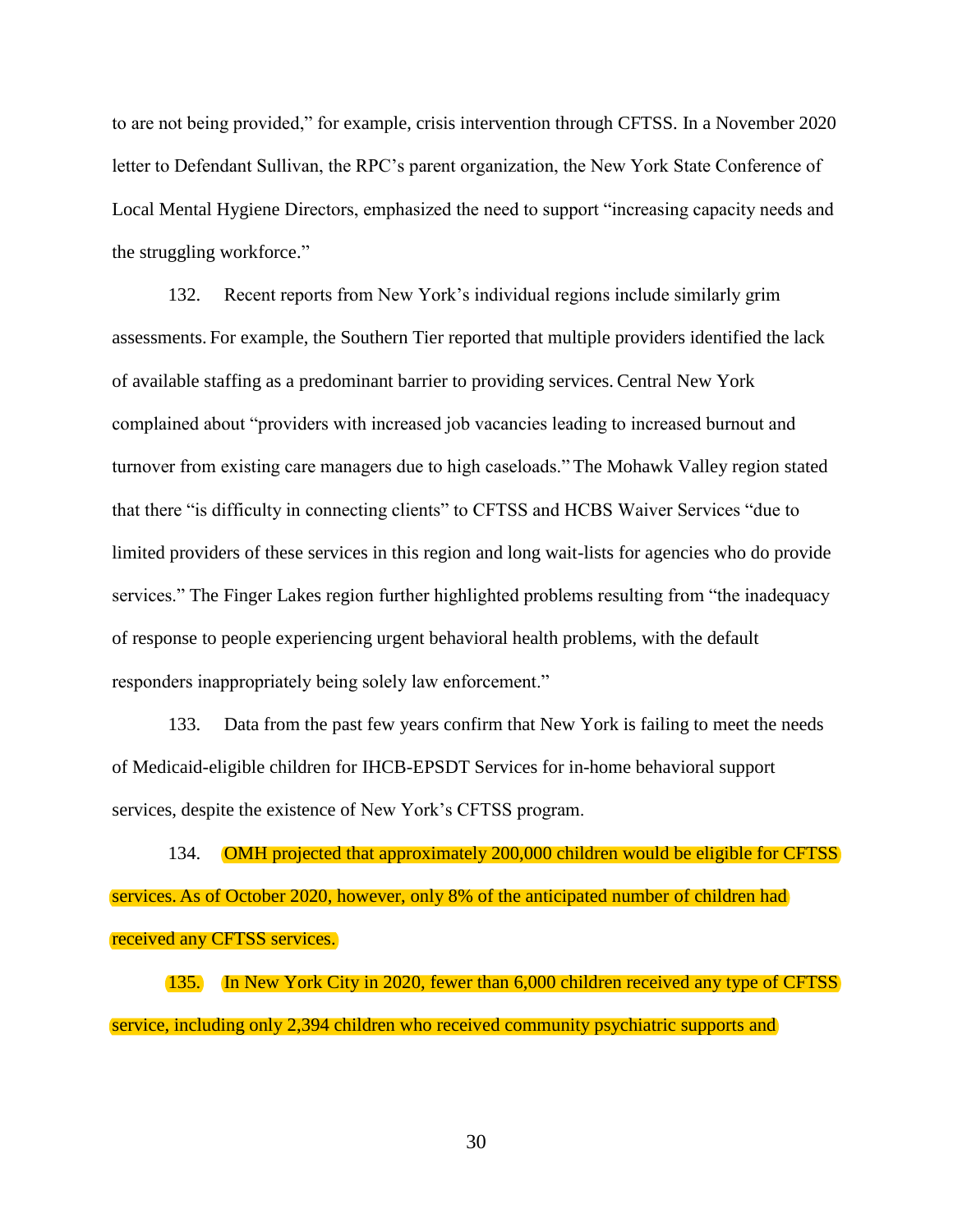to are not being provided," for example, crisis intervention through CFTSS. In a November 2020 letter to Defendant Sullivan, the RPC's parent organization, the New York State Conference of Local Mental Hygiene Directors, emphasized the need to support "increasing capacity needs and the struggling workforce."

132. Recent reports from New York's individual regions include similarly grim assessments. For example, the Southern Tier reported that multiple providers identified the lack of available staffing as a predominant barrier to providing services. Central New York complained about "providers with increased job vacancies leading to increased burnout and turnover from existing care managers due to high caseloads." The Mohawk Valley region stated that there "is difficulty in connecting clients" to CFTSS and HCBS Waiver Services "due to limited providers of these services in this region and long wait-lists for agencies who do provide services." The Finger Lakes region further highlighted problems resulting from "the inadequacy of response to people experiencing urgent behavioral health problems, with the default responders inappropriately being solely law enforcement."

133. Data from the past few years confirm that New York is failing to meet the needs of Medicaid-eligible children for IHCB-EPSDT Services for in-home behavioral support services, despite the existence of New York's CFTSS program.

134. OMH projected that approximately 200,000 children would be eligible for CFTSS services. As of October 2020, however, only 8% of the anticipated number of children had received any CFTSS services.

135. In New York City in 2020, fewer than 6,000 children received any type of CFTSS service, including only 2,394 children who received community psychiatric supports and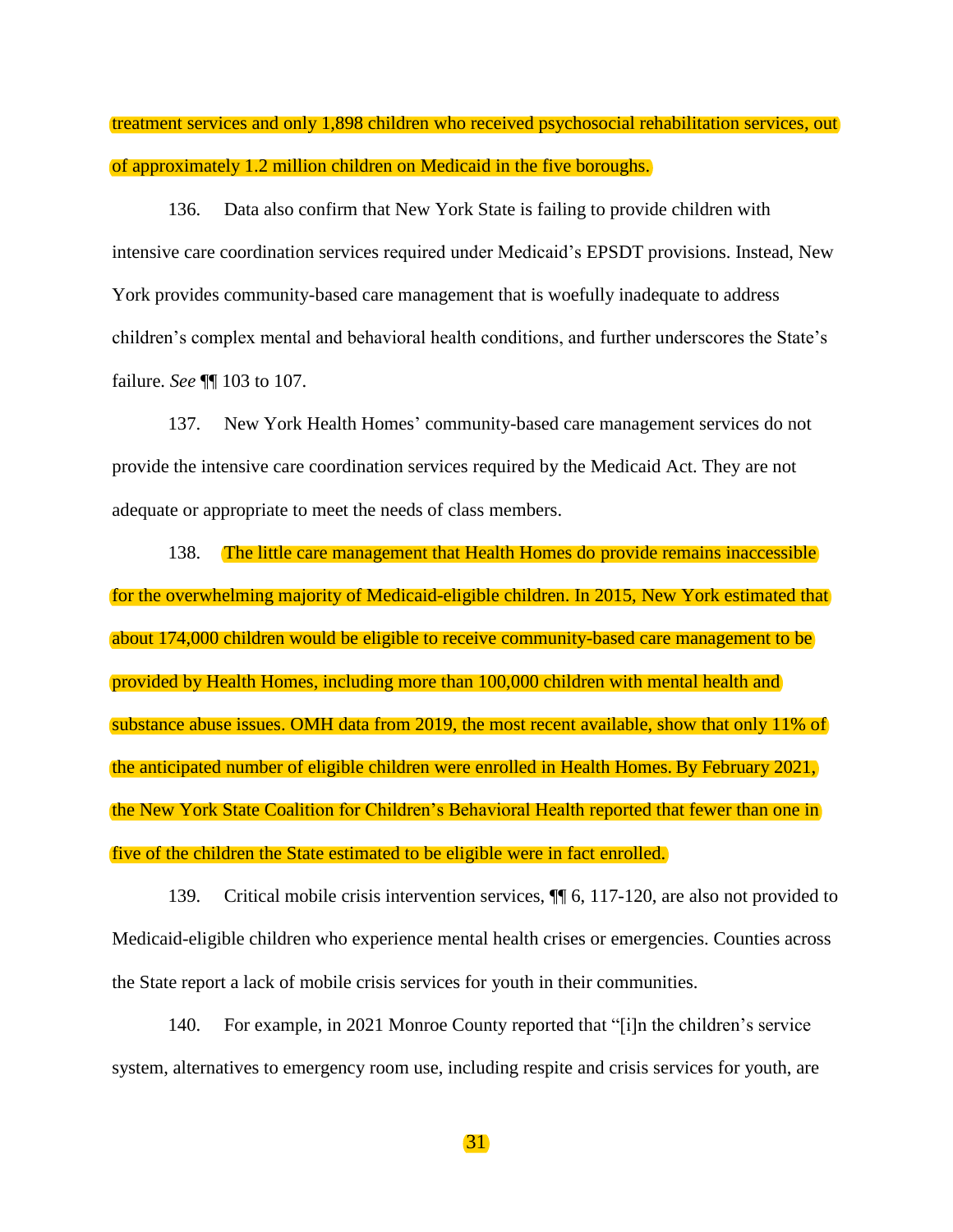treatment services and only 1,898 children who received psychosocial rehabilitation services, out of approximately 1.2 million children on Medicaid in the five boroughs.

136. Data also confirm that New York State is failing to provide children with intensive care coordination services required under Medicaid's EPSDT provisions. Instead, New York provides community-based care management that is woefully inadequate to address children's complex mental and behavioral health conditions, and further underscores the State's failure. *See* ¶¶ 103 to 107.

137. New York Health Homes' community-based care management services do not provide the intensive care coordination services required by the Medicaid Act. They are not adequate or appropriate to meet the needs of class members.

138. The little care management that Health Homes do provide remains inaccessible for the overwhelming majority of Medicaid-eligible children. In 2015, New York estimated that about 174,000 children would be eligible to receive community-based care management to be provided by Health Homes, including more than 100,000 children with mental health and substance abuse issues. OMH data from 2019, the most recent available, show that only 11% of the anticipated number of eligible children were enrolled in Health Homes. By February 2021, the New York State Coalition for Children's Behavioral Health reported that fewer than one in five of the children the State estimated to be eligible were in fact enrolled.

139. Critical mobile crisis intervention services, ¶¶ 6, 117-120, are also not provided to Medicaid-eligible children who experience mental health crises or emergencies. Counties across the State report a lack of mobile crisis services for youth in their communities.

140. For example, in 2021 Monroe County reported that "[i]n the children's service system, alternatives to emergency room use, including respite and crisis services for youth, are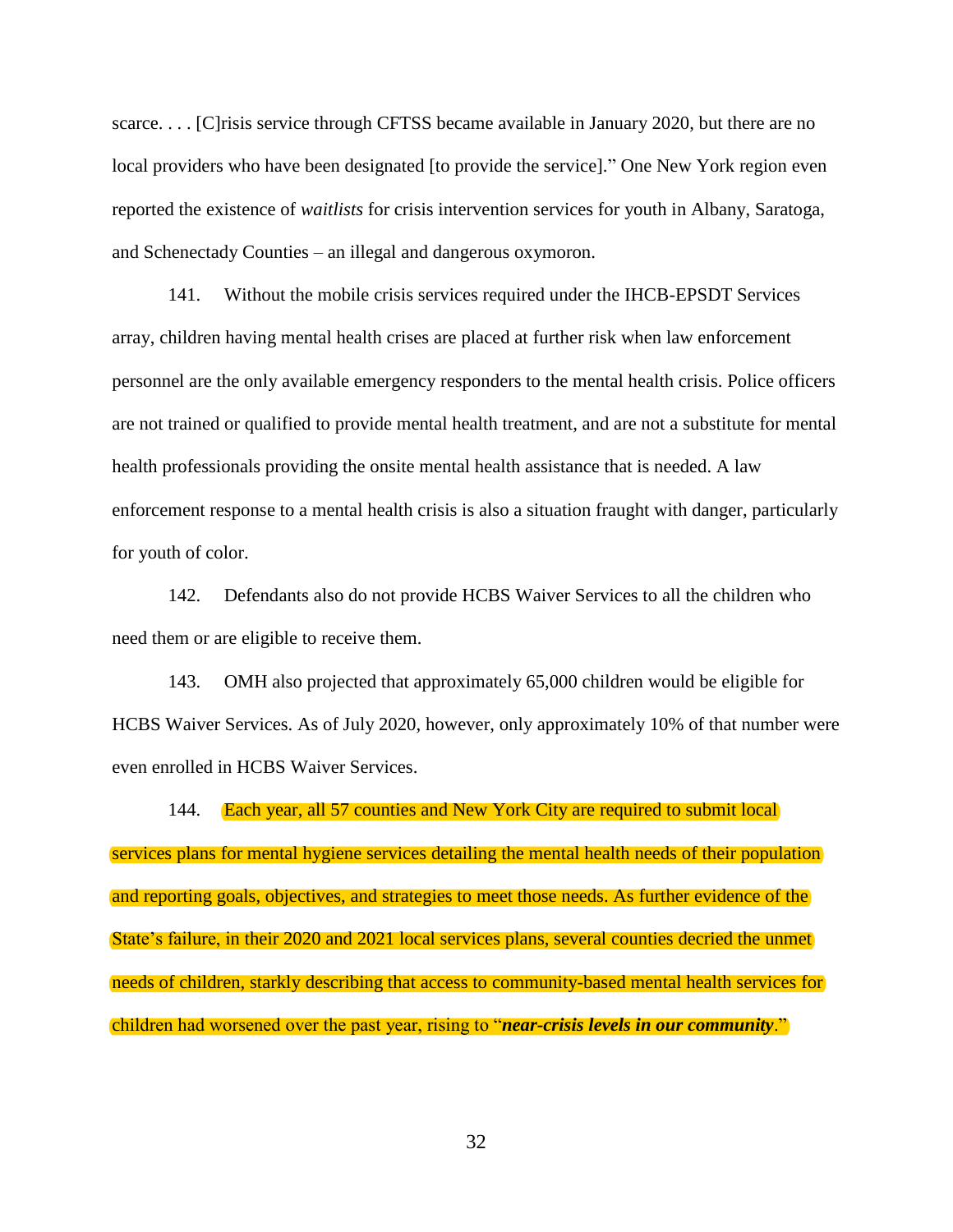scarce.... [C] risis service through CFTSS became available in January 2020, but there are no local providers who have been designated [to provide the service]." One New York region even reported the existence of *waitlists* for crisis intervention services for youth in Albany, Saratoga, and Schenectady Counties – an illegal and dangerous oxymoron.

141. Without the mobile crisis services required under the IHCB-EPSDT Services array, children having mental health crises are placed at further risk when law enforcement personnel are the only available emergency responders to the mental health crisis. Police officers are not trained or qualified to provide mental health treatment, and are not a substitute for mental health professionals providing the onsite mental health assistance that is needed. A law enforcement response to a mental health crisis is also a situation fraught with danger, particularly for youth of color.

142. Defendants also do not provide HCBS Waiver Services to all the children who need them or are eligible to receive them.

143. OMH also projected that approximately 65,000 children would be eligible for HCBS Waiver Services. As of July 2020, however, only approximately 10% of that number were even enrolled in HCBS Waiver Services.

144. Each year, all 57 counties and New York City are required to submit local services plans for mental hygiene services detailing the mental health needs of their population and reporting goals, objectives, and strategies to meet those needs. As further evidence of the State's failure, in their 2020 and 2021 local services plans, several counties decried the unmet needs of children, starkly describing that access to community-based mental health services for children had worsened over the past year, rising to "*near-crisis levels in our community*."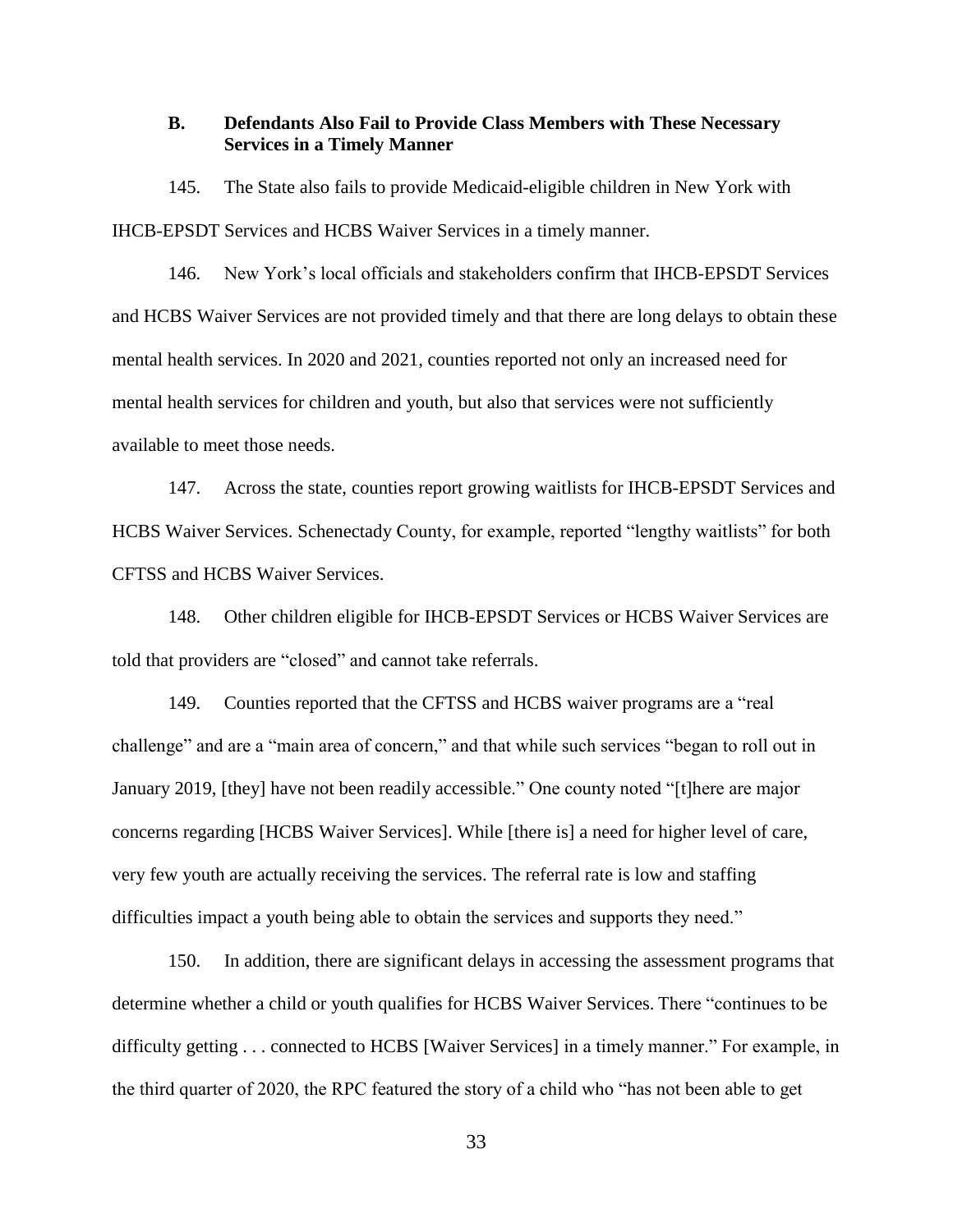### <span id="page-35-0"></span>**B. Defendants Also Fail to Provide Class Members with These Necessary Services in a Timely Manner**

145. The State also fails to provide Medicaid-eligible children in New York with IHCB-EPSDT Services and HCBS Waiver Services in a timely manner.

146. New York's local officials and stakeholders confirm that IHCB-EPSDT Services and HCBS Waiver Services are not provided timely and that there are long delays to obtain these mental health services. In 2020 and 2021, counties reported not only an increased need for mental health services for children and youth, but also that services were not sufficiently available to meet those needs.

147. Across the state, counties report growing waitlists for IHCB-EPSDT Services and HCBS Waiver Services. Schenectady County, for example, reported "lengthy waitlists" for both CFTSS and HCBS Waiver Services.

148. Other children eligible for IHCB-EPSDT Services or HCBS Waiver Services are told that providers are "closed" and cannot take referrals.

149. Counties reported that the CFTSS and HCBS waiver programs are a "real challenge" and are a "main area of concern," and that while such services "began to roll out in January 2019, [they] have not been readily accessible." One county noted "[t]here are major concerns regarding [HCBS Waiver Services]. While [there is] a need for higher level of care, very few youth are actually receiving the services. The referral rate is low and staffing difficulties impact a youth being able to obtain the services and supports they need."

150. In addition, there are significant delays in accessing the assessment programs that determine whether a child or youth qualifies for HCBS Waiver Services. There "continues to be difficulty getting . . . connected to HCBS [Waiver Services] in a timely manner." For example, in the third quarter of 2020, the RPC featured the story of a child who "has not been able to get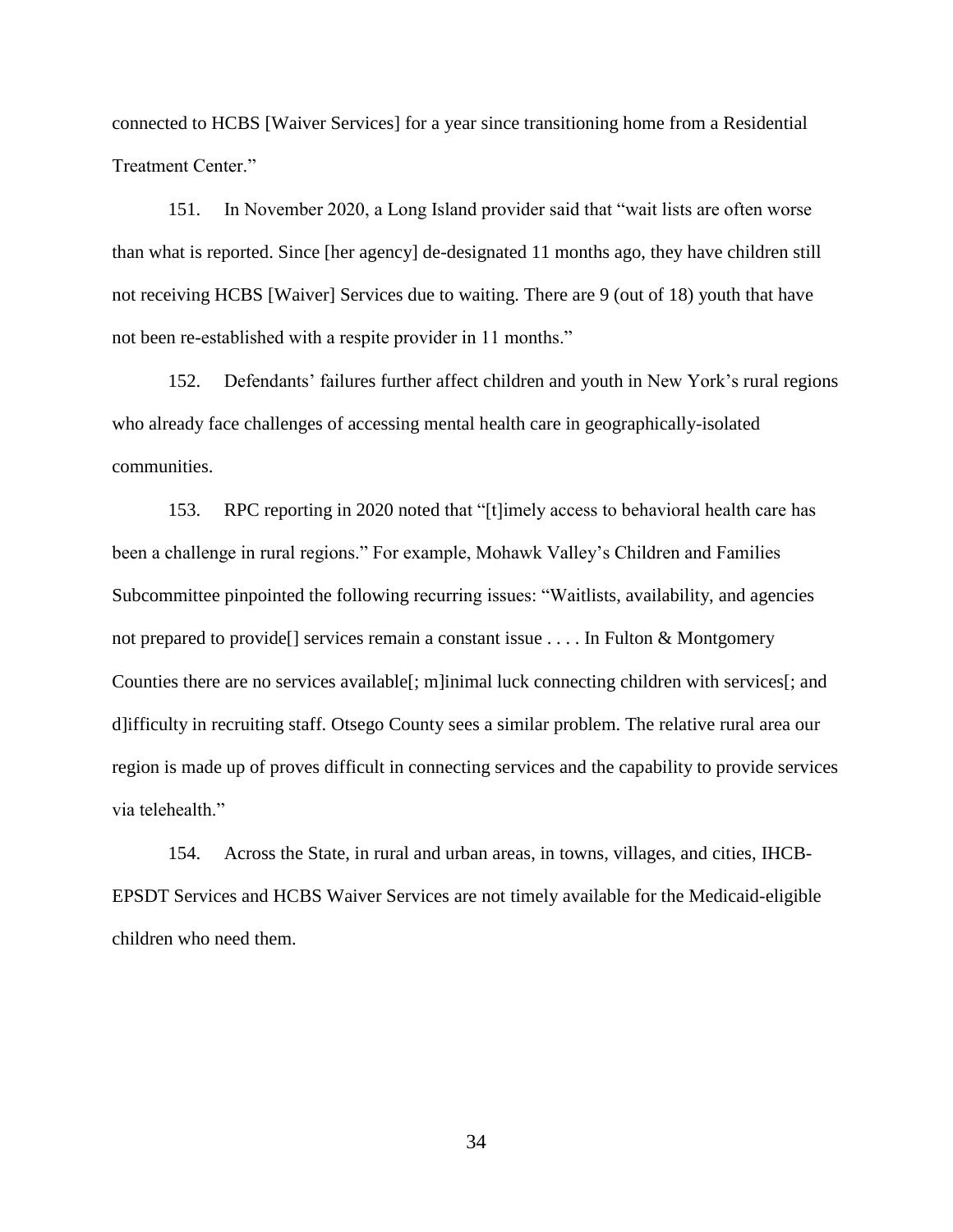connected to HCBS [Waiver Services] for a year since transitioning home from a Residential Treatment Center."

151. In November 2020, a Long Island provider said that "wait lists are often worse than what is reported. Since [her agency] de-designated 11 months ago, they have children still not receiving HCBS [Waiver] Services due to waiting. There are 9 (out of 18) youth that have not been re-established with a respite provider in 11 months."

152. Defendants' failures further affect children and youth in New York's rural regions who already face challenges of accessing mental health care in geographically-isolated communities.

153. RPC reporting in 2020 noted that "[t]imely access to behavioral health care has been a challenge in rural regions." For example, Mohawk Valley's Children and Families Subcommittee pinpointed the following recurring issues: "Waitlists, availability, and agencies not prepared to provide[] services remain a constant issue . . . . In Fulton & Montgomery Counties there are no services available[; m]inimal luck connecting children with services[; and d]ifficulty in recruiting staff. Otsego County sees a similar problem. The relative rural area our region is made up of proves difficult in connecting services and the capability to provide services via telehealth."

154. Across the State, in rural and urban areas, in towns, villages, and cities, IHCB-EPSDT Services and HCBS Waiver Services are not timely available for the Medicaid-eligible children who need them.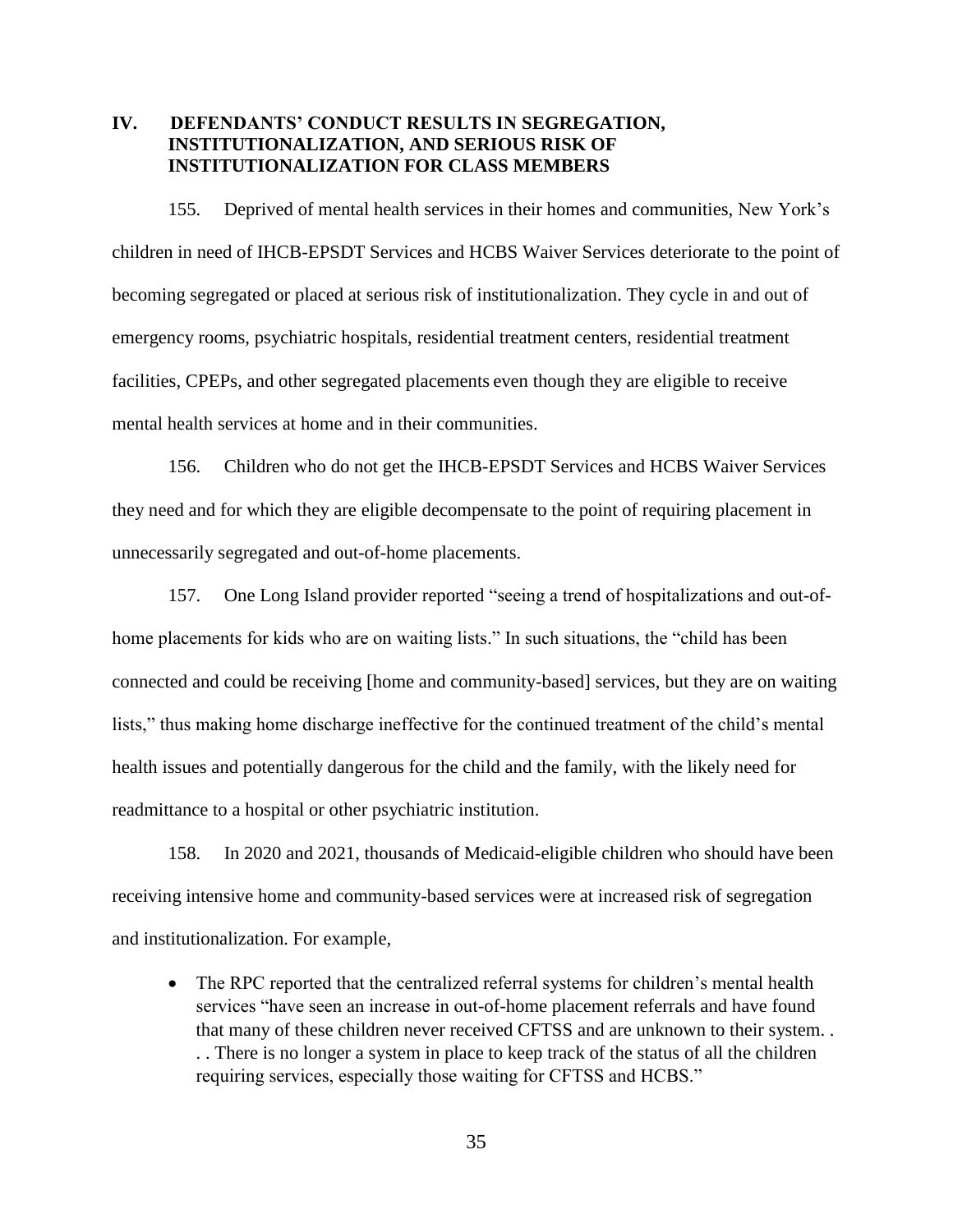## <span id="page-37-0"></span>**IV. DEFENDANTS' CONDUCT RESULTS IN SEGREGATION, INSTITUTIONALIZATION, AND SERIOUS RISK OF INSTITUTIONALIZATION FOR CLASS MEMBERS**

155. Deprived of mental health services in their homes and communities, New York's children in need of IHCB-EPSDT Services and HCBS Waiver Services deteriorate to the point of becoming segregated or placed at serious risk of institutionalization. They cycle in and out of emergency rooms, psychiatric hospitals, residential treatment centers, residential treatment facilities, CPEPs, and other segregated placements even though they are eligible to receive mental health services at home and in their communities.

156. Children who do not get the IHCB-EPSDT Services and HCBS Waiver Services they need and for which they are eligible decompensate to the point of requiring placement in unnecessarily segregated and out-of-home placements.

157. One Long Island provider reported "seeing a trend of hospitalizations and out-ofhome placements for kids who are on waiting lists." In such situations, the "child has been connected and could be receiving [home and community-based] services, but they are on waiting lists," thus making home discharge ineffective for the continued treatment of the child's mental health issues and potentially dangerous for the child and the family, with the likely need for readmittance to a hospital or other psychiatric institution.

158. In 2020 and 2021, thousands of Medicaid-eligible children who should have been receiving intensive home and community-based services were at increased risk of segregation and institutionalization. For example,

• The RPC reported that the centralized referral systems for children's mental health services "have seen an increase in out-of-home placement referrals and have found that many of these children never received CFTSS and are unknown to their system. . . . There is no longer a system in place to keep track of the status of all the children requiring services, especially those waiting for CFTSS and HCBS."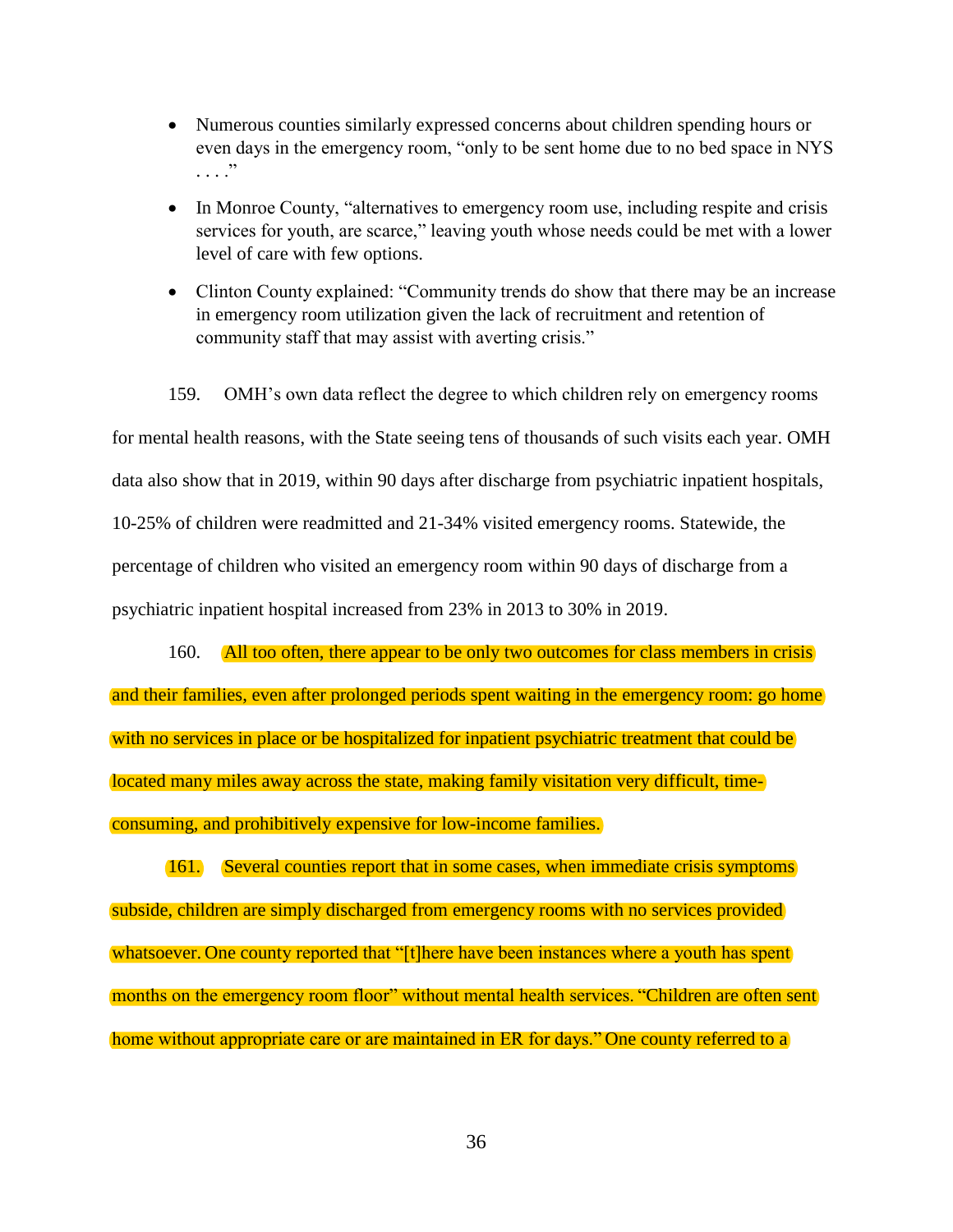- Numerous counties similarly expressed concerns about children spending hours or even days in the emergency room, "only to be sent home due to no bed space in NYS . . . ."
- In Monroe County, "alternatives to emergency room use, including respite and crisis services for youth, are scarce," leaving youth whose needs could be met with a lower level of care with few options.
- Clinton County explained: "Community trends do show that there may be an increase in emergency room utilization given the lack of recruitment and retention of community staff that may assist with averting crisis."

159. OMH's own data reflect the degree to which children rely on emergency rooms for mental health reasons, with the State seeing tens of thousands of such visits each year. OMH data also show that in 2019, within 90 days after discharge from psychiatric inpatient hospitals, 10-25% of children were readmitted and 21-34% visited emergency rooms. Statewide, the percentage of children who visited an emergency room within 90 days of discharge from a psychiatric inpatient hospital increased from 23% in 2013 to 30% in 2019.

160. All too often, there appear to be only two outcomes for class members in crisis and their families, even after prolonged periods spent waiting in the emergency room: go home with no services in place or be hospitalized for inpatient psychiatric treatment that could be located many miles away across the state, making family visitation very difficult, timeconsuming, and prohibitively expensive for low-income families.

161. Several counties report that in some cases, when immediate crisis symptoms subside, children are simply discharged from emergency rooms with no services provided whatsoever. One county reported that "[t]here have been instances where a youth has spent months on the emergency room floor" without mental health services. "Children are often sent home without appropriate care or are maintained in ER for days." One county referred to a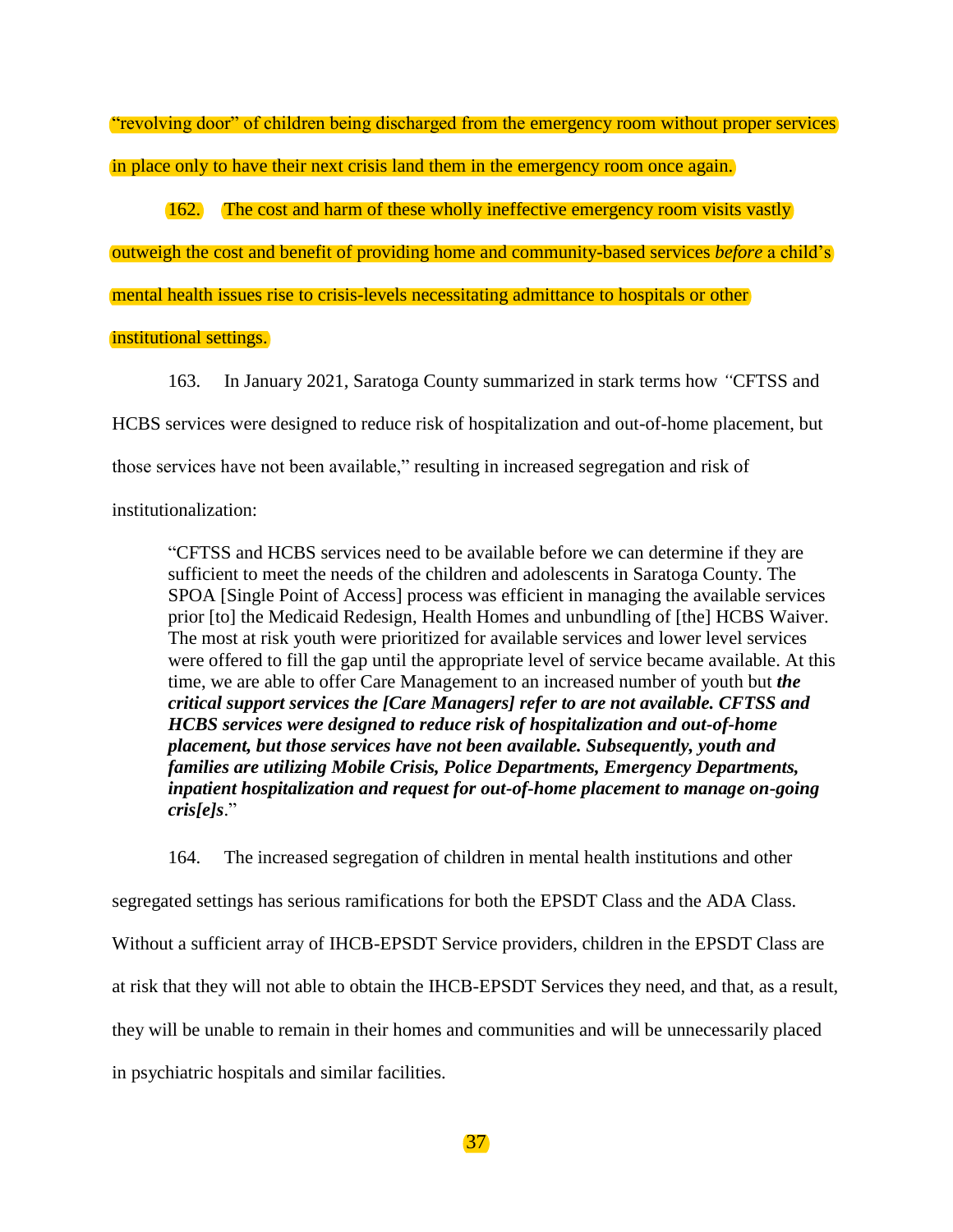"revolving door" of children being discharged from the emergency room without proper services in place only to have their next crisis land them in the emergency room once again.

162. The cost and harm of these wholly ineffective emergency room visits vastly

outweigh the cost and benefit of providing home and community-based services *before* a child's

mental health issues rise to crisis-levels necessitating admittance to hospitals or other

## institutional settings.

163. In January 2021, Saratoga County summarized in stark terms how *"*CFTSS and

HCBS services were designed to reduce risk of hospitalization and out-of-home placement, but

those services have not been available," resulting in increased segregation and risk of

institutionalization:

"CFTSS and HCBS services need to be available before we can determine if they are sufficient to meet the needs of the children and adolescents in Saratoga County. The SPOA [Single Point of Access] process was efficient in managing the available services prior [to] the Medicaid Redesign, Health Homes and unbundling of [the] HCBS Waiver. The most at risk youth were prioritized for available services and lower level services were offered to fill the gap until the appropriate level of service became available. At this time, we are able to offer Care Management to an increased number of youth but *the critical support services the [Care Managers] refer to are not available. CFTSS and HCBS services were designed to reduce risk of hospitalization and out-of-home placement, but those services have not been available. Subsequently, youth and families are utilizing Mobile Crisis, Police Departments, Emergency Departments, inpatient hospitalization and request for out-of-home placement to manage on-going cris[e]s*."

164. The increased segregation of children in mental health institutions and other segregated settings has serious ramifications for both the EPSDT Class and the ADA Class. Without a sufficient array of IHCB-EPSDT Service providers, children in the EPSDT Class are at risk that they will not able to obtain the IHCB-EPSDT Services they need, and that, as a result, they will be unable to remain in their homes and communities and will be unnecessarily placed in psychiatric hospitals and similar facilities.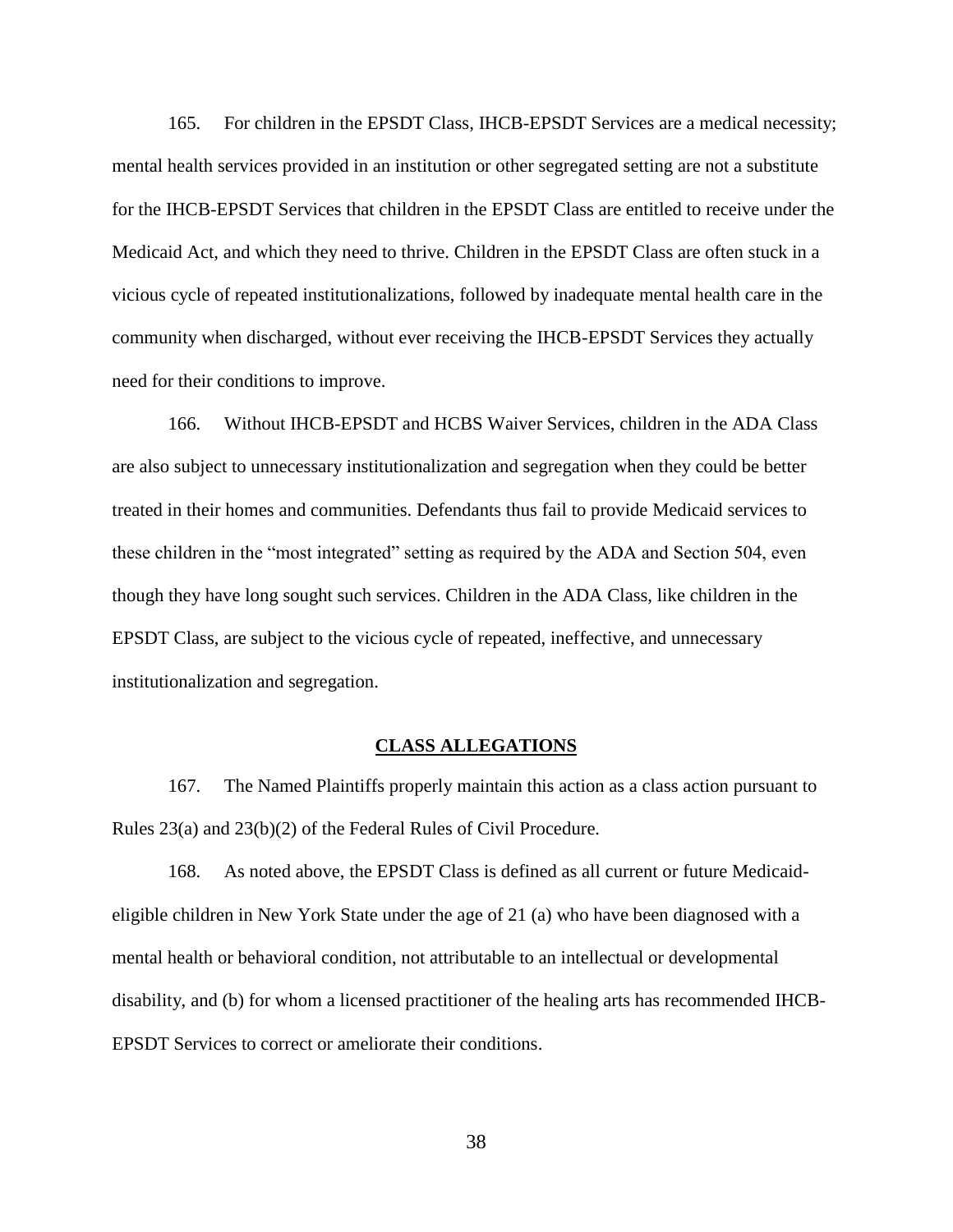165. For children in the EPSDT Class, IHCB-EPSDT Services are a medical necessity; mental health services provided in an institution or other segregated setting are not a substitute for the IHCB-EPSDT Services that children in the EPSDT Class are entitled to receive under the Medicaid Act, and which they need to thrive. Children in the EPSDT Class are often stuck in a vicious cycle of repeated institutionalizations, followed by inadequate mental health care in the community when discharged, without ever receiving the IHCB-EPSDT Services they actually need for their conditions to improve.

166. Without IHCB-EPSDT and HCBS Waiver Services, children in the ADA Class are also subject to unnecessary institutionalization and segregation when they could be better treated in their homes and communities. Defendants thus fail to provide Medicaid services to these children in the "most integrated" setting as required by the ADA and Section 504, even though they have long sought such services. Children in the ADA Class, like children in the EPSDT Class, are subject to the vicious cycle of repeated, ineffective, and unnecessary institutionalization and segregation.

#### **CLASS ALLEGATIONS**

<span id="page-40-0"></span>167. The Named Plaintiffs properly maintain this action as a class action pursuant to Rules 23(a) and 23(b)(2) of the Federal Rules of Civil Procedure.

168. As noted above, the EPSDT Class is defined as all current or future Medicaideligible children in New York State under the age of 21 (a) who have been diagnosed with a mental health or behavioral condition, not attributable to an intellectual or developmental disability, and (b) for whom a licensed practitioner of the healing arts has recommended IHCB-EPSDT Services to correct or ameliorate their conditions.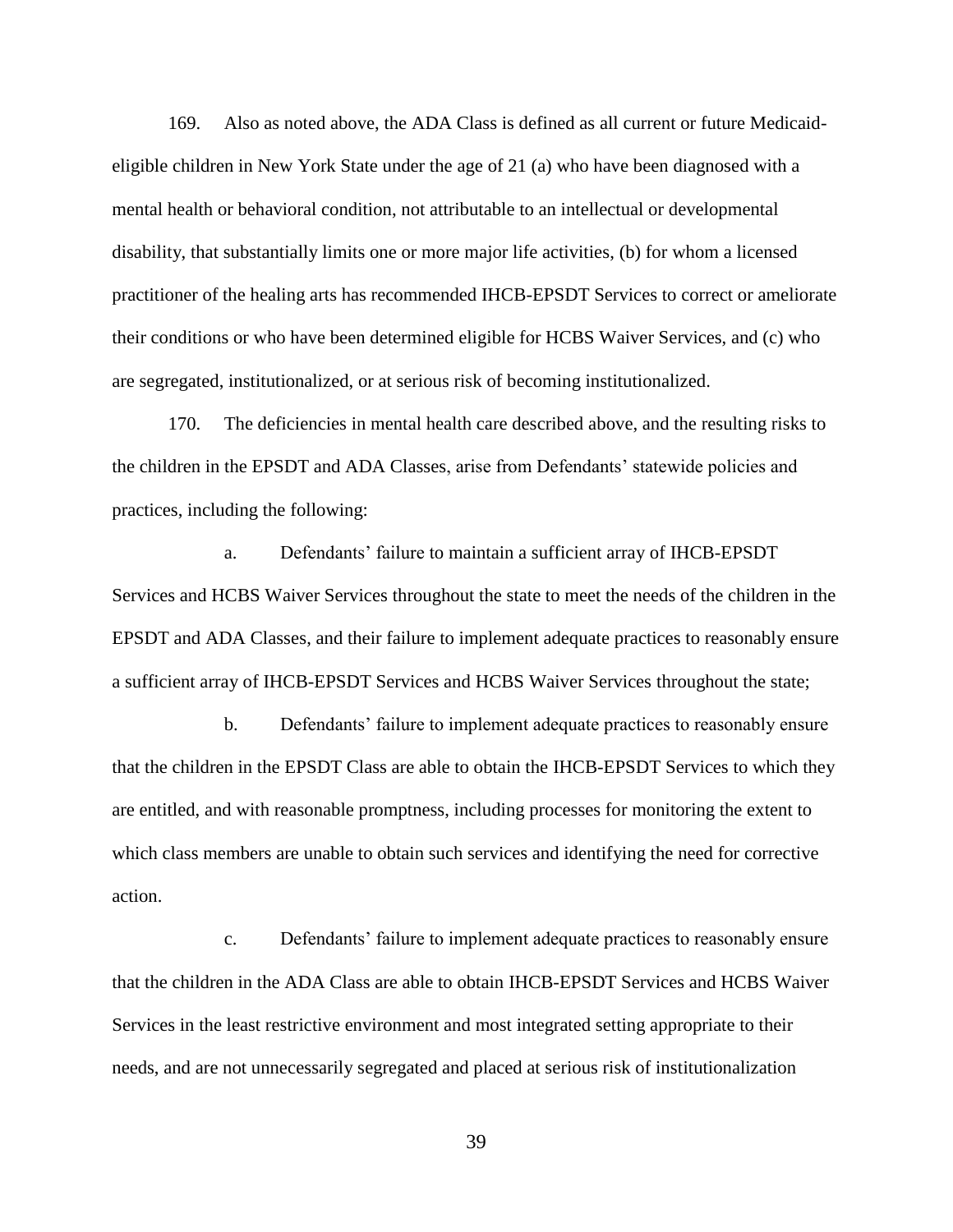169. Also as noted above, the ADA Class is defined as all current or future Medicaideligible children in New York State under the age of 21 (a) who have been diagnosed with a mental health or behavioral condition, not attributable to an intellectual or developmental disability, that substantially limits one or more major life activities, (b) for whom a licensed practitioner of the healing arts has recommended IHCB-EPSDT Services to correct or ameliorate their conditions or who have been determined eligible for HCBS Waiver Services, and (c) who are segregated, institutionalized, or at serious risk of becoming institutionalized.

170. The deficiencies in mental health care described above, and the resulting risks to the children in the EPSDT and ADA Classes, arise from Defendants' statewide policies and practices, including the following:

a. Defendants' failure to maintain a sufficient array of IHCB-EPSDT Services and HCBS Waiver Services throughout the state to meet the needs of the children in the EPSDT and ADA Classes, and their failure to implement adequate practices to reasonably ensure a sufficient array of IHCB-EPSDT Services and HCBS Waiver Services throughout the state;

b. Defendants' failure to implement adequate practices to reasonably ensure that the children in the EPSDT Class are able to obtain the IHCB-EPSDT Services to which they are entitled, and with reasonable promptness, including processes for monitoring the extent to which class members are unable to obtain such services and identifying the need for corrective action.

c. Defendants' failure to implement adequate practices to reasonably ensure that the children in the ADA Class are able to obtain IHCB-EPSDT Services and HCBS Waiver Services in the least restrictive environment and most integrated setting appropriate to their needs, and are not unnecessarily segregated and placed at serious risk of institutionalization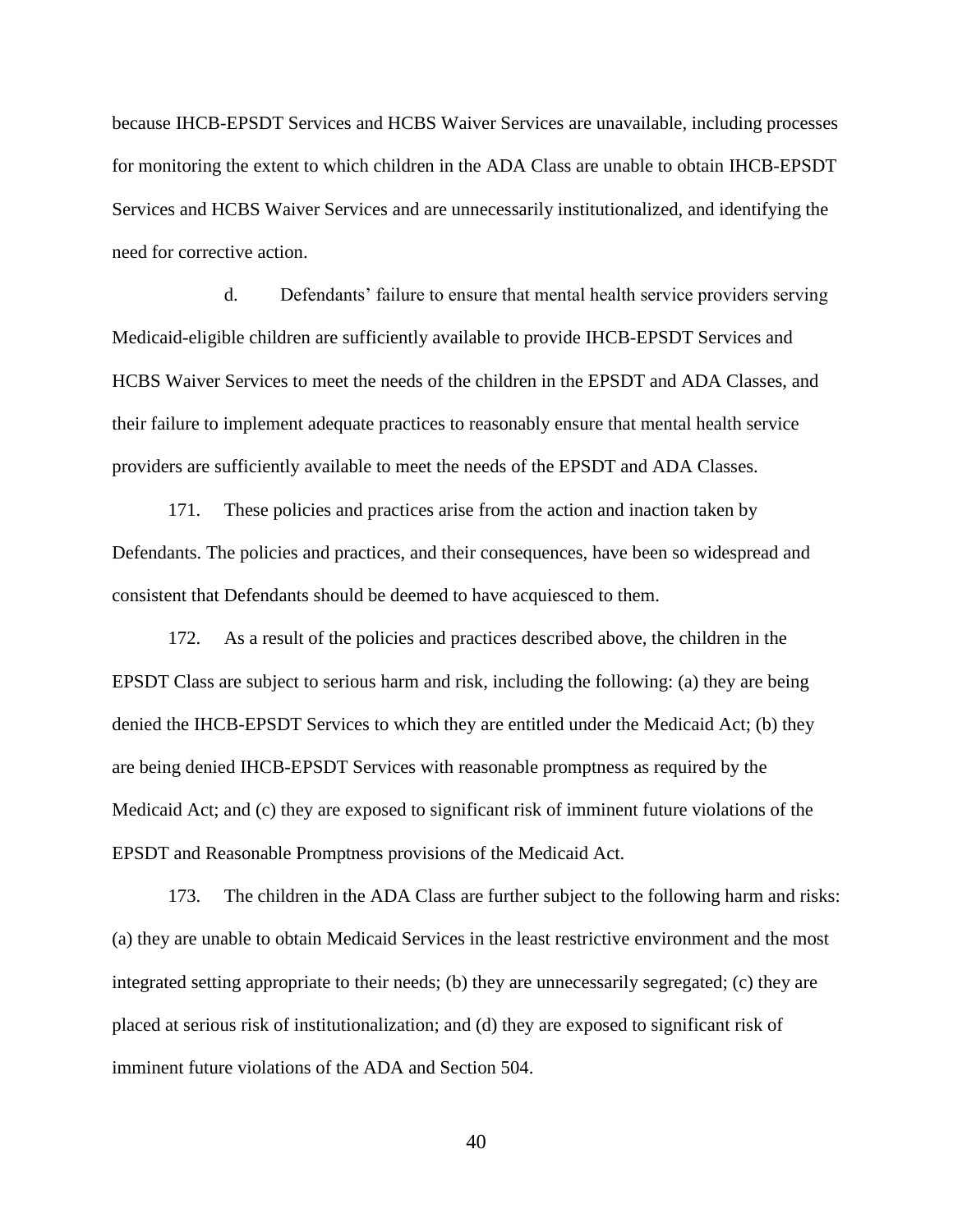because IHCB-EPSDT Services and HCBS Waiver Services are unavailable, including processes for monitoring the extent to which children in the ADA Class are unable to obtain IHCB-EPSDT Services and HCBS Waiver Services and are unnecessarily institutionalized, and identifying the need for corrective action.

d. Defendants' failure to ensure that mental health service providers serving Medicaid-eligible children are sufficiently available to provide IHCB-EPSDT Services and HCBS Waiver Services to meet the needs of the children in the EPSDT and ADA Classes, and their failure to implement adequate practices to reasonably ensure that mental health service providers are sufficiently available to meet the needs of the EPSDT and ADA Classes.

171. These policies and practices arise from the action and inaction taken by Defendants. The policies and practices, and their consequences, have been so widespread and consistent that Defendants should be deemed to have acquiesced to them.

172. As a result of the policies and practices described above, the children in the EPSDT Class are subject to serious harm and risk, including the following: (a) they are being denied the IHCB-EPSDT Services to which they are entitled under the Medicaid Act; (b) they are being denied IHCB-EPSDT Services with reasonable promptness as required by the Medicaid Act; and (c) they are exposed to significant risk of imminent future violations of the EPSDT and Reasonable Promptness provisions of the Medicaid Act.

173. The children in the ADA Class are further subject to the following harm and risks: (a) they are unable to obtain Medicaid Services in the least restrictive environment and the most integrated setting appropriate to their needs; (b) they are unnecessarily segregated; (c) they are placed at serious risk of institutionalization; and (d) they are exposed to significant risk of imminent future violations of the ADA and Section 504.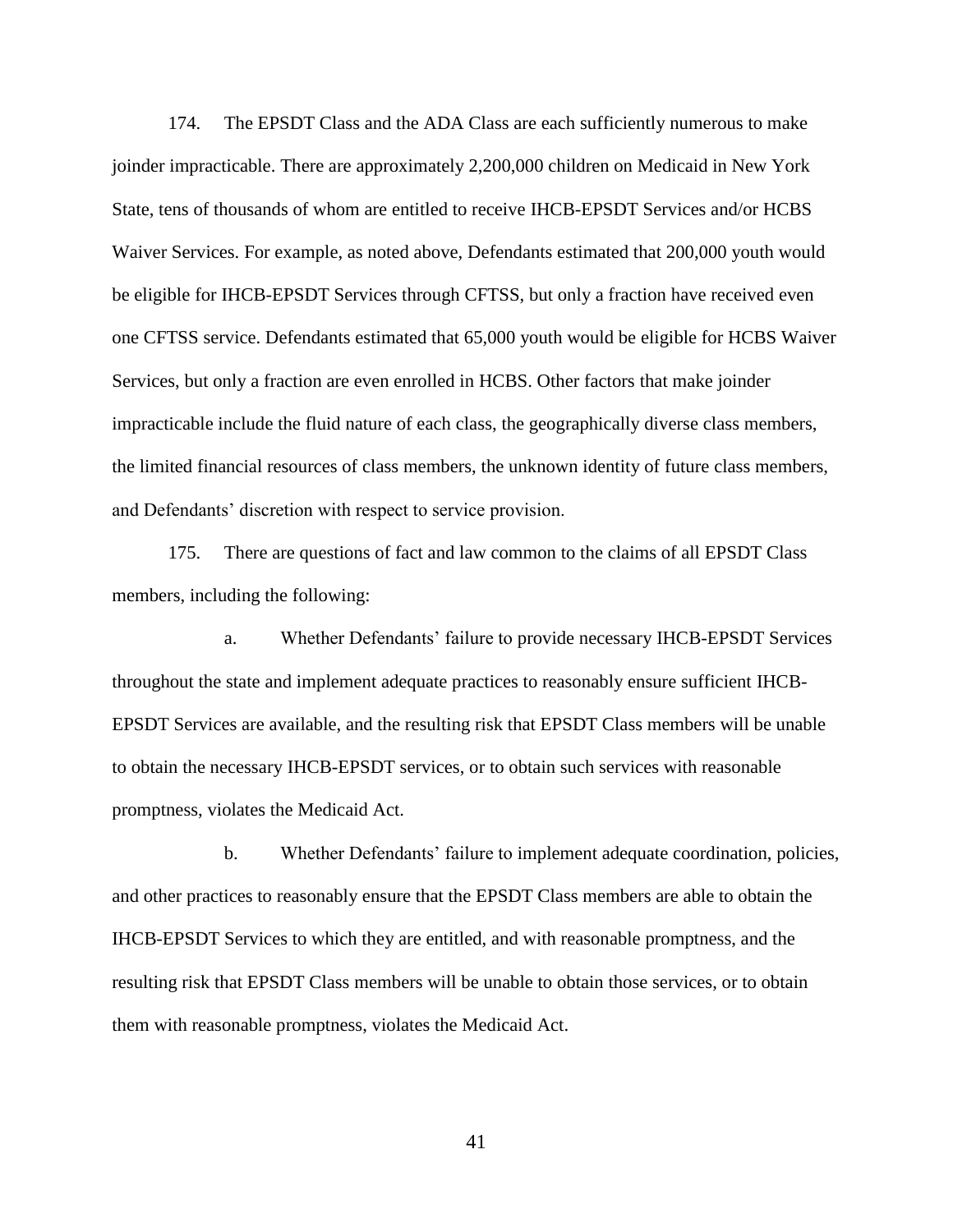174. The EPSDT Class and the ADA Class are each sufficiently numerous to make joinder impracticable. There are approximately 2,200,000 children on Medicaid in New York State, tens of thousands of whom are entitled to receive IHCB-EPSDT Services and/or HCBS Waiver Services. For example, as noted above, Defendants estimated that 200,000 youth would be eligible for IHCB-EPSDT Services through CFTSS, but only a fraction have received even one CFTSS service. Defendants estimated that 65,000 youth would be eligible for HCBS Waiver Services, but only a fraction are even enrolled in HCBS. Other factors that make joinder impracticable include the fluid nature of each class, the geographically diverse class members, the limited financial resources of class members, the unknown identity of future class members, and Defendants' discretion with respect to service provision.

175. There are questions of fact and law common to the claims of all EPSDT Class members, including the following:

a. Whether Defendants' failure to provide necessary IHCB-EPSDT Services throughout the state and implement adequate practices to reasonably ensure sufficient IHCB-EPSDT Services are available, and the resulting risk that EPSDT Class members will be unable to obtain the necessary IHCB-EPSDT services, or to obtain such services with reasonable promptness, violates the Medicaid Act.

b. Whether Defendants' failure to implement adequate coordination, policies, and other practices to reasonably ensure that the EPSDT Class members are able to obtain the IHCB-EPSDT Services to which they are entitled, and with reasonable promptness, and the resulting risk that EPSDT Class members will be unable to obtain those services, or to obtain them with reasonable promptness, violates the Medicaid Act.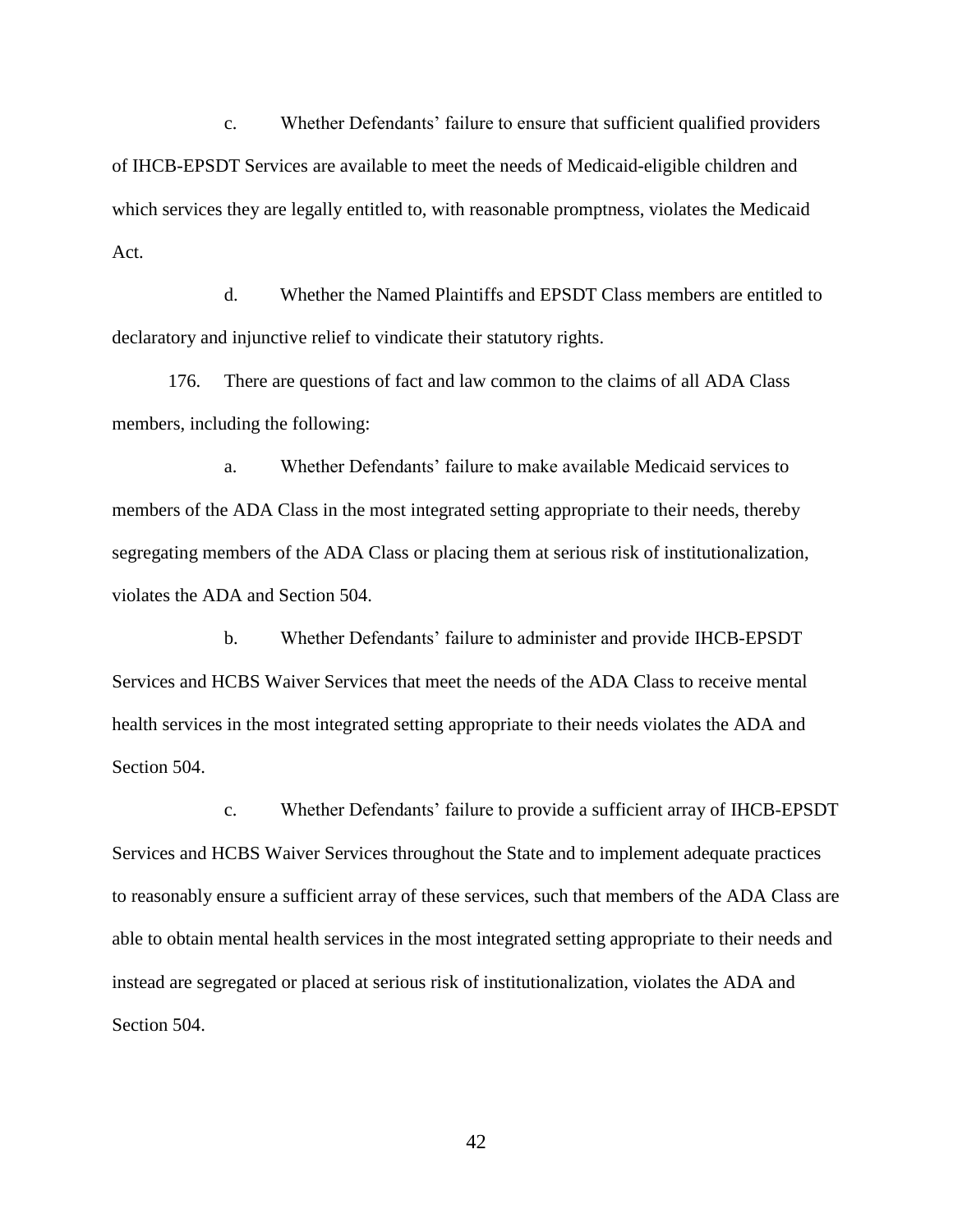c. Whether Defendants' failure to ensure that sufficient qualified providers of IHCB-EPSDT Services are available to meet the needs of Medicaid-eligible children and which services they are legally entitled to, with reasonable promptness, violates the Medicaid Act.

d. Whether the Named Plaintiffs and EPSDT Class members are entitled to declaratory and injunctive relief to vindicate their statutory rights.

176. There are questions of fact and law common to the claims of all ADA Class members, including the following:

a. Whether Defendants' failure to make available Medicaid services to members of the ADA Class in the most integrated setting appropriate to their needs, thereby segregating members of the ADA Class or placing them at serious risk of institutionalization, violates the ADA and Section 504.

b. Whether Defendants' failure to administer and provide IHCB-EPSDT Services and HCBS Waiver Services that meet the needs of the ADA Class to receive mental health services in the most integrated setting appropriate to their needs violates the ADA and Section 504.

c. Whether Defendants' failure to provide a sufficient array of IHCB-EPSDT Services and HCBS Waiver Services throughout the State and to implement adequate practices to reasonably ensure a sufficient array of these services, such that members of the ADA Class are able to obtain mental health services in the most integrated setting appropriate to their needs and instead are segregated or placed at serious risk of institutionalization, violates the ADA and Section 504.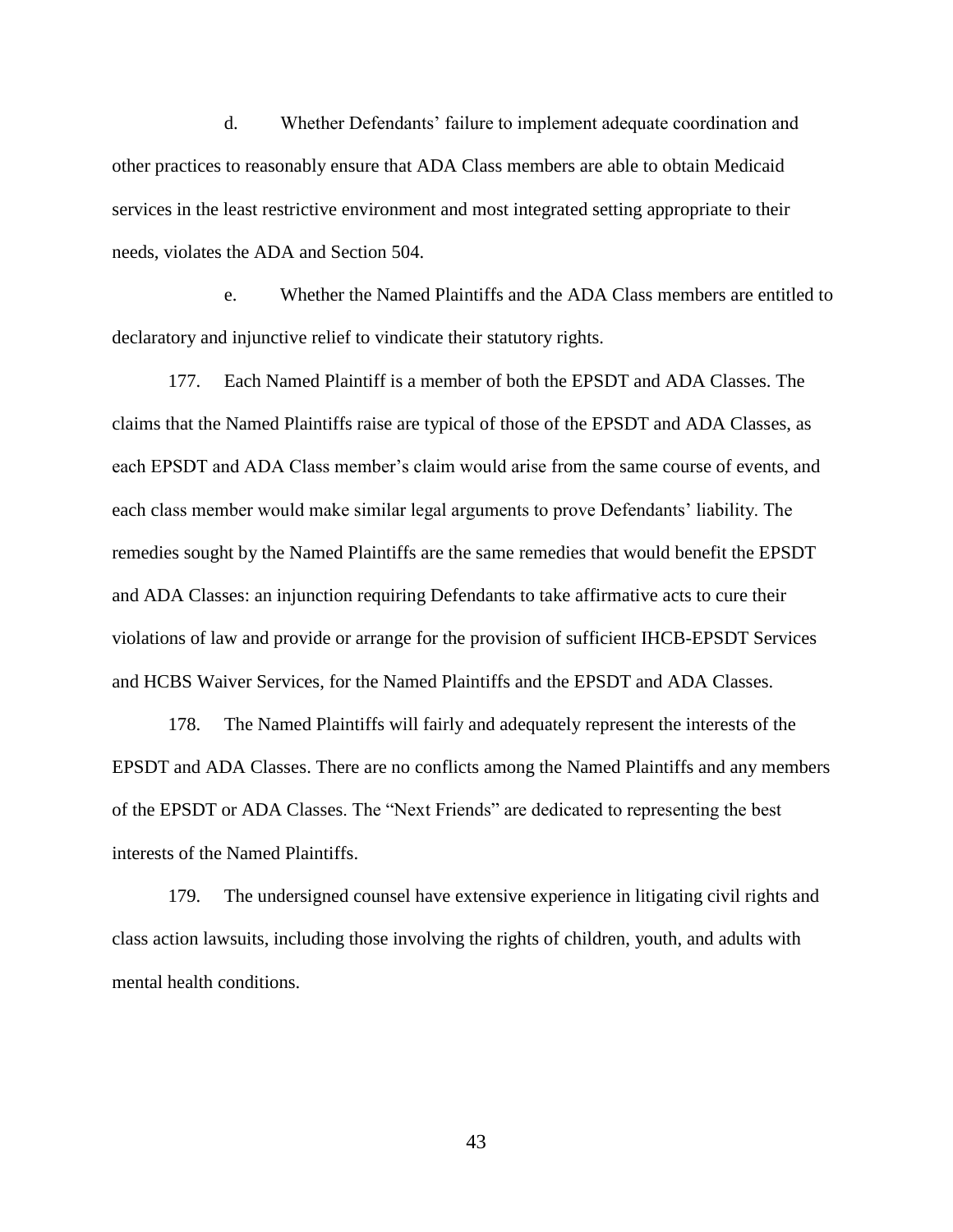d. Whether Defendants' failure to implement adequate coordination and other practices to reasonably ensure that ADA Class members are able to obtain Medicaid services in the least restrictive environment and most integrated setting appropriate to their needs, violates the ADA and Section 504.

e. Whether the Named Plaintiffs and the ADA Class members are entitled to declaratory and injunctive relief to vindicate their statutory rights.

177. Each Named Plaintiff is a member of both the EPSDT and ADA Classes. The claims that the Named Plaintiffs raise are typical of those of the EPSDT and ADA Classes, as each EPSDT and ADA Class member's claim would arise from the same course of events, and each class member would make similar legal arguments to prove Defendants' liability. The remedies sought by the Named Plaintiffs are the same remedies that would benefit the EPSDT and ADA Classes: an injunction requiring Defendants to take affirmative acts to cure their violations of law and provide or arrange for the provision of sufficient IHCB-EPSDT Services and HCBS Waiver Services, for the Named Plaintiffs and the EPSDT and ADA Classes.

178. The Named Plaintiffs will fairly and adequately represent the interests of the EPSDT and ADA Classes. There are no conflicts among the Named Plaintiffs and any members of the EPSDT or ADA Classes. The "Next Friends" are dedicated to representing the best interests of the Named Plaintiffs.

179. The undersigned counsel have extensive experience in litigating civil rights and class action lawsuits, including those involving the rights of children, youth, and adults with mental health conditions.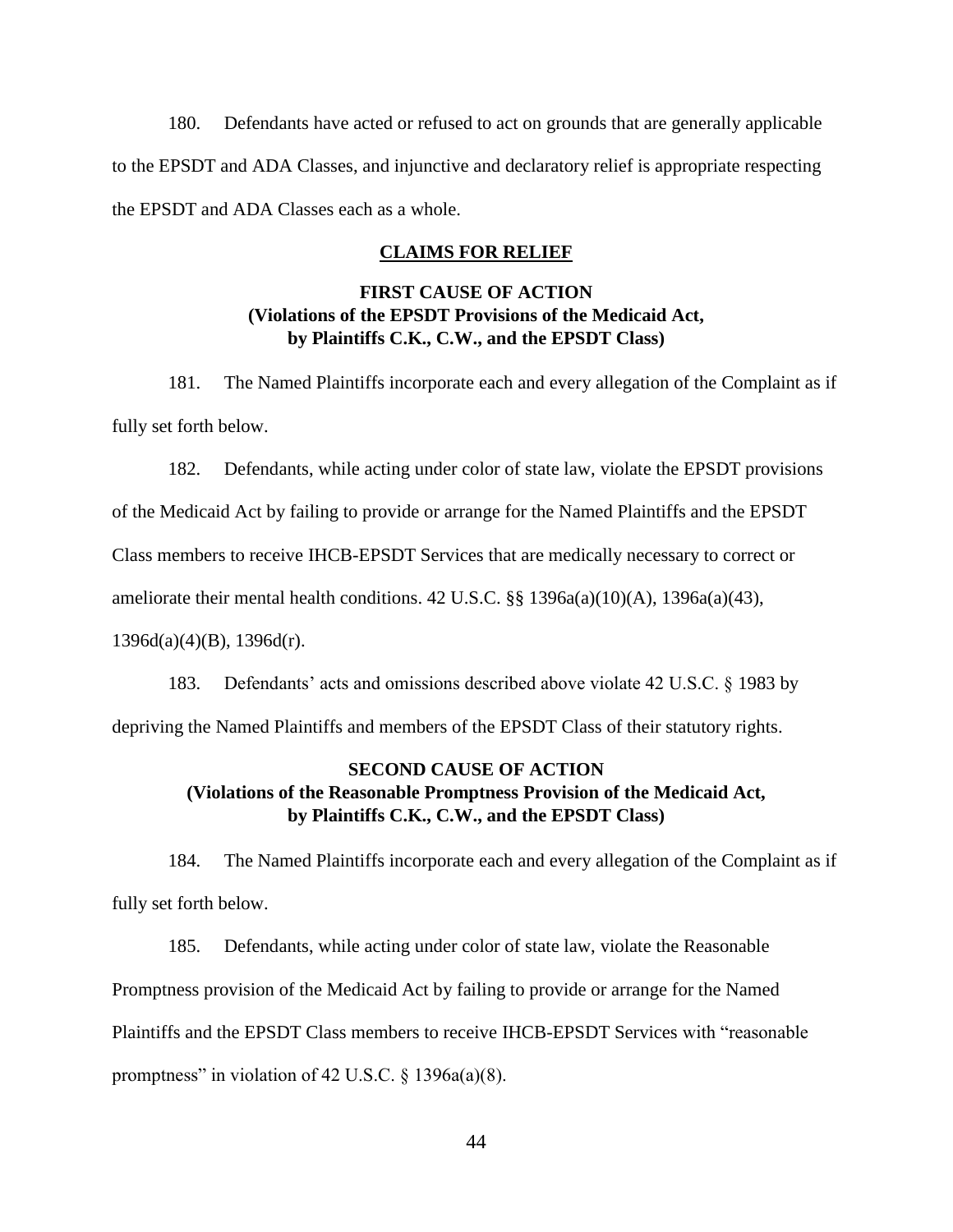<span id="page-46-0"></span>180. Defendants have acted or refused to act on grounds that are generally applicable to the EPSDT and ADA Classes, and injunctive and declaratory relief is appropriate respecting the EPSDT and ADA Classes each as a whole.

#### **CLAIMS FOR RELIEF**

## **FIRST CAUSE OF ACTION (Violations of the EPSDT Provisions of the Medicaid Act, by Plaintiffs C.K., C.W., and the EPSDT Class)**

<span id="page-46-2"></span><span id="page-46-1"></span>181. The Named Plaintiffs incorporate each and every allegation of the Complaint as if fully set forth below.

182. Defendants, while acting under color of state law, violate the EPSDT provisions

of the Medicaid Act by failing to provide or arrange for the Named Plaintiffs and the EPSDT

Class members to receive IHCB-EPSDT Services that are medically necessary to correct or

ameliorate their mental health conditions. 42 U.S.C. §§ 1396a(a)(10)(A), 1396a(a)(43),

 $1396d(a)(4)(B)$ ,  $1396d(r)$ .

183. Defendants' acts and omissions described above violate 42 U.S.C. § 1983 by depriving the Named Plaintiffs and members of the EPSDT Class of their statutory rights.

## <span id="page-46-3"></span>**SECOND CAUSE OF ACTION (Violations of the Reasonable Promptness Provision of the Medicaid Act, by Plaintiffs C.K., C.W., and the EPSDT Class)**

<span id="page-46-4"></span>184. The Named Plaintiffs incorporate each and every allegation of the Complaint as if fully set forth below.

185. Defendants, while acting under color of state law, violate the Reasonable Promptness provision of the Medicaid Act by failing to provide or arrange for the Named Plaintiffs and the EPSDT Class members to receive IHCB-EPSDT Services with "reasonable promptness" in violation of 42 U.S.C.  $\S$  1396a(a)(8).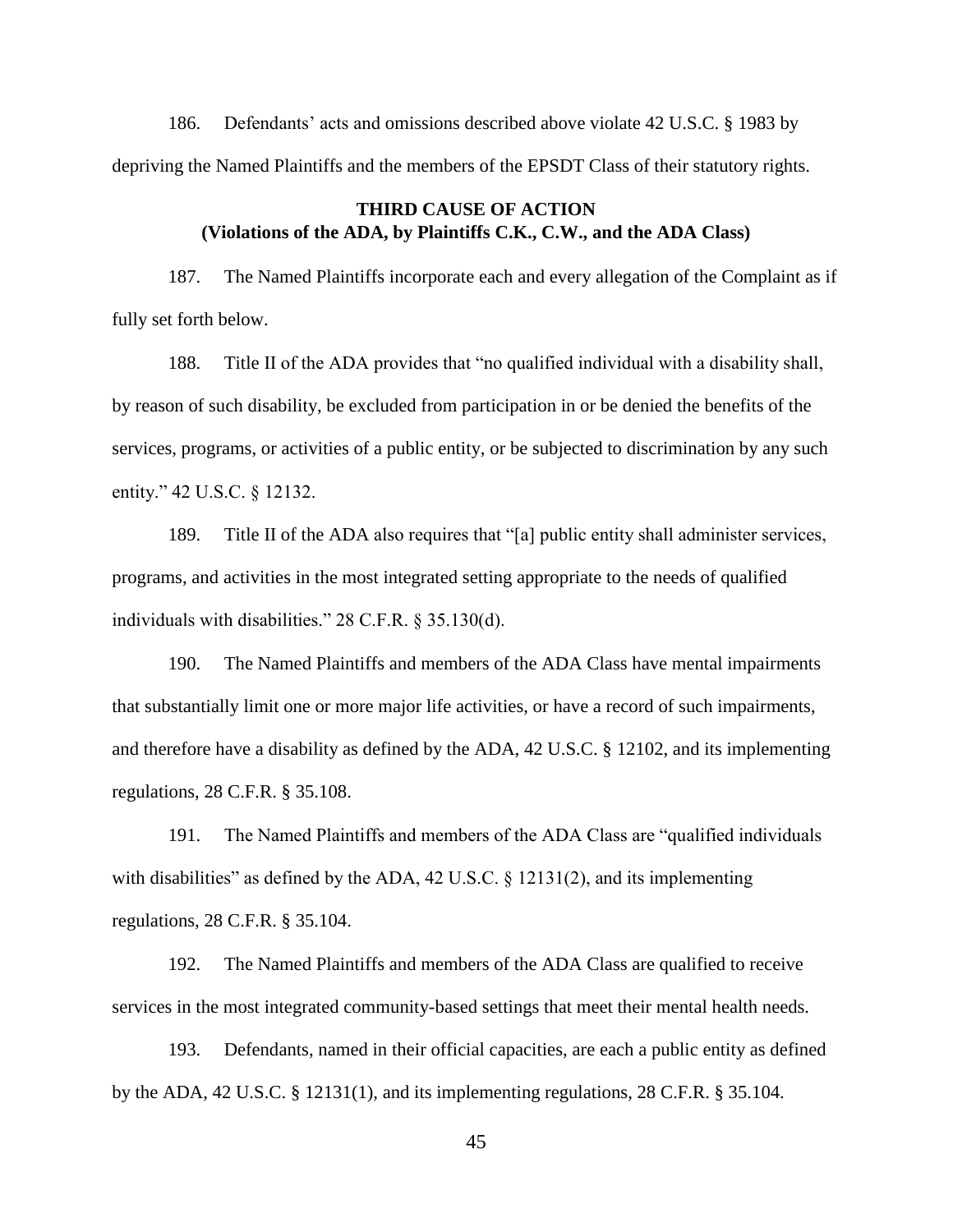186. Defendants' acts and omissions described above violate 42 U.S.C. § 1983 by depriving the Named Plaintiffs and the members of the EPSDT Class of their statutory rights.

## **THIRD CAUSE OF ACTION (Violations of the ADA, by Plaintiffs C.K., C.W., and the ADA Class)**

<span id="page-47-0"></span>187. The Named Plaintiffs incorporate each and every allegation of the Complaint as if fully set forth below.

188. Title II of the ADA provides that "no qualified individual with a disability shall, by reason of such disability, be excluded from participation in or be denied the benefits of the services, programs, or activities of a public entity, or be subjected to discrimination by any such entity." 42 U.S.C. § 12132.

189. Title II of the ADA also requires that "[a] public entity shall administer services, programs, and activities in the most integrated setting appropriate to the needs of qualified individuals with disabilities." 28 C.F.R. § 35.130(d).

190. The Named Plaintiffs and members of the ADA Class have mental impairments that substantially limit one or more major life activities, or have a record of such impairments, and therefore have a disability as defined by the ADA, 42 U.S.C. § 12102, and its implementing regulations, 28 C.F.R. § 35.108.

191. The Named Plaintiffs and members of the ADA Class are "qualified individuals with disabilities" as defined by the ADA, 42 U.S.C. § 12131(2), and its implementing regulations, 28 C.F.R. § 35.104.

192. The Named Plaintiffs and members of the ADA Class are qualified to receive services in the most integrated community-based settings that meet their mental health needs.

193. Defendants, named in their official capacities, are each a public entity as defined by the ADA, 42 U.S.C. § 12131(1), and its implementing regulations, 28 C.F.R. § 35.104.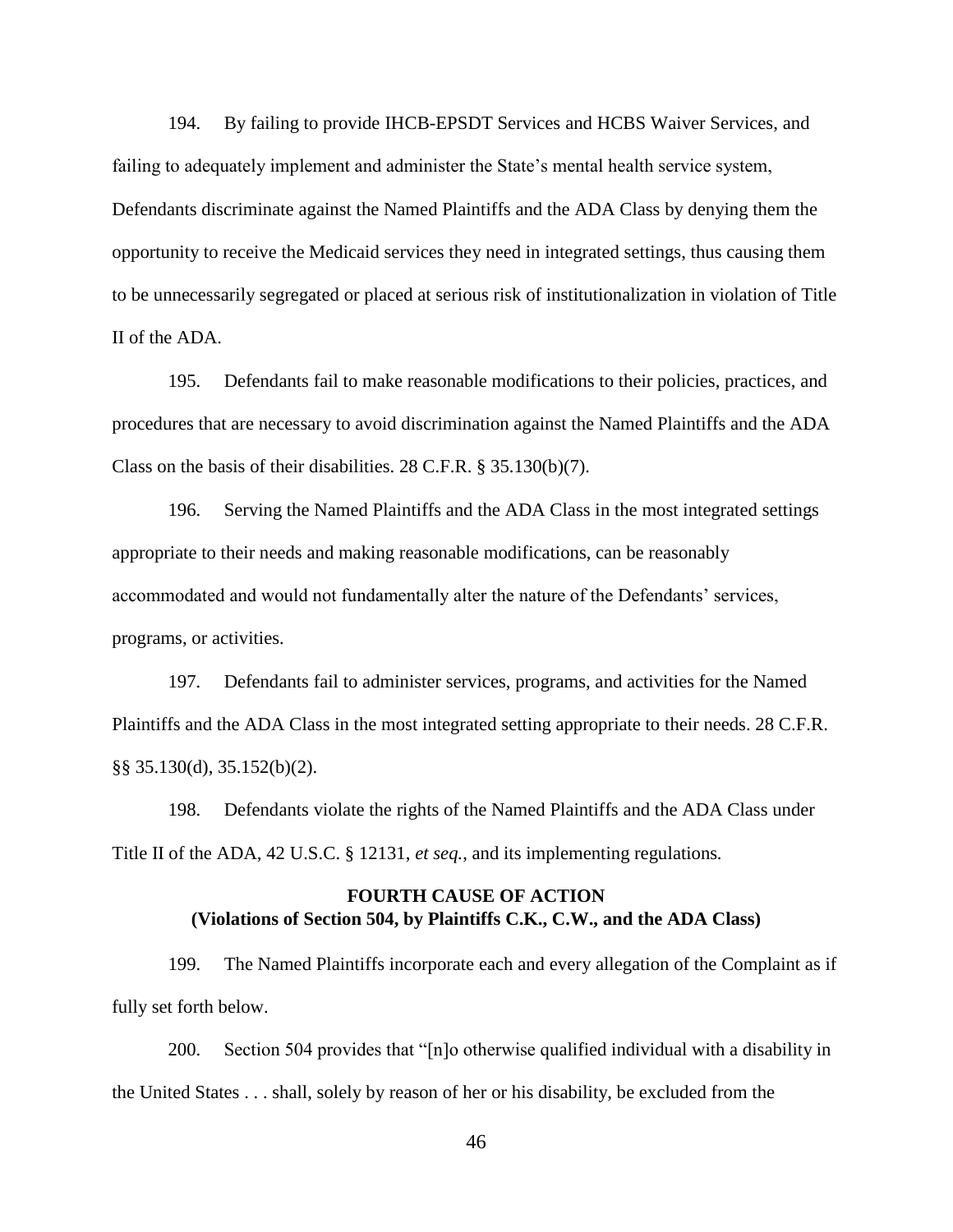194. By failing to provide IHCB-EPSDT Services and HCBS Waiver Services, and failing to adequately implement and administer the State's mental health service system, Defendants discriminate against the Named Plaintiffs and the ADA Class by denying them the opportunity to receive the Medicaid services they need in integrated settings, thus causing them to be unnecessarily segregated or placed at serious risk of institutionalization in violation of Title II of the ADA.

195. Defendants fail to make reasonable modifications to their policies, practices, and procedures that are necessary to avoid discrimination against the Named Plaintiffs and the ADA Class on the basis of their disabilities. 28 C.F.R. § 35.130(b)(7).

196. Serving the Named Plaintiffs and the ADA Class in the most integrated settings appropriate to their needs and making reasonable modifications, can be reasonably accommodated and would not fundamentally alter the nature of the Defendants' services, programs, or activities.

197. Defendants fail to administer services, programs, and activities for the Named Plaintiffs and the ADA Class in the most integrated setting appropriate to their needs. 28 C.F.R. §§ 35.130(d), 35.152(b)(2).

198. Defendants violate the rights of the Named Plaintiffs and the ADA Class under Title II of the ADA, 42 U.S.C. § 12131, *et seq.*, and its implementing regulations*.*

## **FOURTH CAUSE OF ACTION (Violations of Section 504, by Plaintiffs C.K., C.W., and the ADA Class)**

<span id="page-48-0"></span>199. The Named Plaintiffs incorporate each and every allegation of the Complaint as if fully set forth below.

200. Section 504 provides that "[n]o otherwise qualified individual with a disability in the United States . . . shall, solely by reason of her or his disability, be excluded from the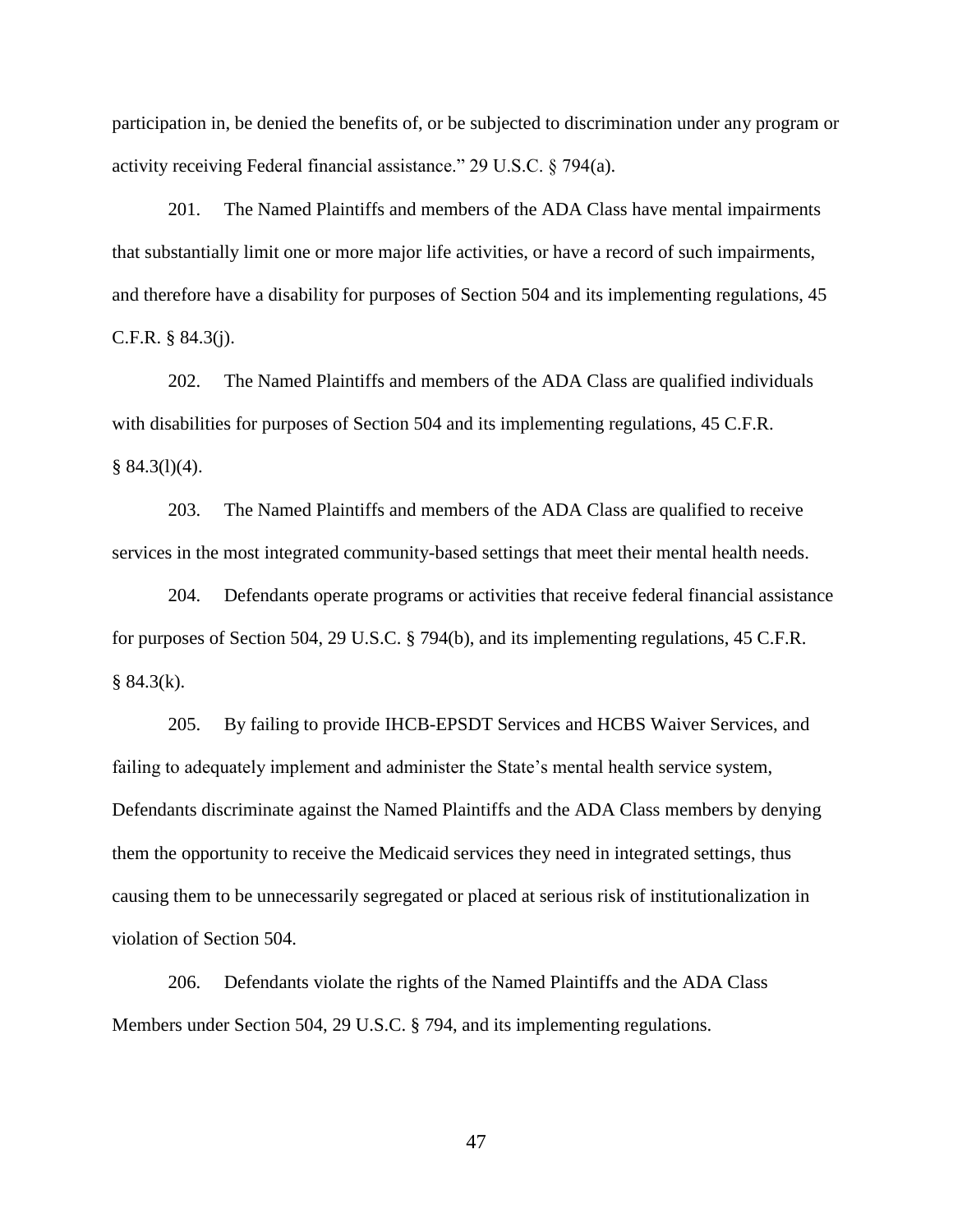participation in, be denied the benefits of, or be subjected to discrimination under any program or activity receiving Federal financial assistance." 29 U.S.C. § 794(a).

201. The Named Plaintiffs and members of the ADA Class have mental impairments that substantially limit one or more major life activities, or have a record of such impairments, and therefore have a disability for purposes of Section 504 and its implementing regulations, 45 C.F.R. § 84.3(j).

202. The Named Plaintiffs and members of the ADA Class are qualified individuals with disabilities for purposes of Section 504 and its implementing regulations, 45 C.F.R.  $§ 84.3(1)(4).$ 

203. The Named Plaintiffs and members of the ADA Class are qualified to receive services in the most integrated community-based settings that meet their mental health needs.

204. Defendants operate programs or activities that receive federal financial assistance for purposes of Section 504, 29 U.S.C. § 794(b), and its implementing regulations, 45 C.F.R.  $§ 84.3(k).$ 

205. By failing to provide IHCB-EPSDT Services and HCBS Waiver Services, and failing to adequately implement and administer the State's mental health service system, Defendants discriminate against the Named Plaintiffs and the ADA Class members by denying them the opportunity to receive the Medicaid services they need in integrated settings, thus causing them to be unnecessarily segregated or placed at serious risk of institutionalization in violation of Section 504.

206. Defendants violate the rights of the Named Plaintiffs and the ADA Class Members under Section 504, 29 U.S.C. § 794, and its implementing regulations.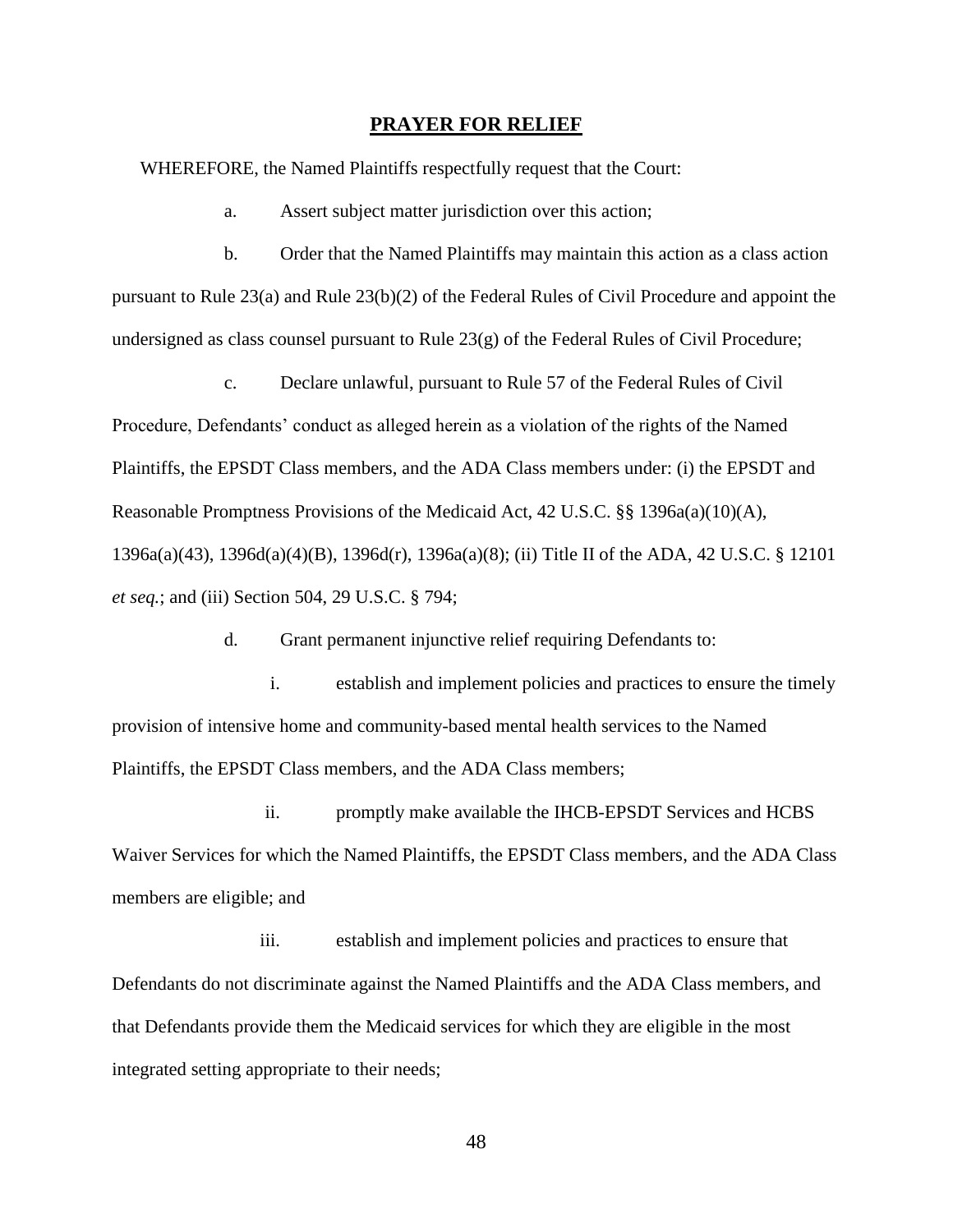#### **PRAYER FOR RELIEF**

<span id="page-50-0"></span>WHEREFORE, the Named Plaintiffs respectfully request that the Court:

a. Assert subject matter jurisdiction over this action;

b. Order that the Named Plaintiffs may maintain this action as a class action pursuant to Rule 23(a) and Rule 23(b)(2) of the Federal Rules of Civil Procedure and appoint the undersigned as class counsel pursuant to Rule 23(g) of the Federal Rules of Civil Procedure;

c. Declare unlawful, pursuant to Rule 57 of the Federal Rules of Civil Procedure, Defendants' conduct as alleged herein as a violation of the rights of the Named Plaintiffs, the EPSDT Class members, and the ADA Class members under: (i) the EPSDT and Reasonable Promptness Provisions of the Medicaid Act, 42 U.S.C. §§ 1396a(a)(10)(A), 1396a(a)(43), 1396d(a)(4)(B), 1396d(r), 1396a(a)(8); (ii) Title II of the ADA, 42 U.S.C. § 12101 *et seq.*; and (iii) Section 504, 29 U.S.C. § 794;

d. Grant permanent injunctive relief requiring Defendants to:

i. establish and implement policies and practices to ensure the timely provision of intensive home and community-based mental health services to the Named Plaintiffs, the EPSDT Class members, and the ADA Class members;

ii. promptly make available the IHCB-EPSDT Services and HCBS Waiver Services for which the Named Plaintiffs, the EPSDT Class members, and the ADA Class members are eligible; and

iii. establish and implement policies and practices to ensure that Defendants do not discriminate against the Named Plaintiffs and the ADA Class members, and that Defendants provide them the Medicaid services for which they are eligible in the most integrated setting appropriate to their needs;